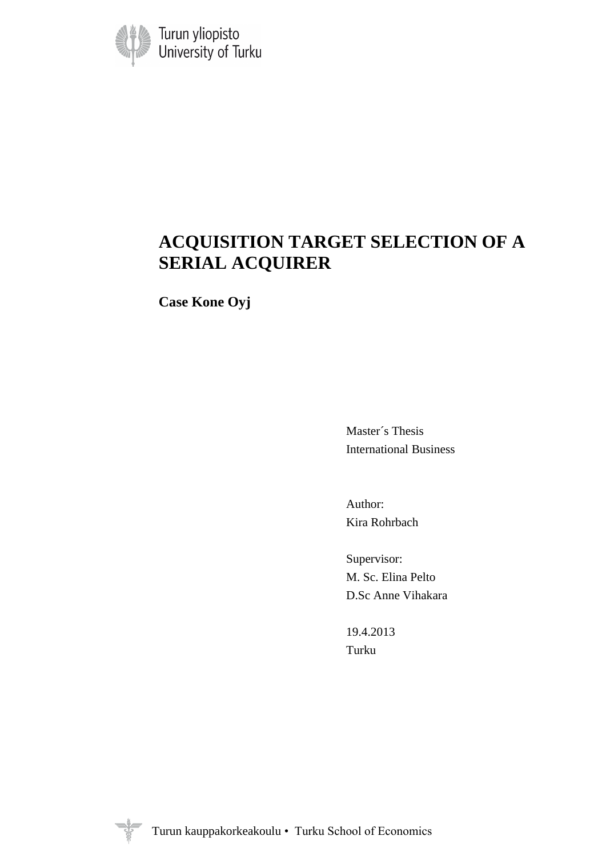

# **ACQUISITION TARGET SELECTION OF A SERIAL ACQUIRER**

**Case Kone Oyj**

Master´s Thesis International Business

Author: Kira Rohrbach

Supervisor: M. Sc. Elina Pelto D.Sc Anne Vihakara

19.4.2013 Turku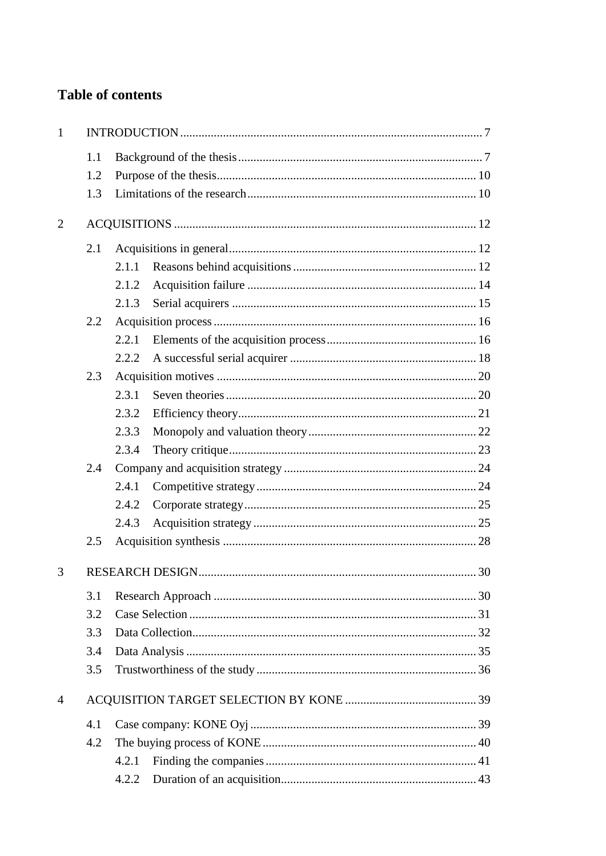## **Table of contents**

| $\mathbf{1}$   |     |       |  |
|----------------|-----|-------|--|
|                | 1.1 |       |  |
|                | 1.2 |       |  |
|                | 1.3 |       |  |
| $\overline{2}$ |     |       |  |
|                | 2.1 |       |  |
|                |     | 2.1.1 |  |
|                |     | 2.1.2 |  |
|                |     | 2.1.3 |  |
|                | 2.2 |       |  |
|                |     | 2.2.1 |  |
|                |     | 2.2.2 |  |
|                | 2.3 |       |  |
|                |     | 2.3.1 |  |
|                |     | 2.3.2 |  |
|                |     | 2.3.3 |  |
|                |     | 2.3.4 |  |
|                | 2.4 |       |  |
|                |     | 2.4.1 |  |
|                |     | 2.4.2 |  |
|                |     | 2.4.3 |  |
|                | 2.5 |       |  |
| 3              |     |       |  |
|                | 3.1 |       |  |
|                | 3.2 |       |  |
|                | 3.3 |       |  |
|                | 3.4 |       |  |
|                | 3.5 |       |  |
| 4              |     |       |  |
|                | 4.1 |       |  |
|                | 4.2 |       |  |
|                |     | 4.2.1 |  |
|                |     | 4.2.2 |  |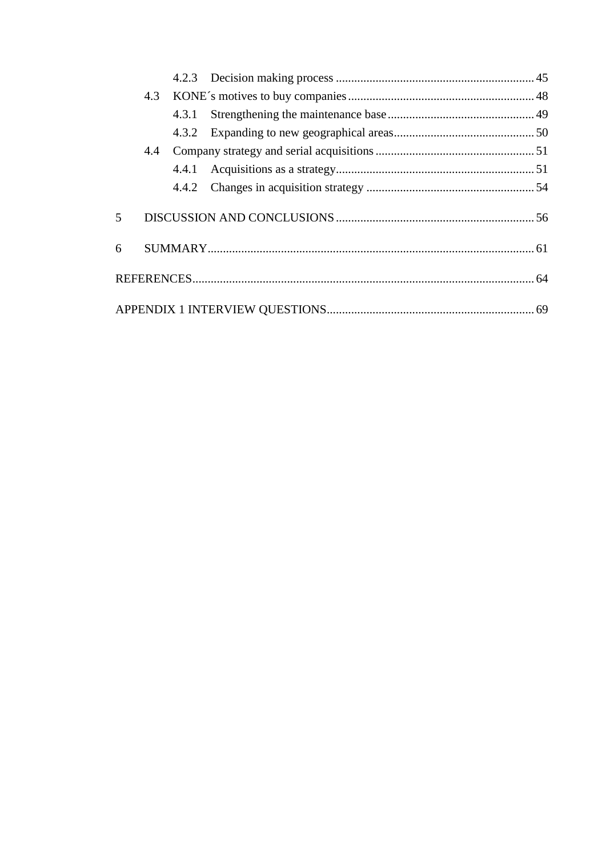|                         | 4.3 |       |  |
|-------------------------|-----|-------|--|
|                         |     | 4.3.1 |  |
|                         |     |       |  |
|                         | 4.4 |       |  |
|                         |     | 4.4.1 |  |
|                         |     | 4.4.2 |  |
| $\overline{\mathbf{5}}$ |     |       |  |
| 6                       |     |       |  |
|                         |     |       |  |
|                         |     |       |  |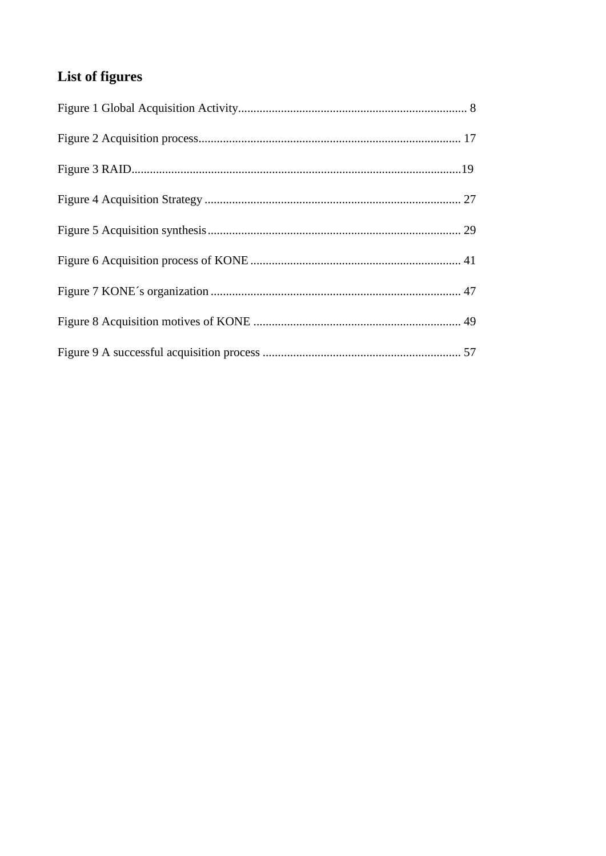# List of figures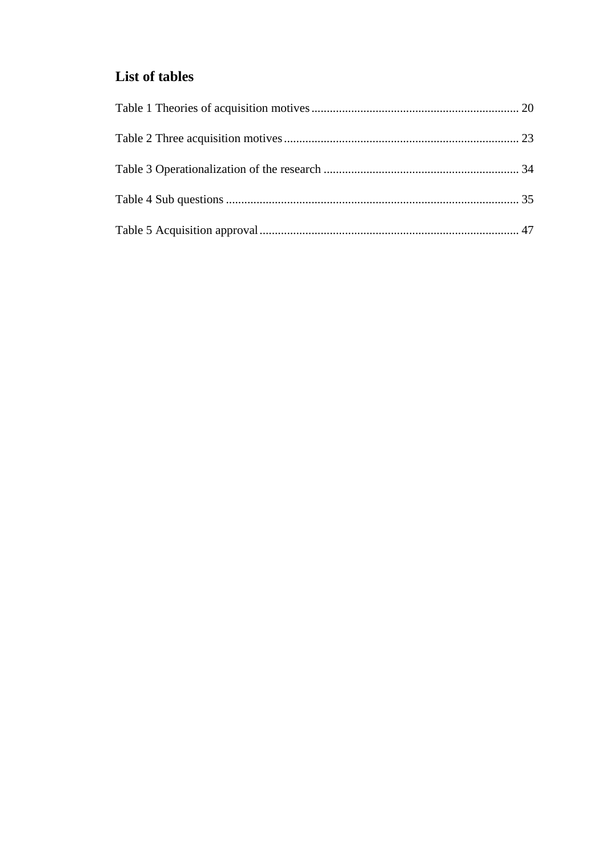## List of tables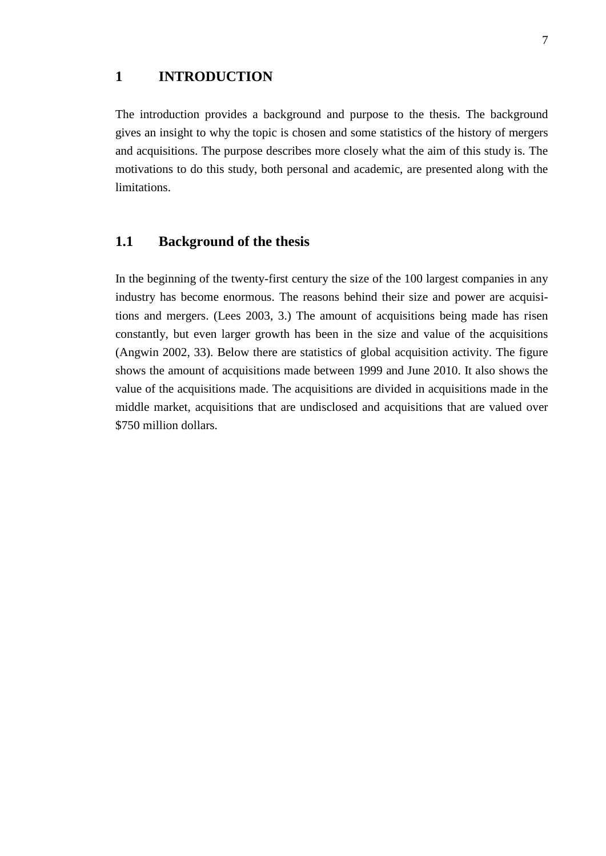### <span id="page-6-0"></span>**1 INTRODUCTION**

The introduction provides a background and purpose to the thesis. The background gives an insight to why the topic is chosen and some statistics of the history of mergers and acquisitions. The purpose describes more closely what the aim of this study is. The motivations to do this study, both personal and academic, are presented along with the limitations.

### <span id="page-6-1"></span>**1.1 Background of the thesis**

In the beginning of the twenty-first century the size of the 100 largest companies in any industry has become enormous. The reasons behind their size and power are acquisitions and mergers. (Lees 2003, 3.) The amount of acquisitions being made has risen constantly, but even larger growth has been in the size and value of the acquisitions (Angwin 2002, 33). Below there are statistics of global acquisition activity. The figure shows the amount of acquisitions made between 1999 and June 2010. It also shows the value of the acquisitions made. The acquisitions are divided in acquisitions made in the middle market, acquisitions that are undisclosed and acquisitions that are valued over \$750 million dollars.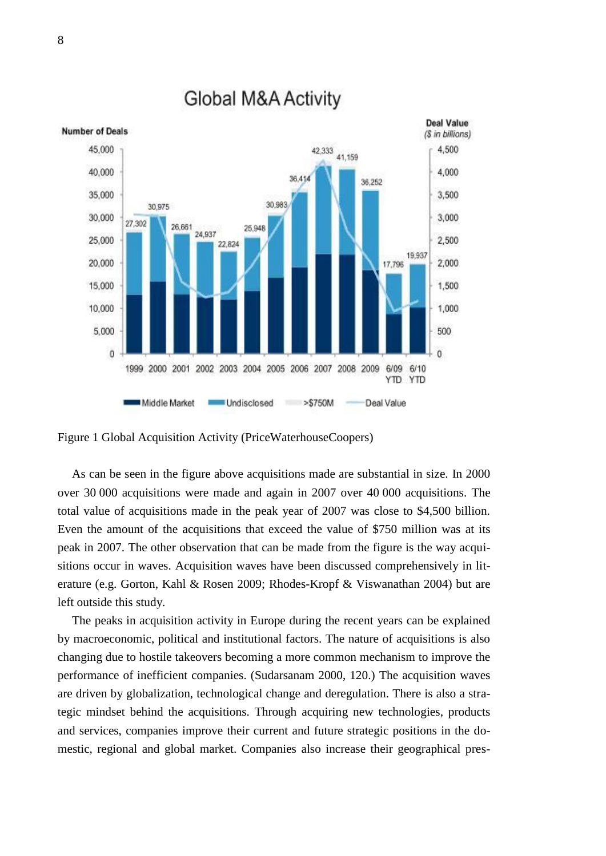

# **Global M&A Activity**

<span id="page-7-0"></span>Figure 1 Global Acquisition Activity (PriceWaterhouseCoopers)

As can be seen in the figure above acquisitions made are substantial in size. In 2000 over 30 000 acquisitions were made and again in 2007 over 40 000 acquisitions. The total value of acquisitions made in the peak year of 2007 was close to \$4,500 billion. Even the amount of the acquisitions that exceed the value of \$750 million was at its peak in 2007. The other observation that can be made from the figure is the way acquisitions occur in waves. Acquisition waves have been discussed comprehensively in literature (e.g. Gorton, Kahl & Rosen 2009; Rhodes-Kropf & Viswanathan 2004) but are left outside this study.

The peaks in acquisition activity in Europe during the recent years can be explained by macroeconomic, political and institutional factors. The nature of acquisitions is also changing due to hostile takeovers becoming a more common mechanism to improve the performance of inefficient companies. (Sudarsanam 2000, 120.) The acquisition waves are driven by globalization, technological change and deregulation. There is also a strategic mindset behind the acquisitions. Through acquiring new technologies, products and services, companies improve their current and future strategic positions in the domestic, regional and global market. Companies also increase their geographical pres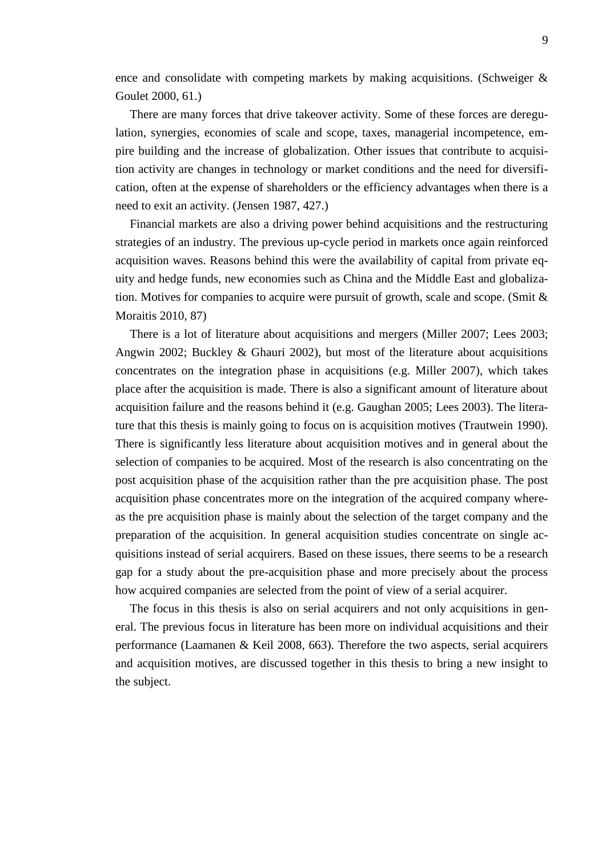ence and consolidate with competing markets by making acquisitions. (Schweiger & Goulet 2000, 61.)

There are many forces that drive takeover activity. Some of these forces are deregulation, synergies, economies of scale and scope, taxes, managerial incompetence, empire building and the increase of globalization. Other issues that contribute to acquisition activity are changes in technology or market conditions and the need for diversification, often at the expense of shareholders or the efficiency advantages when there is a need to exit an activity. (Jensen 1987, 427.)

Financial markets are also a driving power behind acquisitions and the restructuring strategies of an industry. The previous up-cycle period in markets once again reinforced acquisition waves. Reasons behind this were the availability of capital from private equity and hedge funds, new economies such as China and the Middle East and globalization. Motives for companies to acquire were pursuit of growth, scale and scope. (Smit & Moraitis 2010, 87)

There is a lot of literature about acquisitions and mergers (Miller 2007; Lees 2003; Angwin 2002; Buckley & Ghauri 2002), but most of the literature about acquisitions concentrates on the integration phase in acquisitions (e.g. Miller 2007), which takes place after the acquisition is made. There is also a significant amount of literature about acquisition failure and the reasons behind it (e.g. Gaughan 2005; Lees 2003). The literature that this thesis is mainly going to focus on is acquisition motives (Trautwein 1990). There is significantly less literature about acquisition motives and in general about the selection of companies to be acquired. Most of the research is also concentrating on the post acquisition phase of the acquisition rather than the pre acquisition phase. The post acquisition phase concentrates more on the integration of the acquired company whereas the pre acquisition phase is mainly about the selection of the target company and the preparation of the acquisition. In general acquisition studies concentrate on single acquisitions instead of serial acquirers. Based on these issues, there seems to be a research gap for a study about the pre-acquisition phase and more precisely about the process how acquired companies are selected from the point of view of a serial acquirer.

The focus in this thesis is also on serial acquirers and not only acquisitions in general. The previous focus in literature has been more on individual acquisitions and their performance (Laamanen & Keil 2008, 663). Therefore the two aspects, serial acquirers and acquisition motives, are discussed together in this thesis to bring a new insight to the subject.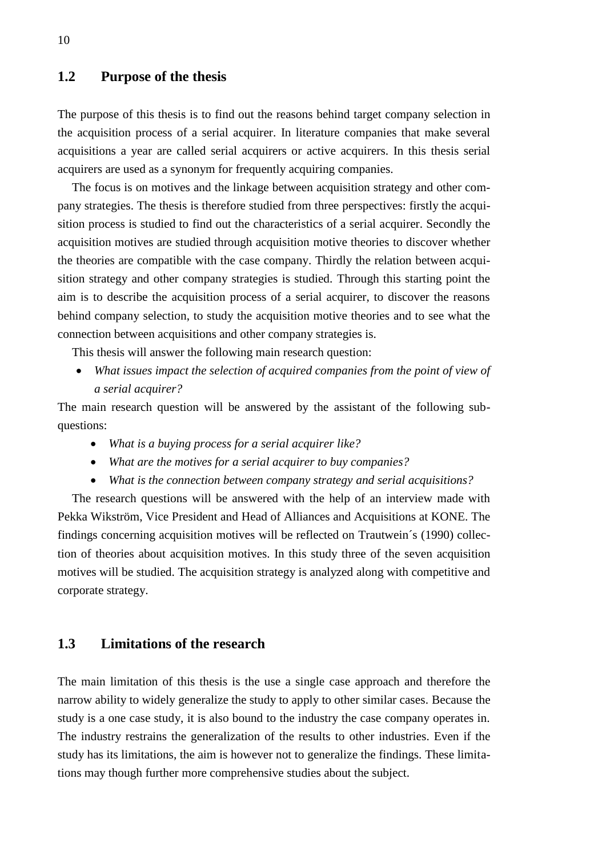### <span id="page-9-0"></span>**1.2 Purpose of the thesis**

The purpose of this thesis is to find out the reasons behind target company selection in the acquisition process of a serial acquirer. In literature companies that make several acquisitions a year are called serial acquirers or active acquirers. In this thesis serial acquirers are used as a synonym for frequently acquiring companies.

The focus is on motives and the linkage between acquisition strategy and other company strategies. The thesis is therefore studied from three perspectives: firstly the acquisition process is studied to find out the characteristics of a serial acquirer. Secondly the acquisition motives are studied through acquisition motive theories to discover whether the theories are compatible with the case company. Thirdly the relation between acquisition strategy and other company strategies is studied. Through this starting point the aim is to describe the acquisition process of a serial acquirer, to discover the reasons behind company selection, to study the acquisition motive theories and to see what the connection between acquisitions and other company strategies is.

This thesis will answer the following main research question:

 *What issues impact the selection of acquired companies from the point of view of a serial acquirer?*

The main research question will be answered by the assistant of the following subquestions:

- *What is a buying process for a serial acquirer like?*
- *What are the motives for a serial acquirer to buy companies?*
- *What is the connection between company strategy and serial acquisitions?*

The research questions will be answered with the help of an interview made with Pekka Wikström, Vice President and Head of Alliances and Acquisitions at KONE. The findings concerning acquisition motives will be reflected on Trautwein´s (1990) collection of theories about acquisition motives. In this study three of the seven acquisition motives will be studied. The acquisition strategy is analyzed along with competitive and corporate strategy.

### <span id="page-9-1"></span>**1.3 Limitations of the research**

The main limitation of this thesis is the use a single case approach and therefore the narrow ability to widely generalize the study to apply to other similar cases. Because the study is a one case study, it is also bound to the industry the case company operates in. The industry restrains the generalization of the results to other industries. Even if the study has its limitations, the aim is however not to generalize the findings. These limitations may though further more comprehensive studies about the subject.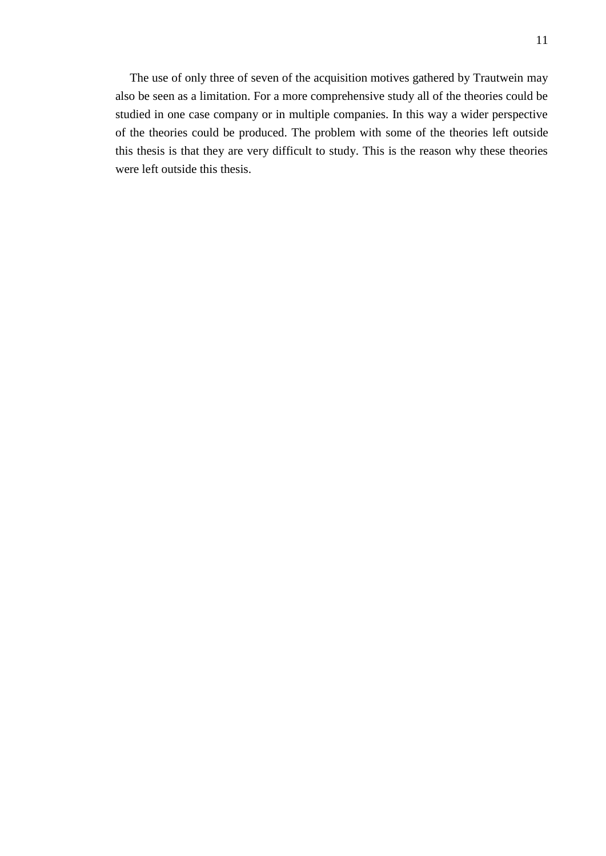The use of only three of seven of the acquisition motives gathered by Trautwein may also be seen as a limitation. For a more comprehensive study all of the theories could be studied in one case company or in multiple companies. In this way a wider perspective of the theories could be produced. The problem with some of the theories left outside this thesis is that they are very difficult to study. This is the reason why these theories were left outside this thesis.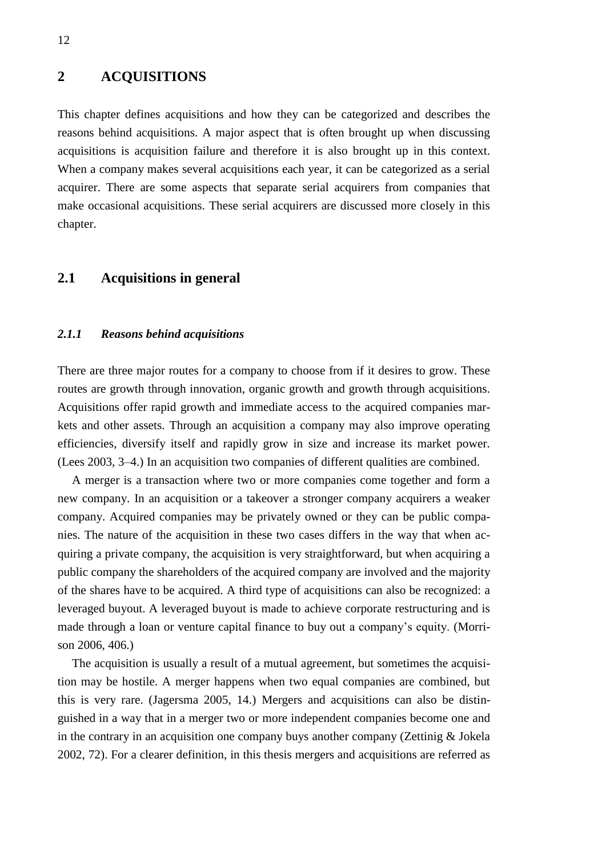### <span id="page-11-0"></span>**2 ACQUISITIONS**

This chapter defines acquisitions and how they can be categorized and describes the reasons behind acquisitions. A major aspect that is often brought up when discussing acquisitions is acquisition failure and therefore it is also brought up in this context. When a company makes several acquisitions each year, it can be categorized as a serial acquirer. There are some aspects that separate serial acquirers from companies that make occasional acquisitions. These serial acquirers are discussed more closely in this chapter.

### <span id="page-11-1"></span>**2.1 Acquisitions in general**

#### <span id="page-11-2"></span>*2.1.1 Reasons behind acquisitions*

There are three major routes for a company to choose from if it desires to grow. These routes are growth through innovation, organic growth and growth through acquisitions. Acquisitions offer rapid growth and immediate access to the acquired companies markets and other assets. Through an acquisition a company may also improve operating efficiencies, diversify itself and rapidly grow in size and increase its market power. (Lees 2003, 3–4.) In an acquisition two companies of different qualities are combined.

A merger is a transaction where two or more companies come together and form a new company. In an acquisition or a takeover a stronger company acquirers a weaker company. Acquired companies may be privately owned or they can be public companies. The nature of the acquisition in these two cases differs in the way that when acquiring a private company, the acquisition is very straightforward, but when acquiring a public company the shareholders of the acquired company are involved and the majority of the shares have to be acquired. A third type of acquisitions can also be recognized: a leveraged buyout. A leveraged buyout is made to achieve corporate restructuring and is made through a loan or venture capital finance to buy out a company's equity. (Morrison 2006, 406.)

The acquisition is usually a result of a mutual agreement, but sometimes the acquisition may be hostile. A merger happens when two equal companies are combined, but this is very rare. (Jagersma 2005, 14.) Mergers and acquisitions can also be distinguished in a way that in a merger two or more independent companies become one and in the contrary in an acquisition one company buys another company (Zettinig & Jokela 2002, 72). For a clearer definition, in this thesis mergers and acquisitions are referred as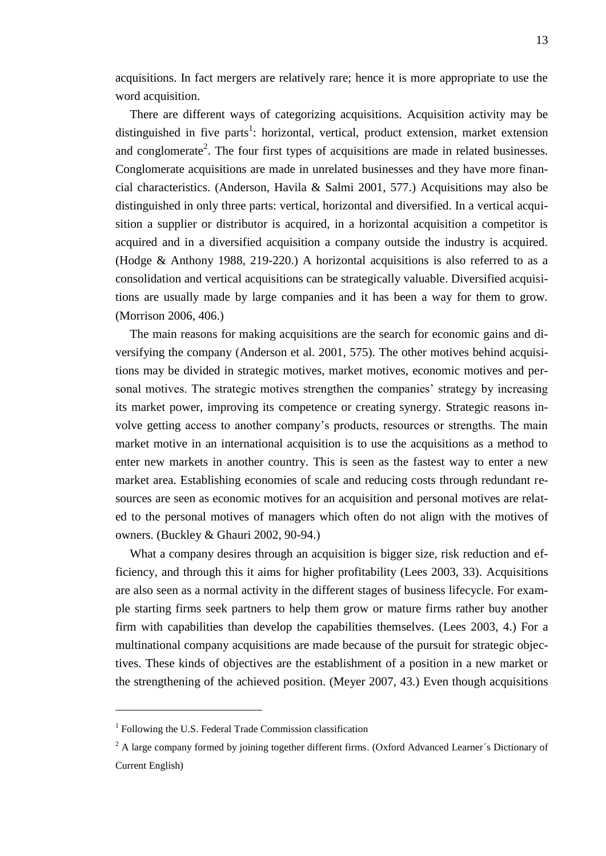acquisitions. In fact mergers are relatively rare; hence it is more appropriate to use the word acquisition.

There are different ways of categorizing acquisitions. Acquisition activity may be distinguished in five parts<sup>1</sup>: horizontal, vertical, product extension, market extension and conglomerate<sup>2</sup>. The four first types of acquisitions are made in related businesses. Conglomerate acquisitions are made in unrelated businesses and they have more financial characteristics. (Anderson, Havila & Salmi 2001, 577.) Acquisitions may also be distinguished in only three parts: vertical, horizontal and diversified. In a vertical acquisition a supplier or distributor is acquired, in a horizontal acquisition a competitor is acquired and in a diversified acquisition a company outside the industry is acquired. (Hodge & Anthony 1988, 219-220.) A horizontal acquisitions is also referred to as a consolidation and vertical acquisitions can be strategically valuable. Diversified acquisitions are usually made by large companies and it has been a way for them to grow. (Morrison 2006, 406.)

The main reasons for making acquisitions are the search for economic gains and diversifying the company (Anderson et al. 2001, 575). The other motives behind acquisitions may be divided in strategic motives, market motives, economic motives and personal motives. The strategic motives strengthen the companies' strategy by increasing its market power, improving its competence or creating synergy. Strategic reasons involve getting access to another company's products, resources or strengths. The main market motive in an international acquisition is to use the acquisitions as a method to enter new markets in another country. This is seen as the fastest way to enter a new market area. Establishing economies of scale and reducing costs through redundant resources are seen as economic motives for an acquisition and personal motives are related to the personal motives of managers which often do not align with the motives of owners. (Buckley & Ghauri 2002, 90-94.)

What a company desires through an acquisition is bigger size, risk reduction and efficiency, and through this it aims for higher profitability (Lees 2003, 33). Acquisitions are also seen as a normal activity in the different stages of business lifecycle. For example starting firms seek partners to help them grow or mature firms rather buy another firm with capabilities than develop the capabilities themselves. (Lees 2003, 4.) For a multinational company acquisitions are made because of the pursuit for strategic objectives. These kinds of objectives are the establishment of a position in a new market or the strengthening of the achieved position. (Meyer 2007, 43.) Even though acquisitions

 $\overline{a}$ 

<sup>&</sup>lt;sup>1</sup> Following the U.S. Federal Trade Commission classification

 $2$  A large company formed by joining together different firms. (Oxford Advanced Learner's Dictionary of Current English)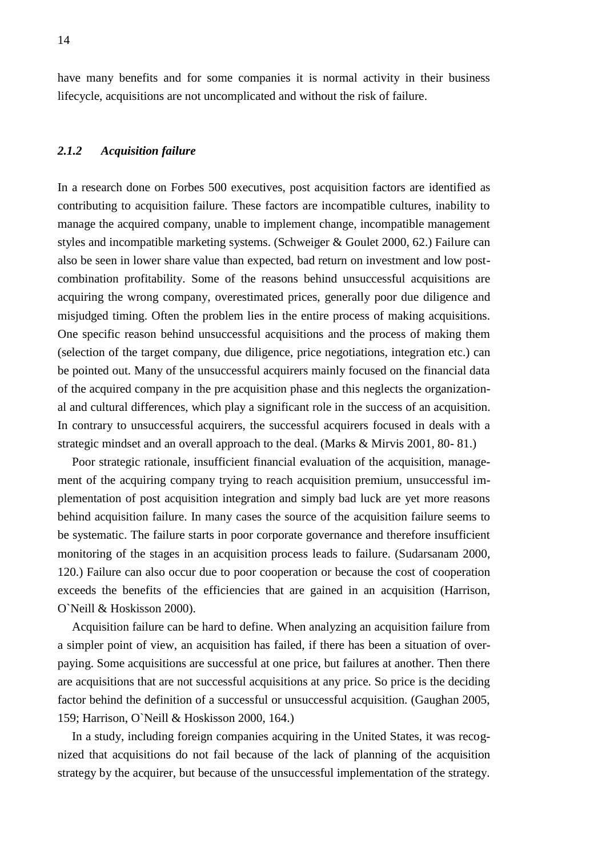<span id="page-13-0"></span>have many benefits and for some companies it is normal activity in their business lifecycle, acquisitions are not uncomplicated and without the risk of failure.

#### *2.1.2 Acquisition failure*

In a research done on Forbes 500 executives, post acquisition factors are identified as contributing to acquisition failure. These factors are incompatible cultures, inability to manage the acquired company, unable to implement change, incompatible management styles and incompatible marketing systems. (Schweiger & Goulet 2000, 62.) Failure can also be seen in lower share value than expected, bad return on investment and low postcombination profitability. Some of the reasons behind unsuccessful acquisitions are acquiring the wrong company, overestimated prices, generally poor due diligence and misjudged timing. Often the problem lies in the entire process of making acquisitions. One specific reason behind unsuccessful acquisitions and the process of making them (selection of the target company, due diligence, price negotiations, integration etc.) can be pointed out. Many of the unsuccessful acquirers mainly focused on the financial data of the acquired company in the pre acquisition phase and this neglects the organizational and cultural differences, which play a significant role in the success of an acquisition. In contrary to unsuccessful acquirers, the successful acquirers focused in deals with a strategic mindset and an overall approach to the deal. (Marks & Mirvis 2001, 80- 81.)

Poor strategic rationale, insufficient financial evaluation of the acquisition, management of the acquiring company trying to reach acquisition premium, unsuccessful implementation of post acquisition integration and simply bad luck are yet more reasons behind acquisition failure. In many cases the source of the acquisition failure seems to be systematic. The failure starts in poor corporate governance and therefore insufficient monitoring of the stages in an acquisition process leads to failure. (Sudarsanam 2000, 120.) Failure can also occur due to poor cooperation or because the cost of cooperation exceeds the benefits of the efficiencies that are gained in an acquisition (Harrison, O`Neill & Hoskisson 2000).

Acquisition failure can be hard to define. When analyzing an acquisition failure from a simpler point of view, an acquisition has failed, if there has been a situation of overpaying. Some acquisitions are successful at one price, but failures at another. Then there are acquisitions that are not successful acquisitions at any price. So price is the deciding factor behind the definition of a successful or unsuccessful acquisition. (Gaughan 2005, 159; Harrison, O`Neill & Hoskisson 2000, 164.)

In a study, including foreign companies acquiring in the United States, it was recognized that acquisitions do not fail because of the lack of planning of the acquisition strategy by the acquirer, but because of the unsuccessful implementation of the strategy.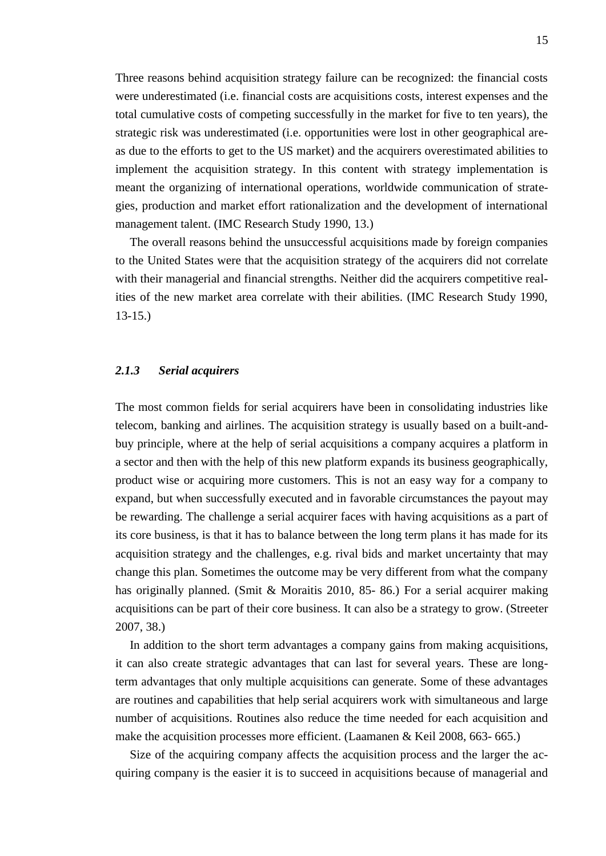Three reasons behind acquisition strategy failure can be recognized: the financial costs were underestimated (i.e. financial costs are acquisitions costs, interest expenses and the total cumulative costs of competing successfully in the market for five to ten years), the strategic risk was underestimated (i.e. opportunities were lost in other geographical areas due to the efforts to get to the US market) and the acquirers overestimated abilities to implement the acquisition strategy. In this content with strategy implementation is meant the organizing of international operations, worldwide communication of strategies, production and market effort rationalization and the development of international management talent. (IMC Research Study 1990, 13.)

The overall reasons behind the unsuccessful acquisitions made by foreign companies to the United States were that the acquisition strategy of the acquirers did not correlate with their managerial and financial strengths. Neither did the acquirers competitive realities of the new market area correlate with their abilities. (IMC Research Study 1990, 13-15.)

#### <span id="page-14-0"></span>*2.1.3 Serial acquirers*

The most common fields for serial acquirers have been in consolidating industries like telecom, banking and airlines. The acquisition strategy is usually based on a built-andbuy principle, where at the help of serial acquisitions a company acquires a platform in a sector and then with the help of this new platform expands its business geographically, product wise or acquiring more customers. This is not an easy way for a company to expand, but when successfully executed and in favorable circumstances the payout may be rewarding. The challenge a serial acquirer faces with having acquisitions as a part of its core business, is that it has to balance between the long term plans it has made for its acquisition strategy and the challenges, e.g. rival bids and market uncertainty that may change this plan. Sometimes the outcome may be very different from what the company has originally planned. (Smit & Moraitis 2010, 85-86.) For a serial acquirer making acquisitions can be part of their core business. It can also be a strategy to grow. (Streeter 2007, 38.)

In addition to the short term advantages a company gains from making acquisitions, it can also create strategic advantages that can last for several years. These are longterm advantages that only multiple acquisitions can generate. Some of these advantages are routines and capabilities that help serial acquirers work with simultaneous and large number of acquisitions. Routines also reduce the time needed for each acquisition and make the acquisition processes more efficient. (Laamanen & Keil 2008, 663- 665.)

Size of the acquiring company affects the acquisition process and the larger the acquiring company is the easier it is to succeed in acquisitions because of managerial and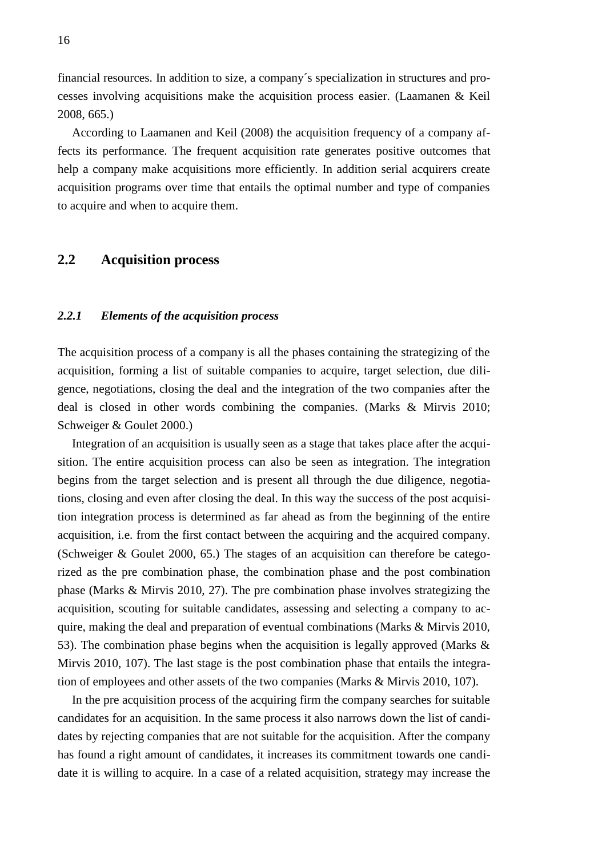financial resources. In addition to size, a company´s specialization in structures and processes involving acquisitions make the acquisition process easier. (Laamanen & Keil 2008, 665.)

According to Laamanen and Keil (2008) the acquisition frequency of a company affects its performance. The frequent acquisition rate generates positive outcomes that help a company make acquisitions more efficiently. In addition serial acquirers create acquisition programs over time that entails the optimal number and type of companies to acquire and when to acquire them.

### <span id="page-15-0"></span>**2.2 Acquisition process**

#### <span id="page-15-1"></span>*2.2.1 Elements of the acquisition process*

The acquisition process of a company is all the phases containing the strategizing of the acquisition, forming a list of suitable companies to acquire, target selection, due diligence, negotiations, closing the deal and the integration of the two companies after the deal is closed in other words combining the companies. (Marks & Mirvis 2010; Schweiger & Goulet 2000.)

Integration of an acquisition is usually seen as a stage that takes place after the acquisition. The entire acquisition process can also be seen as integration. The integration begins from the target selection and is present all through the due diligence, negotiations, closing and even after closing the deal. In this way the success of the post acquisition integration process is determined as far ahead as from the beginning of the entire acquisition, i.e. from the first contact between the acquiring and the acquired company. (Schweiger & Goulet 2000, 65.) The stages of an acquisition can therefore be categorized as the pre combination phase, the combination phase and the post combination phase (Marks & Mirvis 2010, 27). The pre combination phase involves strategizing the acquisition, scouting for suitable candidates, assessing and selecting a company to acquire, making the deal and preparation of eventual combinations (Marks & Mirvis 2010, 53). The combination phase begins when the acquisition is legally approved (Marks & Mirvis 2010, 107). The last stage is the post combination phase that entails the integration of employees and other assets of the two companies (Marks & Mirvis 2010, 107).

In the pre acquisition process of the acquiring firm the company searches for suitable candidates for an acquisition. In the same process it also narrows down the list of candidates by rejecting companies that are not suitable for the acquisition. After the company has found a right amount of candidates, it increases its commitment towards one candidate it is willing to acquire. In a case of a related acquisition, strategy may increase the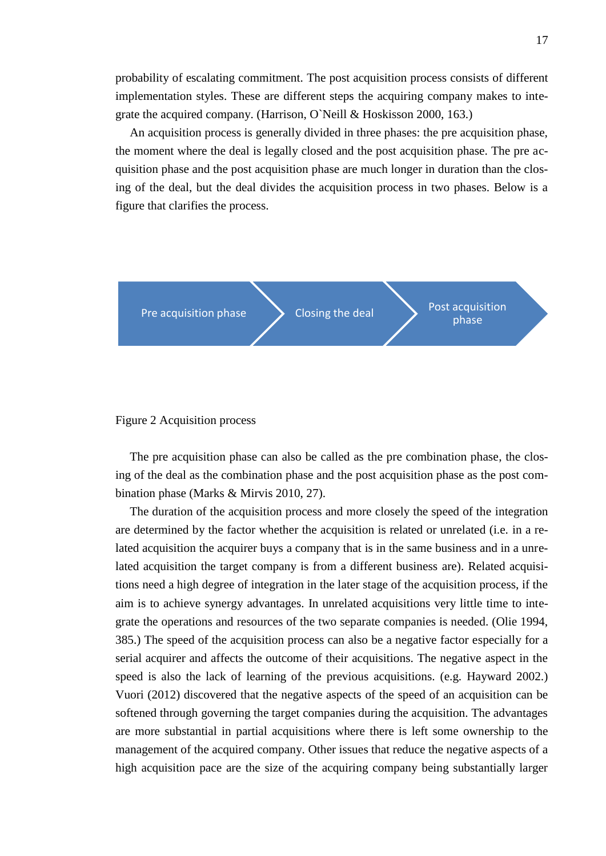probability of escalating commitment. The post acquisition process consists of different implementation styles. These are different steps the acquiring company makes to integrate the acquired company. (Harrison, O`Neill & Hoskisson 2000, 163.)

An acquisition process is generally divided in three phases: the pre acquisition phase, the moment where the deal is legally closed and the post acquisition phase. The pre acquisition phase and the post acquisition phase are much longer in duration than the closing of the deal, but the deal divides the acquisition process in two phases. Below is a figure that clarifies the process.



<span id="page-16-0"></span>

The pre acquisition phase can also be called as the pre combination phase, the closing of the deal as the combination phase and the post acquisition phase as the post combination phase (Marks & Mirvis 2010, 27).

The duration of the acquisition process and more closely the speed of the integration are determined by the factor whether the acquisition is related or unrelated (i.e. in a related acquisition the acquirer buys a company that is in the same business and in a unrelated acquisition the target company is from a different business are). Related acquisitions need a high degree of integration in the later stage of the acquisition process, if the aim is to achieve synergy advantages. In unrelated acquisitions very little time to integrate the operations and resources of the two separate companies is needed. (Olie 1994, 385.) The speed of the acquisition process can also be a negative factor especially for a serial acquirer and affects the outcome of their acquisitions. The negative aspect in the speed is also the lack of learning of the previous acquisitions. (e.g. Hayward 2002.) Vuori (2012) discovered that the negative aspects of the speed of an acquisition can be softened through governing the target companies during the acquisition. The advantages are more substantial in partial acquisitions where there is left some ownership to the management of the acquired company. Other issues that reduce the negative aspects of a high acquisition pace are the size of the acquiring company being substantially larger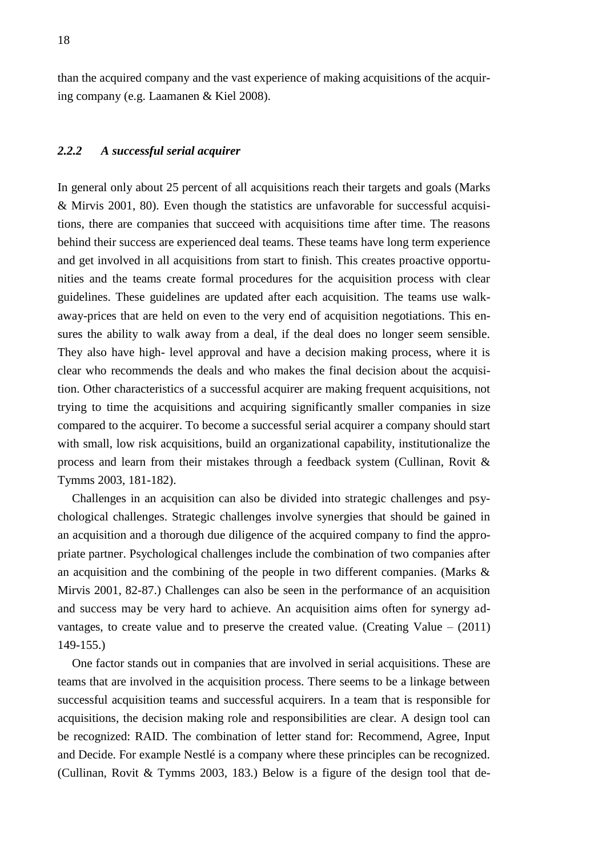<span id="page-17-0"></span>than the acquired company and the vast experience of making acquisitions of the acquiring company (e.g. Laamanen & Kiel 2008).

#### *2.2.2 A successful serial acquirer*

In general only about 25 percent of all acquisitions reach their targets and goals (Marks & Mirvis 2001, 80). Even though the statistics are unfavorable for successful acquisitions, there are companies that succeed with acquisitions time after time. The reasons behind their success are experienced deal teams. These teams have long term experience and get involved in all acquisitions from start to finish. This creates proactive opportunities and the teams create formal procedures for the acquisition process with clear guidelines. These guidelines are updated after each acquisition. The teams use walkaway-prices that are held on even to the very end of acquisition negotiations. This ensures the ability to walk away from a deal, if the deal does no longer seem sensible. They also have high- level approval and have a decision making process, where it is clear who recommends the deals and who makes the final decision about the acquisition. Other characteristics of a successful acquirer are making frequent acquisitions, not trying to time the acquisitions and acquiring significantly smaller companies in size compared to the acquirer. To become a successful serial acquirer a company should start with small, low risk acquisitions, build an organizational capability, institutionalize the process and learn from their mistakes through a feedback system (Cullinan, Rovit & Tymms 2003, 181-182).

Challenges in an acquisition can also be divided into strategic challenges and psychological challenges. Strategic challenges involve synergies that should be gained in an acquisition and a thorough due diligence of the acquired company to find the appropriate partner. Psychological challenges include the combination of two companies after an acquisition and the combining of the people in two different companies. (Marks & Mirvis 2001, 82-87.) Challenges can also be seen in the performance of an acquisition and success may be very hard to achieve. An acquisition aims often for synergy advantages, to create value and to preserve the created value. (Creating Value – (2011) 149-155.)

One factor stands out in companies that are involved in serial acquisitions. These are teams that are involved in the acquisition process. There seems to be a linkage between successful acquisition teams and successful acquirers. In a team that is responsible for acquisitions, the decision making role and responsibilities are clear. A design tool can be recognized: RAID. The combination of letter stand for: Recommend, Agree, Input and Decide. For example Nestlé is a company where these principles can be recognized. (Cullinan, Rovit & Tymms 2003, 183.) Below is a figure of the design tool that de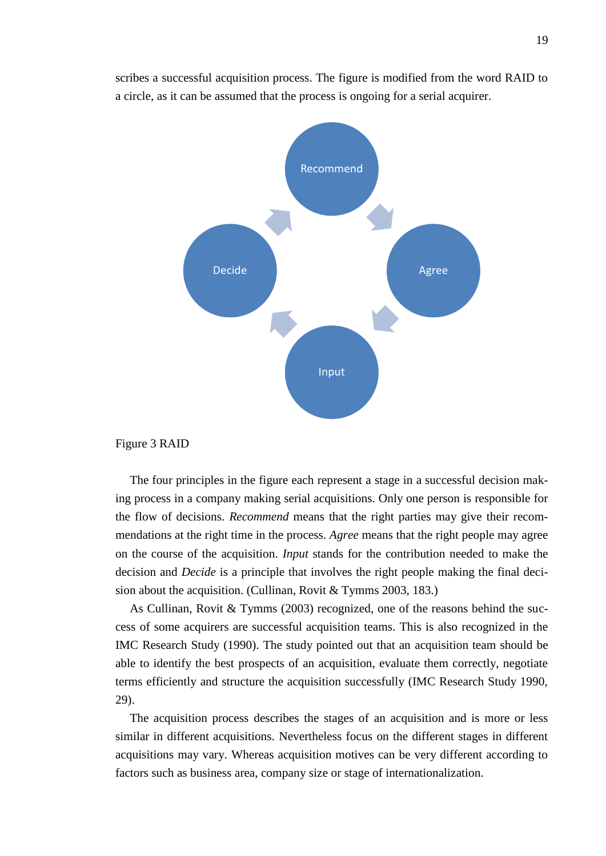scribes a successful acquisition process. The figure is modified from the word RAID to a circle, as it can be assumed that the process is ongoing for a serial acquirer.



#### <span id="page-18-0"></span>Figure 3 RAID

The four principles in the figure each represent a stage in a successful decision making process in a company making serial acquisitions. Only one person is responsible for the flow of decisions. *Recommend* means that the right parties may give their recommendations at the right time in the process. *Agree* means that the right people may agree on the course of the acquisition. *Input* stands for the contribution needed to make the decision and *Decide* is a principle that involves the right people making the final decision about the acquisition. (Cullinan, Rovit & Tymms 2003, 183.)

As Cullinan, Rovit & Tymms (2003) recognized, one of the reasons behind the success of some acquirers are successful acquisition teams. This is also recognized in the IMC Research Study (1990). The study pointed out that an acquisition team should be able to identify the best prospects of an acquisition, evaluate them correctly, negotiate terms efficiently and structure the acquisition successfully (IMC Research Study 1990, 29).

The acquisition process describes the stages of an acquisition and is more or less similar in different acquisitions. Nevertheless focus on the different stages in different acquisitions may vary. Whereas acquisition motives can be very different according to factors such as business area, company size or stage of internationalization.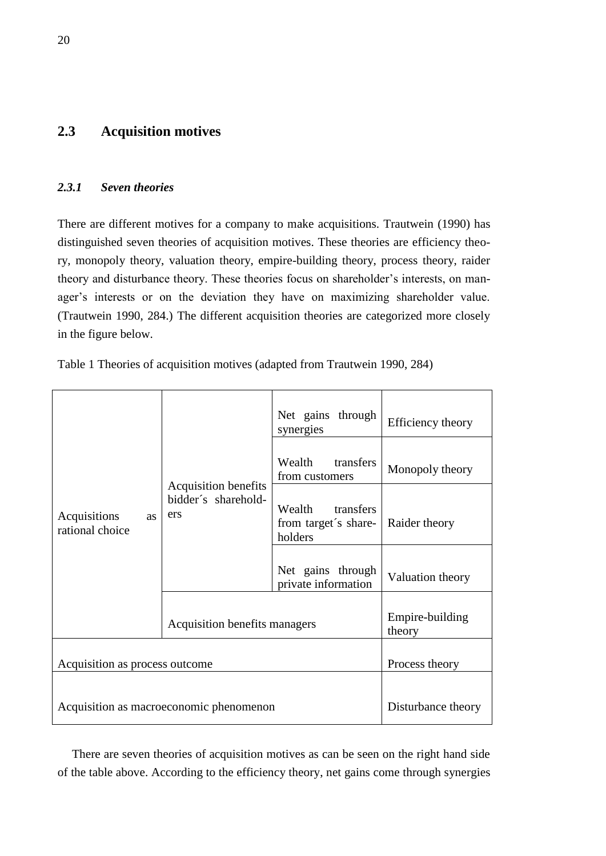### <span id="page-19-0"></span>**2.3 Acquisition motives**

#### <span id="page-19-1"></span>*2.3.1 Seven theories*

There are different motives for a company to make acquisitions. Trautwein (1990) has distinguished seven theories of acquisition motives. These theories are efficiency theory, monopoly theory, valuation theory, empire-building theory, process theory, raider theory and disturbance theory. These theories focus on shareholder's interests, on manager's interests or on the deviation they have on maximizing shareholder value. (Trautwein 1990, 284.) The different acquisition theories are categorized more closely in the figure below.

|                                              | Acquisition benefits<br>bidder's sharehold-<br>ers | Net gains through<br>synergies                         | Efficiency theory         |
|----------------------------------------------|----------------------------------------------------|--------------------------------------------------------|---------------------------|
|                                              |                                                    | Wealth transfers<br>from customers                     | Monopoly theory           |
| Acquisitions<br><b>as</b><br>rational choice |                                                    | Wealth<br>transfers<br>from target's share-<br>holders | Raider theory             |
|                                              |                                                    | Net gains through<br>private information               | Valuation theory          |
|                                              | Acquisition benefits managers                      |                                                        | Empire-building<br>theory |
| Acquisition as process outcome               | Process theory                                     |                                                        |                           |
| Acquisition as macroeconomic phenomenon      |                                                    |                                                        | Disturbance theory        |

<span id="page-19-2"></span>Table 1 Theories of acquisition motives (adapted from Trautwein 1990, 284)

There are seven theories of acquisition motives as can be seen on the right hand side of the table above. According to the efficiency theory, net gains come through synergies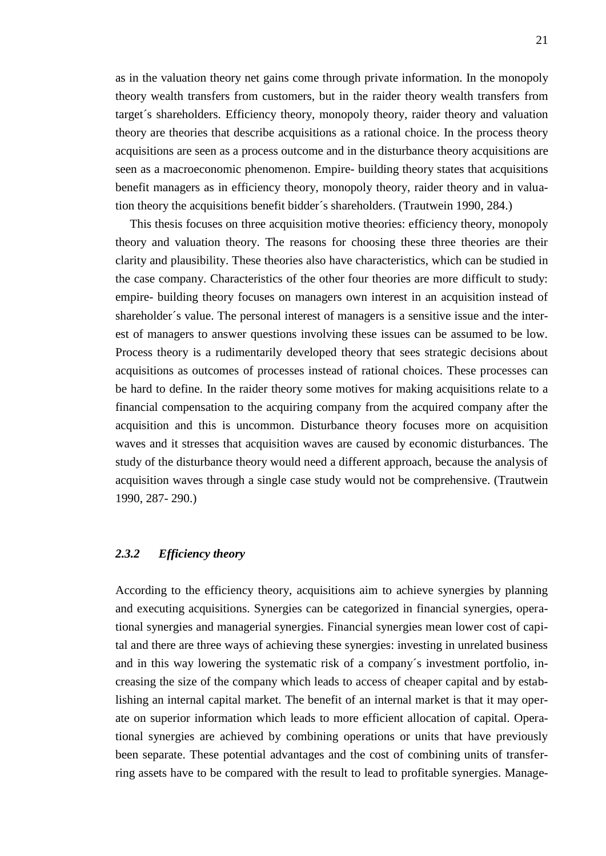as in the valuation theory net gains come through private information. In the monopoly theory wealth transfers from customers, but in the raider theory wealth transfers from target´s shareholders. Efficiency theory, monopoly theory, raider theory and valuation theory are theories that describe acquisitions as a rational choice. In the process theory acquisitions are seen as a process outcome and in the disturbance theory acquisitions are seen as a macroeconomic phenomenon. Empire- building theory states that acquisitions benefit managers as in efficiency theory, monopoly theory, raider theory and in valuation theory the acquisitions benefit bidder´s shareholders. (Trautwein 1990, 284.)

This thesis focuses on three acquisition motive theories: efficiency theory, monopoly theory and valuation theory. The reasons for choosing these three theories are their clarity and plausibility. These theories also have characteristics, which can be studied in the case company. Characteristics of the other four theories are more difficult to study: empire- building theory focuses on managers own interest in an acquisition instead of shareholder´s value. The personal interest of managers is a sensitive issue and the interest of managers to answer questions involving these issues can be assumed to be low. Process theory is a rudimentarily developed theory that sees strategic decisions about acquisitions as outcomes of processes instead of rational choices. These processes can be hard to define. In the raider theory some motives for making acquisitions relate to a financial compensation to the acquiring company from the acquired company after the acquisition and this is uncommon. Disturbance theory focuses more on acquisition waves and it stresses that acquisition waves are caused by economic disturbances. The study of the disturbance theory would need a different approach, because the analysis of acquisition waves through a single case study would not be comprehensive. (Trautwein 1990, 287- 290.)

#### <span id="page-20-0"></span>*2.3.2 Efficiency theory*

According to the efficiency theory, acquisitions aim to achieve synergies by planning and executing acquisitions. Synergies can be categorized in financial synergies, operational synergies and managerial synergies. Financial synergies mean lower cost of capital and there are three ways of achieving these synergies: investing in unrelated business and in this way lowering the systematic risk of a company´s investment portfolio, increasing the size of the company which leads to access of cheaper capital and by establishing an internal capital market. The benefit of an internal market is that it may operate on superior information which leads to more efficient allocation of capital. Operational synergies are achieved by combining operations or units that have previously been separate. These potential advantages and the cost of combining units of transferring assets have to be compared with the result to lead to profitable synergies. Manage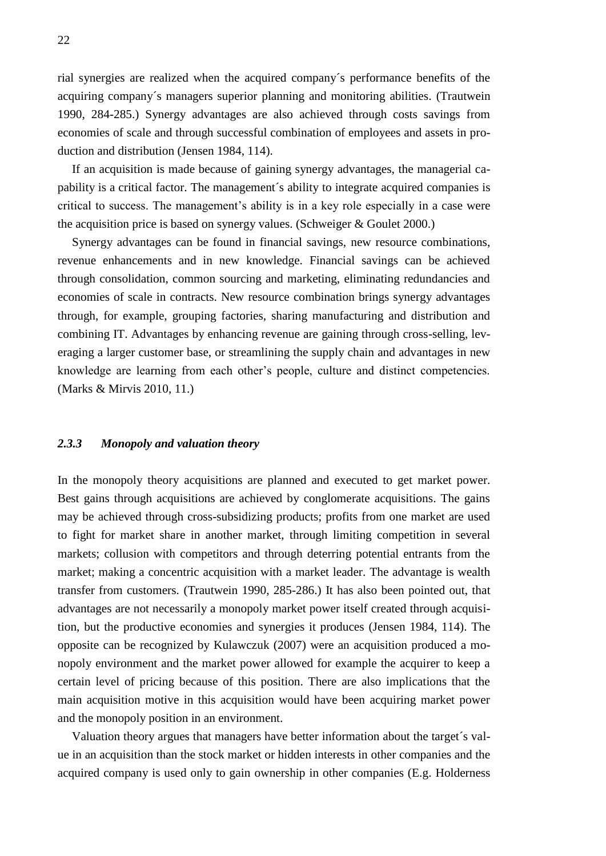rial synergies are realized when the acquired company´s performance benefits of the acquiring company´s managers superior planning and monitoring abilities. (Trautwein 1990, 284-285.) Synergy advantages are also achieved through costs savings from economies of scale and through successful combination of employees and assets in production and distribution (Jensen 1984, 114).

If an acquisition is made because of gaining synergy advantages, the managerial capability is a critical factor. The management´s ability to integrate acquired companies is critical to success. The management's ability is in a key role especially in a case were the acquisition price is based on synergy values. (Schweiger & Goulet 2000.)

Synergy advantages can be found in financial savings, new resource combinations, revenue enhancements and in new knowledge. Financial savings can be achieved through consolidation, common sourcing and marketing, eliminating redundancies and economies of scale in contracts. New resource combination brings synergy advantages through, for example, grouping factories, sharing manufacturing and distribution and combining IT. Advantages by enhancing revenue are gaining through cross-selling, leveraging a larger customer base, or streamlining the supply chain and advantages in new knowledge are learning from each other's people, culture and distinct competencies. (Marks & Mirvis 2010, 11.)

#### <span id="page-21-0"></span>*2.3.3 Monopoly and valuation theory*

In the monopoly theory acquisitions are planned and executed to get market power. Best gains through acquisitions are achieved by conglomerate acquisitions. The gains may be achieved through cross-subsidizing products; profits from one market are used to fight for market share in another market, through limiting competition in several markets; collusion with competitors and through deterring potential entrants from the market; making a concentric acquisition with a market leader. The advantage is wealth transfer from customers. (Trautwein 1990, 285-286.) It has also been pointed out, that advantages are not necessarily a monopoly market power itself created through acquisition, but the productive economies and synergies it produces (Jensen 1984, 114). The opposite can be recognized by Kulawczuk (2007) were an acquisition produced a monopoly environment and the market power allowed for example the acquirer to keep a certain level of pricing because of this position. There are also implications that the main acquisition motive in this acquisition would have been acquiring market power and the monopoly position in an environment.

Valuation theory argues that managers have better information about the target´s value in an acquisition than the stock market or hidden interests in other companies and the acquired company is used only to gain ownership in other companies (E.g. Holderness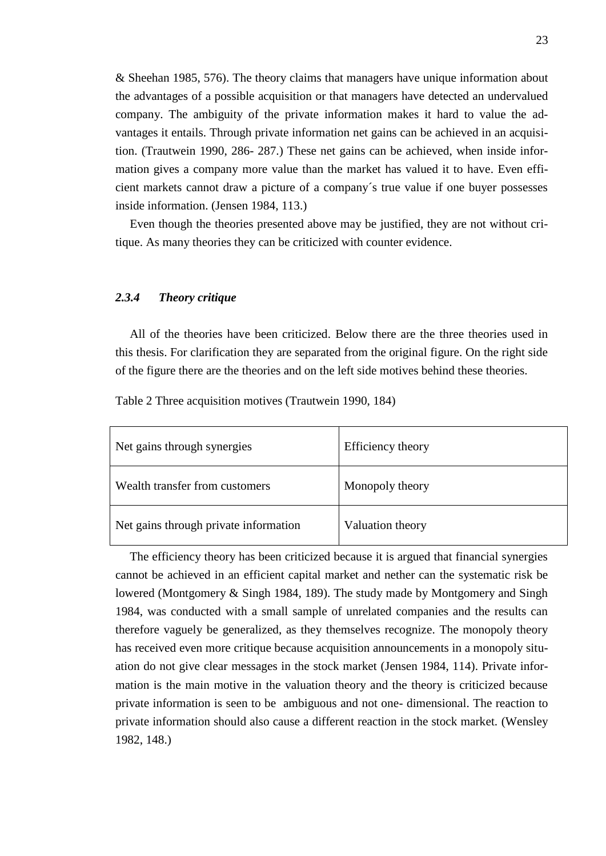& Sheehan 1985, 576). The theory claims that managers have unique information about the advantages of a possible acquisition or that managers have detected an undervalued company. The ambiguity of the private information makes it hard to value the advantages it entails. Through private information net gains can be achieved in an acquisition. (Trautwein 1990, 286- 287.) These net gains can be achieved, when inside information gives a company more value than the market has valued it to have. Even efficient markets cannot draw a picture of a company´s true value if one buyer possesses inside information. (Jensen 1984, 113.)

<span id="page-22-0"></span>Even though the theories presented above may be justified, they are not without critique. As many theories they can be criticized with counter evidence.

#### *2.3.4 Theory critique*

All of the theories have been criticized. Below there are the three theories used in this thesis. For clarification they are separated from the original figure. On the right side of the figure there are the theories and on the left side motives behind these theories.

| Net gains through synergies           | Efficiency theory |
|---------------------------------------|-------------------|
| Wealth transfer from customers        | Monopoly theory   |
| Net gains through private information | Valuation theory  |

<span id="page-22-1"></span>Table 2 Three acquisition motives (Trautwein 1990, 184)

The efficiency theory has been criticized because it is argued that financial synergies cannot be achieved in an efficient capital market and nether can the systematic risk be lowered (Montgomery & Singh 1984, 189). The study made by Montgomery and Singh 1984, was conducted with a small sample of unrelated companies and the results can therefore vaguely be generalized, as they themselves recognize. The monopoly theory has received even more critique because acquisition announcements in a monopoly situation do not give clear messages in the stock market (Jensen 1984, 114). Private information is the main motive in the valuation theory and the theory is criticized because private information is seen to be ambiguous and not one- dimensional. The reaction to private information should also cause a different reaction in the stock market. (Wensley 1982, 148.)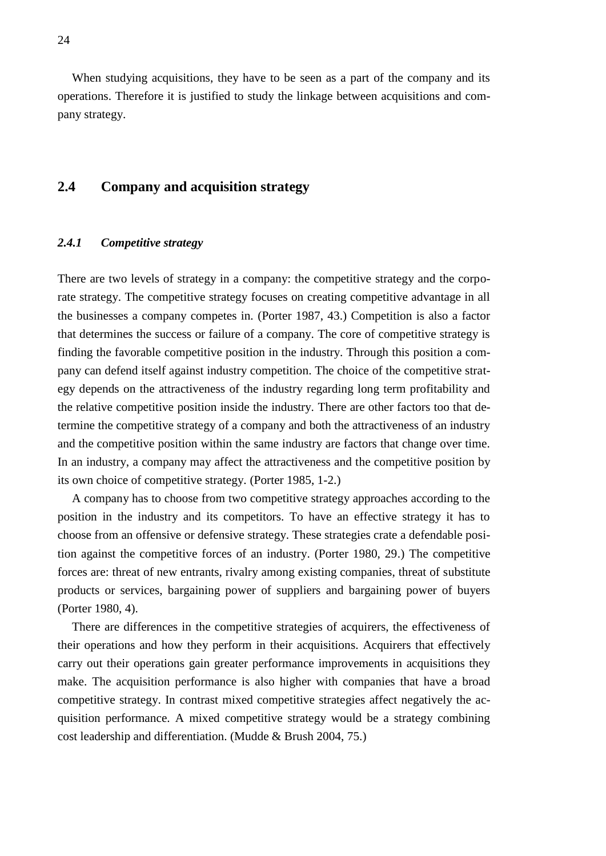When studying acquisitions, they have to be seen as a part of the company and its operations. Therefore it is justified to study the linkage between acquisitions and company strategy.

### <span id="page-23-0"></span>**2.4 Company and acquisition strategy**

#### <span id="page-23-1"></span>*2.4.1 Competitive strategy*

There are two levels of strategy in a company: the competitive strategy and the corporate strategy. The competitive strategy focuses on creating competitive advantage in all the businesses a company competes in. (Porter 1987, 43.) Competition is also a factor that determines the success or failure of a company. The core of competitive strategy is finding the favorable competitive position in the industry. Through this position a company can defend itself against industry competition. The choice of the competitive strategy depends on the attractiveness of the industry regarding long term profitability and the relative competitive position inside the industry. There are other factors too that determine the competitive strategy of a company and both the attractiveness of an industry and the competitive position within the same industry are factors that change over time. In an industry, a company may affect the attractiveness and the competitive position by its own choice of competitive strategy. (Porter 1985, 1-2.)

A company has to choose from two competitive strategy approaches according to the position in the industry and its competitors. To have an effective strategy it has to choose from an offensive or defensive strategy. These strategies crate a defendable position against the competitive forces of an industry. (Porter 1980, 29.) The competitive forces are: threat of new entrants, rivalry among existing companies, threat of substitute products or services, bargaining power of suppliers and bargaining power of buyers (Porter 1980, 4).

There are differences in the competitive strategies of acquirers, the effectiveness of their operations and how they perform in their acquisitions. Acquirers that effectively carry out their operations gain greater performance improvements in acquisitions they make. The acquisition performance is also higher with companies that have a broad competitive strategy. In contrast mixed competitive strategies affect negatively the acquisition performance. A mixed competitive strategy would be a strategy combining cost leadership and differentiation. (Mudde & Brush 2004, 75.)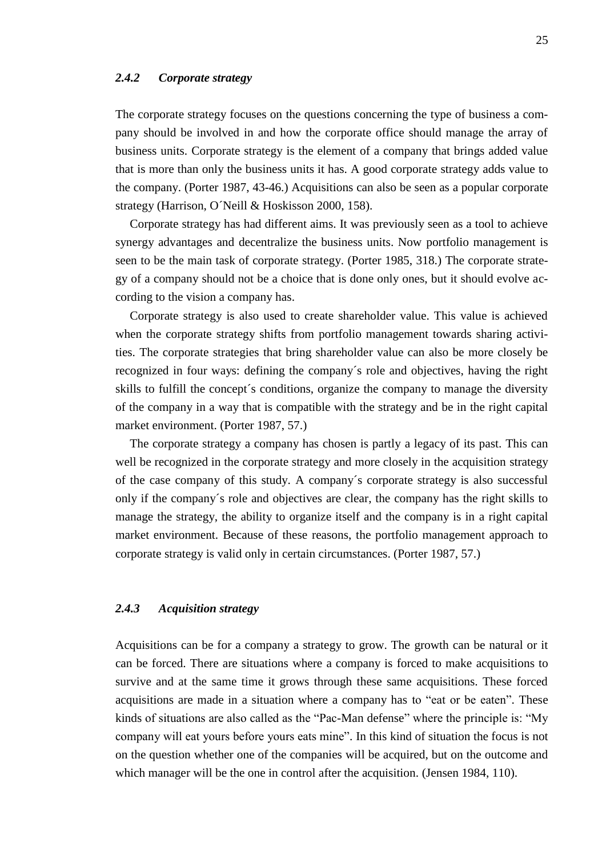#### <span id="page-24-0"></span>*2.4.2 Corporate strategy*

The corporate strategy focuses on the questions concerning the type of business a company should be involved in and how the corporate office should manage the array of business units. Corporate strategy is the element of a company that brings added value that is more than only the business units it has. A good corporate strategy adds value to the company. (Porter 1987, 43-46.) Acquisitions can also be seen as a popular corporate strategy (Harrison, O´Neill & Hoskisson 2000, 158).

Corporate strategy has had different aims. It was previously seen as a tool to achieve synergy advantages and decentralize the business units. Now portfolio management is seen to be the main task of corporate strategy. (Porter 1985, 318.) The corporate strategy of a company should not be a choice that is done only ones, but it should evolve according to the vision a company has.

Corporate strategy is also used to create shareholder value. This value is achieved when the corporate strategy shifts from portfolio management towards sharing activities. The corporate strategies that bring shareholder value can also be more closely be recognized in four ways: defining the company´s role and objectives, having the right skills to fulfill the concept´s conditions, organize the company to manage the diversity of the company in a way that is compatible with the strategy and be in the right capital market environment. (Porter 1987, 57.)

The corporate strategy a company has chosen is partly a legacy of its past. This can well be recognized in the corporate strategy and more closely in the acquisition strategy of the case company of this study. A company´s corporate strategy is also successful only if the company´s role and objectives are clear, the company has the right skills to manage the strategy, the ability to organize itself and the company is in a right capital market environment. Because of these reasons, the portfolio management approach to corporate strategy is valid only in certain circumstances. (Porter 1987, 57.)

#### <span id="page-24-1"></span>*2.4.3 Acquisition strategy*

Acquisitions can be for a company a strategy to grow. The growth can be natural or it can be forced. There are situations where a company is forced to make acquisitions to survive and at the same time it grows through these same acquisitions. These forced acquisitions are made in a situation where a company has to "eat or be eaten". These kinds of situations are also called as the "Pac-Man defense" where the principle is: "My company will eat yours before yours eats mine". In this kind of situation the focus is not on the question whether one of the companies will be acquired, but on the outcome and which manager will be the one in control after the acquisition. (Jensen 1984, 110).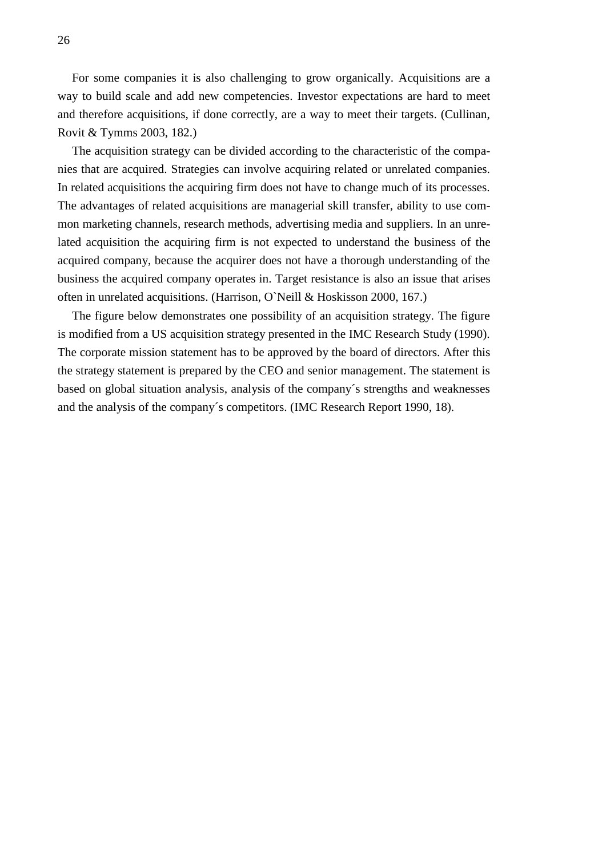For some companies it is also challenging to grow organically. Acquisitions are a way to build scale and add new competencies. Investor expectations are hard to meet and therefore acquisitions, if done correctly, are a way to meet their targets. (Cullinan, Rovit & Tymms 2003, 182.)

The acquisition strategy can be divided according to the characteristic of the companies that are acquired. Strategies can involve acquiring related or unrelated companies. In related acquisitions the acquiring firm does not have to change much of its processes. The advantages of related acquisitions are managerial skill transfer, ability to use common marketing channels, research methods, advertising media and suppliers. In an unrelated acquisition the acquiring firm is not expected to understand the business of the acquired company, because the acquirer does not have a thorough understanding of the business the acquired company operates in. Target resistance is also an issue that arises often in unrelated acquisitions. (Harrison, O`Neill & Hoskisson 2000, 167.)

The figure below demonstrates one possibility of an acquisition strategy. The figure is modified from a US acquisition strategy presented in the IMC Research Study (1990). The corporate mission statement has to be approved by the board of directors. After this the strategy statement is prepared by the CEO and senior management. The statement is based on global situation analysis, analysis of the company´s strengths and weaknesses and the analysis of the company´s competitors. (IMC Research Report 1990, 18).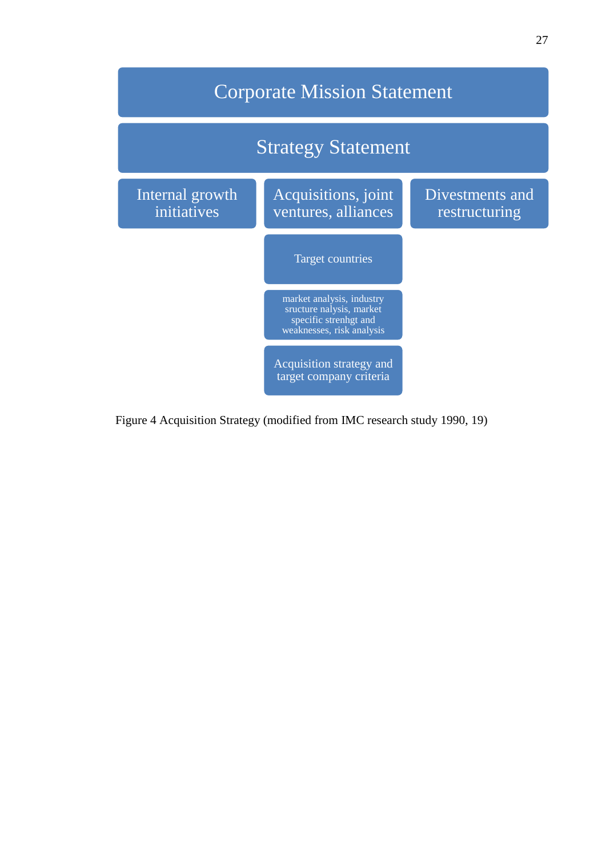

<span id="page-26-0"></span>Figure 4 Acquisition Strategy (modified from IMC research study 1990, 19)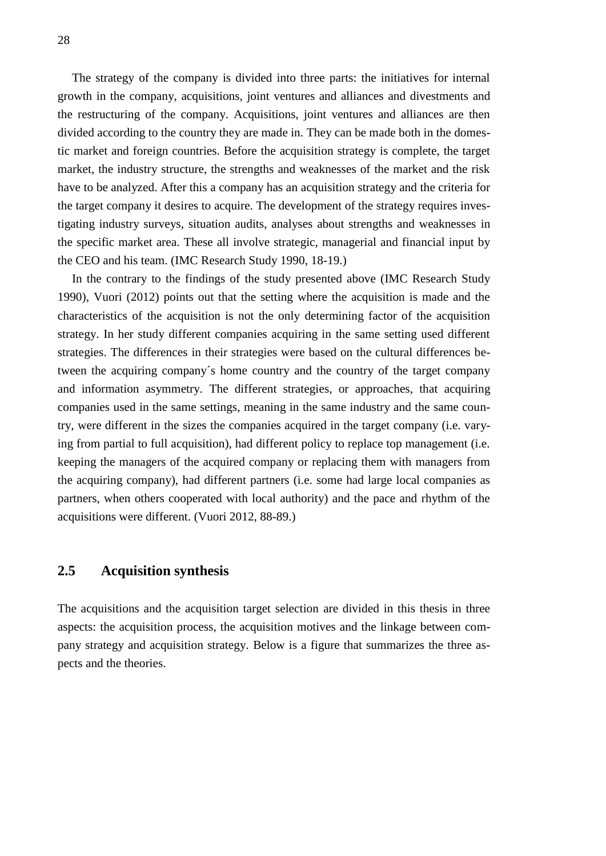The strategy of the company is divided into three parts: the initiatives for internal growth in the company, acquisitions, joint ventures and alliances and divestments and the restructuring of the company. Acquisitions, joint ventures and alliances are then divided according to the country they are made in. They can be made both in the domestic market and foreign countries. Before the acquisition strategy is complete, the target market, the industry structure, the strengths and weaknesses of the market and the risk have to be analyzed. After this a company has an acquisition strategy and the criteria for the target company it desires to acquire. The development of the strategy requires investigating industry surveys, situation audits, analyses about strengths and weaknesses in the specific market area. These all involve strategic, managerial and financial input by the CEO and his team. (IMC Research Study 1990, 18-19.)

In the contrary to the findings of the study presented above (IMC Research Study 1990), Vuori (2012) points out that the setting where the acquisition is made and the characteristics of the acquisition is not the only determining factor of the acquisition strategy. In her study different companies acquiring in the same setting used different strategies. The differences in their strategies were based on the cultural differences between the acquiring company´s home country and the country of the target company and information asymmetry. The different strategies, or approaches, that acquiring companies used in the same settings, meaning in the same industry and the same country, were different in the sizes the companies acquired in the target company (i.e. varying from partial to full acquisition), had different policy to replace top management (i.e. keeping the managers of the acquired company or replacing them with managers from the acquiring company), had different partners (i.e. some had large local companies as partners, when others cooperated with local authority) and the pace and rhythm of the acquisitions were different. (Vuori 2012, 88-89.)

### <span id="page-27-0"></span>**2.5 Acquisition synthesis**

The acquisitions and the acquisition target selection are divided in this thesis in three aspects: the acquisition process, the acquisition motives and the linkage between company strategy and acquisition strategy. Below is a figure that summarizes the three aspects and the theories.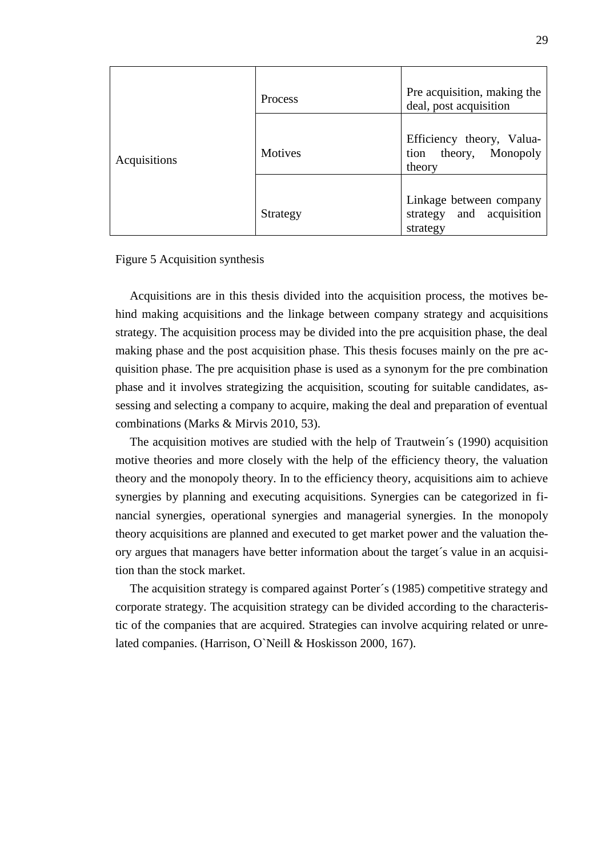|              | <b>Process</b> | Pre acquisition, making the<br>deal, post acquisition                 |
|--------------|----------------|-----------------------------------------------------------------------|
| Acquisitions | <b>Motives</b> | Efficiency theory, Valua-<br>tion theory, Monopoly<br>theory          |
|              | Strategy       | Linkage between company<br>acquisition<br>and<br>strategy<br>strategy |

#### <span id="page-28-0"></span>Figure 5 Acquisition synthesis

Acquisitions are in this thesis divided into the acquisition process, the motives behind making acquisitions and the linkage between company strategy and acquisitions strategy. The acquisition process may be divided into the pre acquisition phase, the deal making phase and the post acquisition phase. This thesis focuses mainly on the pre acquisition phase. The pre acquisition phase is used as a synonym for the pre combination phase and it involves strategizing the acquisition, scouting for suitable candidates, assessing and selecting a company to acquire, making the deal and preparation of eventual combinations (Marks & Mirvis 2010, 53).

The acquisition motives are studied with the help of Trautwein´s (1990) acquisition motive theories and more closely with the help of the efficiency theory, the valuation theory and the monopoly theory. In to the efficiency theory, acquisitions aim to achieve synergies by planning and executing acquisitions. Synergies can be categorized in financial synergies, operational synergies and managerial synergies. In the monopoly theory acquisitions are planned and executed to get market power and the valuation theory argues that managers have better information about the target´s value in an acquisition than the stock market.

The acquisition strategy is compared against Porter´s (1985) competitive strategy and corporate strategy. The acquisition strategy can be divided according to the characteristic of the companies that are acquired. Strategies can involve acquiring related or unrelated companies. (Harrison, O`Neill & Hoskisson 2000, 167).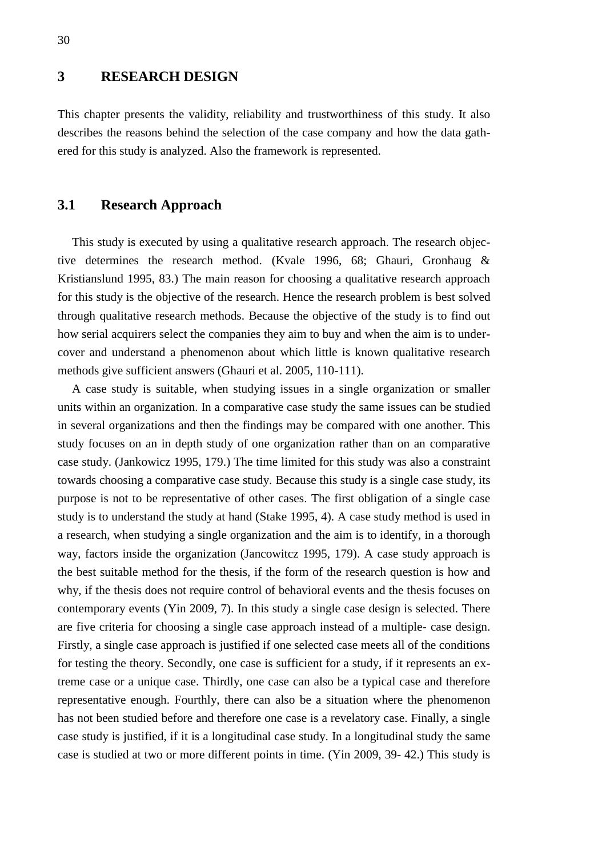### <span id="page-29-0"></span>**3 RESEARCH DESIGN**

This chapter presents the validity, reliability and trustworthiness of this study. It also describes the reasons behind the selection of the case company and how the data gathered for this study is analyzed. Also the framework is represented.

### <span id="page-29-1"></span>**3.1 Research Approach**

This study is executed by using a qualitative research approach. The research objective determines the research method. (Kvale 1996, 68; Ghauri, Gronhaug & Kristianslund 1995, 83.) The main reason for choosing a qualitative research approach for this study is the objective of the research. Hence the research problem is best solved through qualitative research methods. Because the objective of the study is to find out how serial acquirers select the companies they aim to buy and when the aim is to undercover and understand a phenomenon about which little is known qualitative research methods give sufficient answers (Ghauri et al. 2005, 110-111).

A case study is suitable, when studying issues in a single organization or smaller units within an organization. In a comparative case study the same issues can be studied in several organizations and then the findings may be compared with one another. This study focuses on an in depth study of one organization rather than on an comparative case study. (Jankowicz 1995, 179.) The time limited for this study was also a constraint towards choosing a comparative case study. Because this study is a single case study, its purpose is not to be representative of other cases. The first obligation of a single case study is to understand the study at hand (Stake 1995, 4). A case study method is used in a research, when studying a single organization and the aim is to identify, in a thorough way, factors inside the organization (Jancowitcz 1995, 179). A case study approach is the best suitable method for the thesis, if the form of the research question is how and why, if the thesis does not require control of behavioral events and the thesis focuses on contemporary events (Yin 2009, 7). In this study a single case design is selected. There are five criteria for choosing a single case approach instead of a multiple- case design. Firstly, a single case approach is justified if one selected case meets all of the conditions for testing the theory. Secondly, one case is sufficient for a study, if it represents an extreme case or a unique case. Thirdly, one case can also be a typical case and therefore representative enough. Fourthly, there can also be a situation where the phenomenon has not been studied before and therefore one case is a revelatory case. Finally, a single case study is justified, if it is a longitudinal case study. In a longitudinal study the same case is studied at two or more different points in time. (Yin 2009, 39- 42.) This study is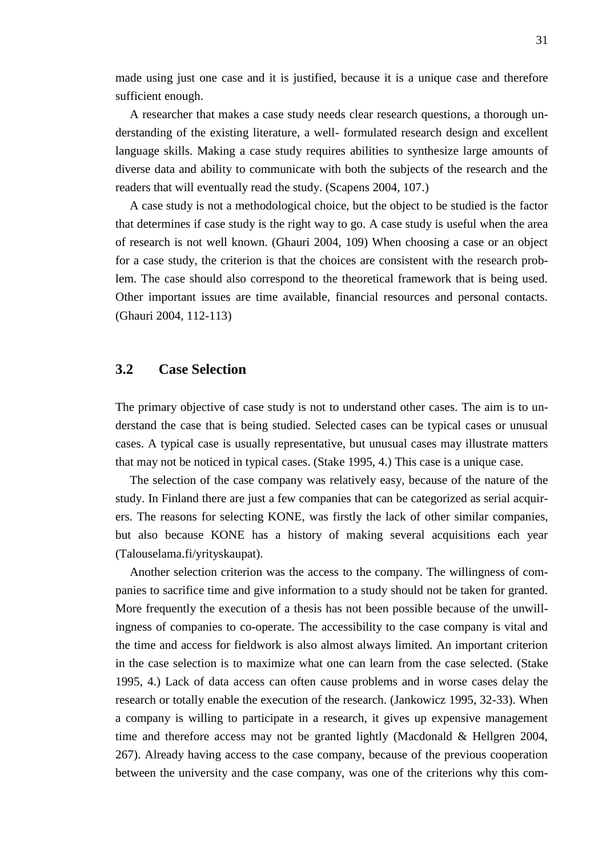made using just one case and it is justified, because it is a unique case and therefore sufficient enough.

A researcher that makes a case study needs clear research questions, a thorough understanding of the existing literature, a well- formulated research design and excellent language skills. Making a case study requires abilities to synthesize large amounts of diverse data and ability to communicate with both the subjects of the research and the readers that will eventually read the study. (Scapens 2004, 107.)

A case study is not a methodological choice, but the object to be studied is the factor that determines if case study is the right way to go. A case study is useful when the area of research is not well known. (Ghauri 2004, 109) When choosing a case or an object for a case study, the criterion is that the choices are consistent with the research problem. The case should also correspond to the theoretical framework that is being used. Other important issues are time available, financial resources and personal contacts. (Ghauri 2004, 112-113)

#### <span id="page-30-0"></span>**3.2 Case Selection**

The primary objective of case study is not to understand other cases. The aim is to understand the case that is being studied. Selected cases can be typical cases or unusual cases. A typical case is usually representative, but unusual cases may illustrate matters that may not be noticed in typical cases. (Stake 1995, 4.) This case is a unique case.

The selection of the case company was relatively easy, because of the nature of the study. In Finland there are just a few companies that can be categorized as serial acquirers. The reasons for selecting KONE, was firstly the lack of other similar companies, but also because KONE has a history of making several acquisitions each year (Talouselama.fi/yrityskaupat).

Another selection criterion was the access to the company. The willingness of companies to sacrifice time and give information to a study should not be taken for granted. More frequently the execution of a thesis has not been possible because of the unwillingness of companies to co-operate. The accessibility to the case company is vital and the time and access for fieldwork is also almost always limited. An important criterion in the case selection is to maximize what one can learn from the case selected. (Stake 1995, 4.) Lack of data access can often cause problems and in worse cases delay the research or totally enable the execution of the research. (Jankowicz 1995, 32-33). When a company is willing to participate in a research, it gives up expensive management time and therefore access may not be granted lightly (Macdonald & Hellgren 2004, 267). Already having access to the case company, because of the previous cooperation between the university and the case company, was one of the criterions why this com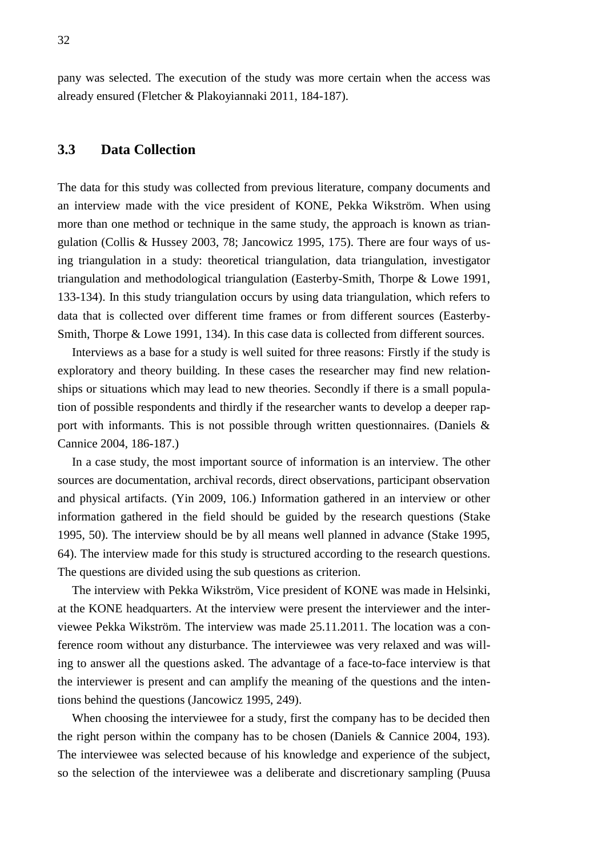<span id="page-31-0"></span>pany was selected. The execution of the study was more certain when the access was already ensured (Fletcher & Plakoyiannaki 2011, 184-187).

### **3.3 Data Collection**

The data for this study was collected from previous literature, company documents and an interview made with the vice president of KONE, Pekka Wikström. When using more than one method or technique in the same study, the approach is known as triangulation (Collis & Hussey 2003, 78; Jancowicz 1995, 175). There are four ways of using triangulation in a study: theoretical triangulation, data triangulation, investigator triangulation and methodological triangulation (Easterby-Smith, Thorpe & Lowe 1991, 133-134). In this study triangulation occurs by using data triangulation, which refers to data that is collected over different time frames or from different sources (Easterby-Smith, Thorpe & Lowe 1991, 134). In this case data is collected from different sources.

Interviews as a base for a study is well suited for three reasons: Firstly if the study is exploratory and theory building. In these cases the researcher may find new relationships or situations which may lead to new theories. Secondly if there is a small population of possible respondents and thirdly if the researcher wants to develop a deeper rapport with informants. This is not possible through written questionnaires. (Daniels & Cannice 2004, 186-187.)

In a case study, the most important source of information is an interview. The other sources are documentation, archival records, direct observations, participant observation and physical artifacts. (Yin 2009, 106.) Information gathered in an interview or other information gathered in the field should be guided by the research questions (Stake 1995, 50). The interview should be by all means well planned in advance (Stake 1995, 64). The interview made for this study is structured according to the research questions. The questions are divided using the sub questions as criterion.

The interview with Pekka Wikström, Vice president of KONE was made in Helsinki, at the KONE headquarters. At the interview were present the interviewer and the interviewee Pekka Wikström. The interview was made 25.11.2011. The location was a conference room without any disturbance. The interviewee was very relaxed and was willing to answer all the questions asked. The advantage of a face-to-face interview is that the interviewer is present and can amplify the meaning of the questions and the intentions behind the questions (Jancowicz 1995, 249).

When choosing the interviewee for a study, first the company has to be decided then the right person within the company has to be chosen (Daniels & Cannice 2004, 193). The interviewee was selected because of his knowledge and experience of the subject, so the selection of the interviewee was a deliberate and discretionary sampling (Puusa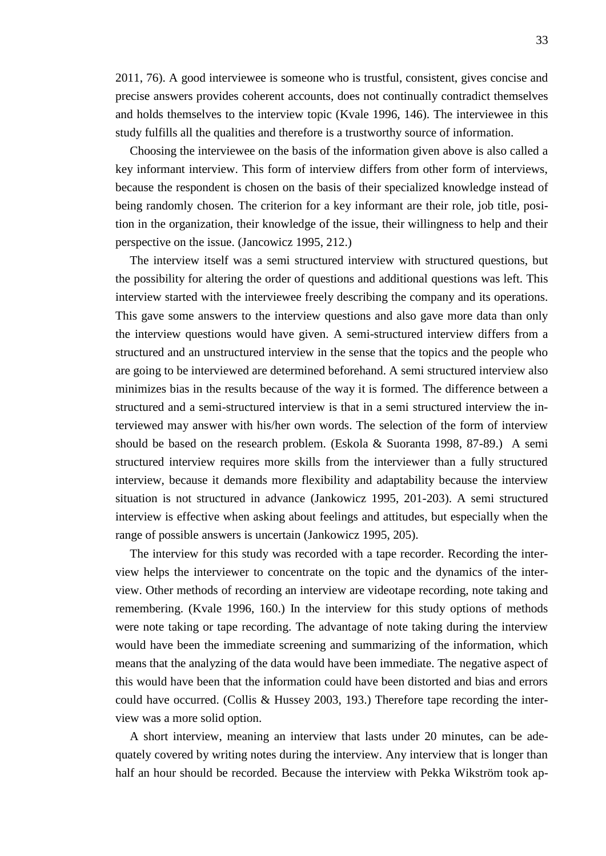2011, 76). A good interviewee is someone who is trustful, consistent, gives concise and precise answers provides coherent accounts, does not continually contradict themselves and holds themselves to the interview topic (Kvale 1996, 146). The interviewee in this study fulfills all the qualities and therefore is a trustworthy source of information.

Choosing the interviewee on the basis of the information given above is also called a key informant interview. This form of interview differs from other form of interviews, because the respondent is chosen on the basis of their specialized knowledge instead of being randomly chosen. The criterion for a key informant are their role, job title, position in the organization, their knowledge of the issue, their willingness to help and their perspective on the issue. (Jancowicz 1995, 212.)

The interview itself was a semi structured interview with structured questions, but the possibility for altering the order of questions and additional questions was left. This interview started with the interviewee freely describing the company and its operations. This gave some answers to the interview questions and also gave more data than only the interview questions would have given. A semi-structured interview differs from a structured and an unstructured interview in the sense that the topics and the people who are going to be interviewed are determined beforehand. A semi structured interview also minimizes bias in the results because of the way it is formed. The difference between a structured and a semi-structured interview is that in a semi structured interview the interviewed may answer with his/her own words. The selection of the form of interview should be based on the research problem. (Eskola & Suoranta 1998, 87-89.) A semi structured interview requires more skills from the interviewer than a fully structured interview, because it demands more flexibility and adaptability because the interview situation is not structured in advance (Jankowicz 1995, 201-203). A semi structured interview is effective when asking about feelings and attitudes, but especially when the range of possible answers is uncertain (Jankowicz 1995, 205).

The interview for this study was recorded with a tape recorder. Recording the interview helps the interviewer to concentrate on the topic and the dynamics of the interview. Other methods of recording an interview are videotape recording, note taking and remembering. (Kvale 1996, 160.) In the interview for this study options of methods were note taking or tape recording. The advantage of note taking during the interview would have been the immediate screening and summarizing of the information, which means that the analyzing of the data would have been immediate. The negative aspect of this would have been that the information could have been distorted and bias and errors could have occurred. (Collis & Hussey 2003, 193.) Therefore tape recording the interview was a more solid option.

A short interview, meaning an interview that lasts under 20 minutes, can be adequately covered by writing notes during the interview. Any interview that is longer than half an hour should be recorded. Because the interview with Pekka Wikström took ap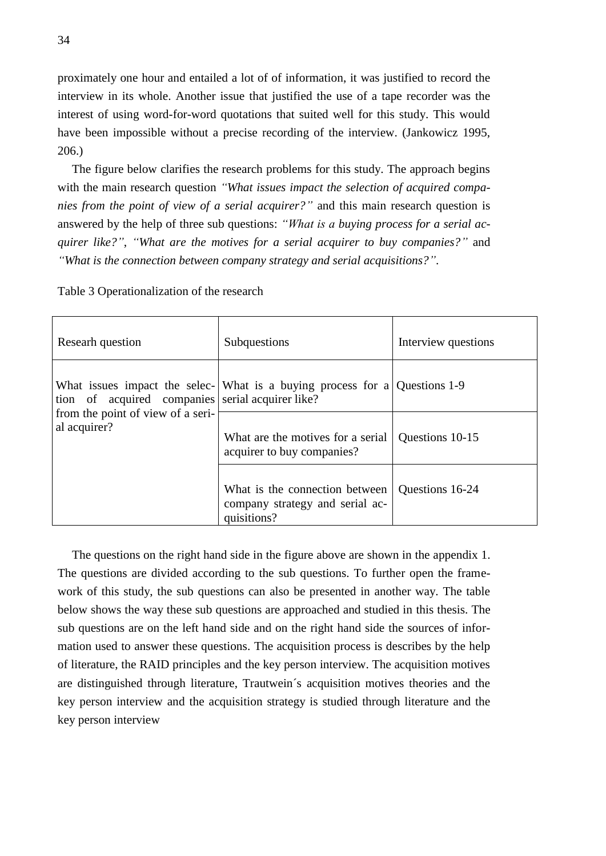proximately one hour and entailed a lot of of information, it was justified to record the interview in its whole. Another issue that justified the use of a tape recorder was the interest of using word-for-word quotations that suited well for this study. This would have been impossible without a precise recording of the interview. (Jankowicz 1995, 206.)

The figure below clarifies the research problems for this study. The approach begins with the main research question *"What issues impact the selection of acquired companies from the point of view of a serial acquirer?"* and this main research question is answered by the help of three sub questions: *"What is a buying process for a serial acquirer like?"*, *"What are the motives for a serial acquirer to buy companies?"* and *"What is the connection between company strategy and serial acquisitions?"*.

| Researh question                                  | Subquestions                                                                     | Interview questions |
|---------------------------------------------------|----------------------------------------------------------------------------------|---------------------|
| tion of acquired companies serial acquirer like?  | What issues impact the selec- What is a buying process for a Questions 1-9       |                     |
| from the point of view of a seri-<br>al acquirer? | What are the motives for a serial<br>acquirer to buy companies?                  | Questions 10-15     |
|                                                   | What is the connection between<br>company strategy and serial ac-<br>quisitions? | Questions 16-24     |

<span id="page-33-0"></span>Table 3 Operationalization of the research

The questions on the right hand side in the figure above are shown in the appendix 1. The questions are divided according to the sub questions. To further open the framework of this study, the sub questions can also be presented in another way. The table below shows the way these sub questions are approached and studied in this thesis. The sub questions are on the left hand side and on the right hand side the sources of information used to answer these questions. The acquisition process is describes by the help of literature, the RAID principles and the key person interview. The acquisition motives are distinguished through literature, Trautwein´s acquisition motives theories and the key person interview and the acquisition strategy is studied through literature and the key person interview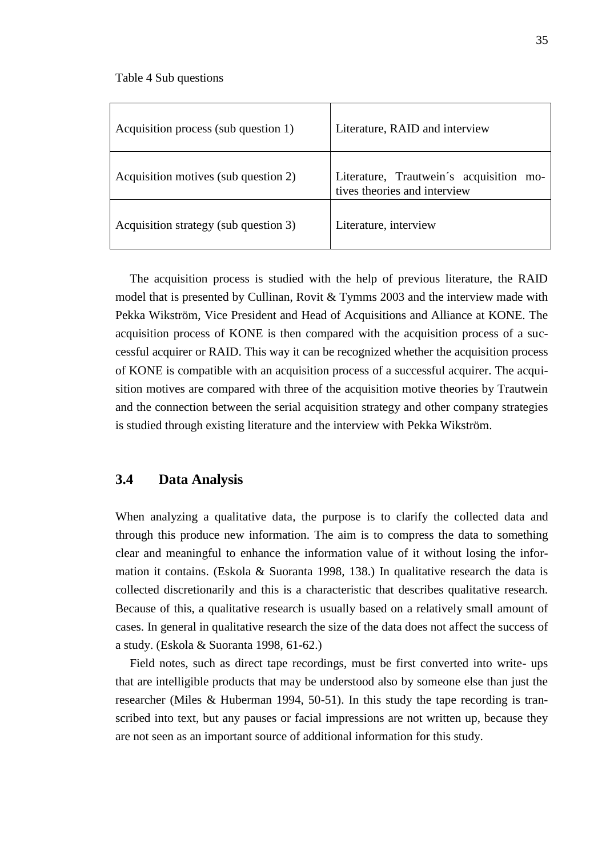<span id="page-34-1"></span>Table 4 Sub questions

| Acquisition process (sub question 1)  | Literature, RAID and interview                                             |
|---------------------------------------|----------------------------------------------------------------------------|
| Acquisition motives (sub question 2)  | Literature, Trautwein's acquisition<br>mo-<br>tives theories and interview |
| Acquisition strategy (sub question 3) | Literature, interview                                                      |

The acquisition process is studied with the help of previous literature, the RAID model that is presented by Cullinan, Rovit & Tymms 2003 and the interview made with Pekka Wikström, Vice President and Head of Acquisitions and Alliance at KONE. The acquisition process of KONE is then compared with the acquisition process of a successful acquirer or RAID. This way it can be recognized whether the acquisition process of KONE is compatible with an acquisition process of a successful acquirer. The acquisition motives are compared with three of the acquisition motive theories by Trautwein and the connection between the serial acquisition strategy and other company strategies is studied through existing literature and the interview with Pekka Wikström.

### <span id="page-34-0"></span>**3.4 Data Analysis**

When analyzing a qualitative data, the purpose is to clarify the collected data and through this produce new information. The aim is to compress the data to something clear and meaningful to enhance the information value of it without losing the information it contains. (Eskola & Suoranta 1998, 138.) In qualitative research the data is collected discretionarily and this is a characteristic that describes qualitative research. Because of this, a qualitative research is usually based on a relatively small amount of cases. In general in qualitative research the size of the data does not affect the success of a study. (Eskola & Suoranta 1998, 61-62.)

Field notes, such as direct tape recordings, must be first converted into write- ups that are intelligible products that may be understood also by someone else than just the researcher (Miles & Huberman 1994, 50-51). In this study the tape recording is transcribed into text, but any pauses or facial impressions are not written up, because they are not seen as an important source of additional information for this study.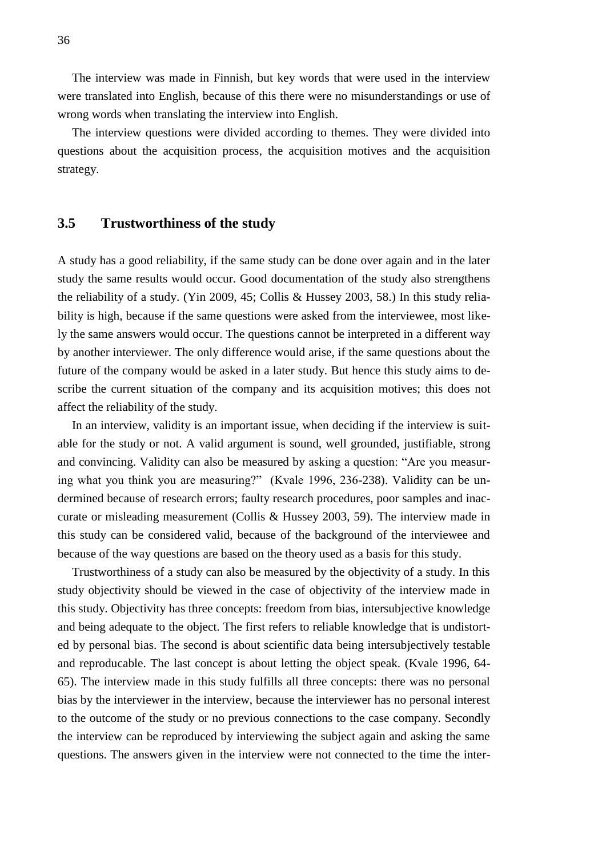The interview was made in Finnish, but key words that were used in the interview were translated into English, because of this there were no misunderstandings or use of wrong words when translating the interview into English.

The interview questions were divided according to themes. They were divided into questions about the acquisition process, the acquisition motives and the acquisition strategy.

#### <span id="page-35-0"></span>**3.5 Trustworthiness of the study**

A study has a good reliability, if the same study can be done over again and in the later study the same results would occur. Good documentation of the study also strengthens the reliability of a study. (Yin 2009, 45; Collis & Hussey 2003, 58.) In this study reliability is high, because if the same questions were asked from the interviewee, most likely the same answers would occur. The questions cannot be interpreted in a different way by another interviewer. The only difference would arise, if the same questions about the future of the company would be asked in a later study. But hence this study aims to describe the current situation of the company and its acquisition motives; this does not affect the reliability of the study.

In an interview, validity is an important issue, when deciding if the interview is suitable for the study or not. A valid argument is sound, well grounded, justifiable, strong and convincing. Validity can also be measured by asking a question: "Are you measuring what you think you are measuring?" (Kvale 1996, 236-238). Validity can be undermined because of research errors; faulty research procedures, poor samples and inaccurate or misleading measurement (Collis & Hussey 2003, 59). The interview made in this study can be considered valid, because of the background of the interviewee and because of the way questions are based on the theory used as a basis for this study.

Trustworthiness of a study can also be measured by the objectivity of a study. In this study objectivity should be viewed in the case of objectivity of the interview made in this study. Objectivity has three concepts: freedom from bias, intersubjective knowledge and being adequate to the object. The first refers to reliable knowledge that is undistorted by personal bias. The second is about scientific data being intersubjectively testable and reproducable. The last concept is about letting the object speak. (Kvale 1996, 64- 65). The interview made in this study fulfills all three concepts: there was no personal bias by the interviewer in the interview, because the interviewer has no personal interest to the outcome of the study or no previous connections to the case company. Secondly the interview can be reproduced by interviewing the subject again and asking the same questions. The answers given in the interview were not connected to the time the inter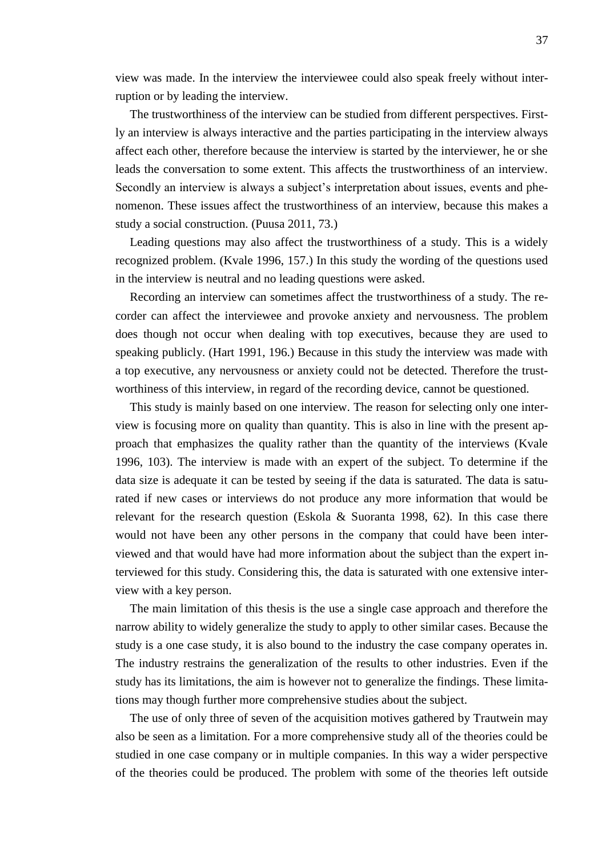view was made. In the interview the interviewee could also speak freely without interruption or by leading the interview.

The trustworthiness of the interview can be studied from different perspectives. Firstly an interview is always interactive and the parties participating in the interview always affect each other, therefore because the interview is started by the interviewer, he or she leads the conversation to some extent. This affects the trustworthiness of an interview. Secondly an interview is always a subject's interpretation about issues, events and phenomenon. These issues affect the trustworthiness of an interview, because this makes a study a social construction. (Puusa 2011, 73.)

Leading questions may also affect the trustworthiness of a study. This is a widely recognized problem. (Kvale 1996, 157.) In this study the wording of the questions used in the interview is neutral and no leading questions were asked.

Recording an interview can sometimes affect the trustworthiness of a study. The recorder can affect the interviewee and provoke anxiety and nervousness. The problem does though not occur when dealing with top executives, because they are used to speaking publicly. (Hart 1991, 196.) Because in this study the interview was made with a top executive, any nervousness or anxiety could not be detected. Therefore the trustworthiness of this interview, in regard of the recording device, cannot be questioned.

This study is mainly based on one interview. The reason for selecting only one interview is focusing more on quality than quantity. This is also in line with the present approach that emphasizes the quality rather than the quantity of the interviews (Kvale 1996, 103). The interview is made with an expert of the subject. To determine if the data size is adequate it can be tested by seeing if the data is saturated. The data is saturated if new cases or interviews do not produce any more information that would be relevant for the research question (Eskola & Suoranta 1998, 62). In this case there would not have been any other persons in the company that could have been interviewed and that would have had more information about the subject than the expert interviewed for this study. Considering this, the data is saturated with one extensive interview with a key person.

The main limitation of this thesis is the use a single case approach and therefore the narrow ability to widely generalize the study to apply to other similar cases. Because the study is a one case study, it is also bound to the industry the case company operates in. The industry restrains the generalization of the results to other industries. Even if the study has its limitations, the aim is however not to generalize the findings. These limitations may though further more comprehensive studies about the subject.

The use of only three of seven of the acquisition motives gathered by Trautwein may also be seen as a limitation. For a more comprehensive study all of the theories could be studied in one case company or in multiple companies. In this way a wider perspective of the theories could be produced. The problem with some of the theories left outside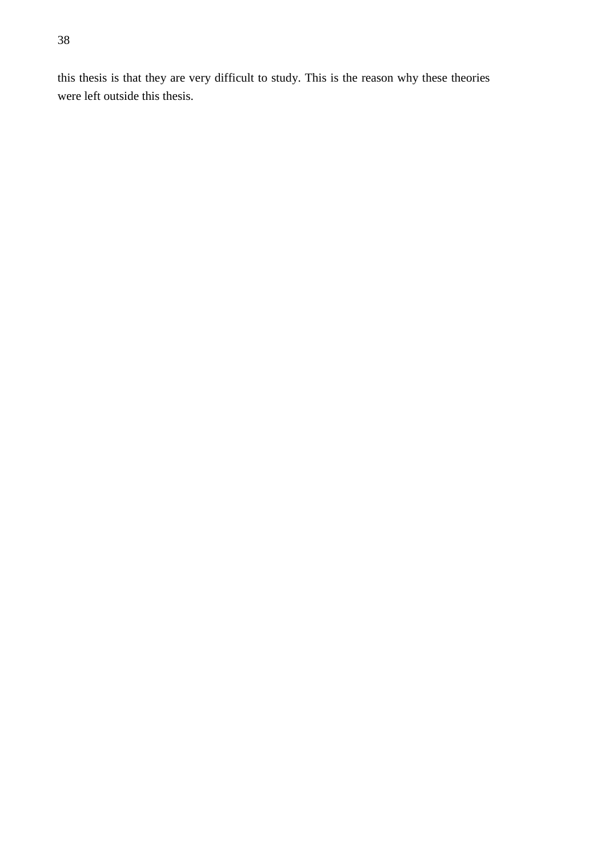this thesis is that they are very difficult to study. This is the reason why these theories were left outside this thesis.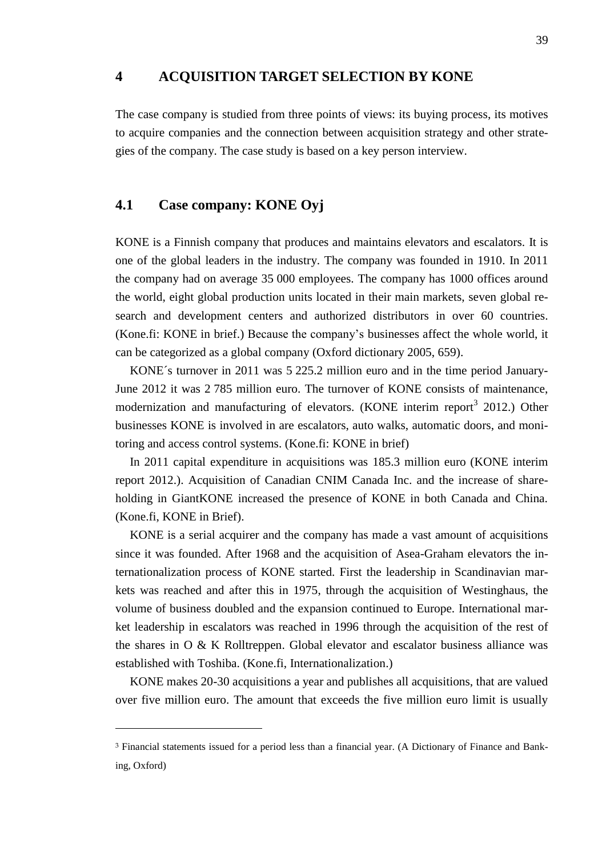### <span id="page-38-0"></span>**4 ACQUISITION TARGET SELECTION BY KONE**

The case company is studied from three points of views: its buying process, its motives to acquire companies and the connection between acquisition strategy and other strategies of the company. The case study is based on a key person interview.

### <span id="page-38-1"></span>**4.1 Case company: KONE Oyj**

 $\overline{a}$ 

KONE is a Finnish company that produces and maintains elevators and escalators. It is one of the global leaders in the industry. The company was founded in 1910. In 2011 the company had on average 35 000 employees. The company has 1000 offices around the world, eight global production units located in their main markets, seven global research and development centers and authorized distributors in over 60 countries. (Kone.fi: KONE in brief.) Because the company's businesses affect the whole world, it can be categorized as a global company (Oxford dictionary 2005, 659).

KONE´s turnover in 2011 was 5 225.2 million euro and in the time period January-June 2012 it was 2 785 million euro. The turnover of KONE consists of maintenance, modernization and manufacturing of elevators. (KONE interim report<sup>3</sup> 2012.) Other businesses KONE is involved in are escalators, auto walks, automatic doors, and monitoring and access control systems. (Kone.fi: KONE in brief)

In 2011 capital expenditure in acquisitions was 185.3 million euro (KONE interim report 2012.). Acquisition of Canadian CNIM Canada Inc. and the increase of shareholding in GiantKONE increased the presence of KONE in both Canada and China. (Kone.fi, KONE in Brief).

KONE is a serial acquirer and the company has made a vast amount of acquisitions since it was founded. After 1968 and the acquisition of Asea-Graham elevators the internationalization process of KONE started. First the leadership in Scandinavian markets was reached and after this in 1975, through the acquisition of Westinghaus, the volume of business doubled and the expansion continued to Europe. International market leadership in escalators was reached in 1996 through the acquisition of the rest of the shares in O & K Rolltreppen. Global elevator and escalator business alliance was established with Toshiba. (Kone.fi, Internationalization.)

KONE makes 20-30 acquisitions a year and publishes all acquisitions, that are valued over five million euro. The amount that exceeds the five million euro limit is usually

<sup>3</sup> Financial statements issued for a period less than a financial year. (A Dictionary of Finance and Banking, Oxford)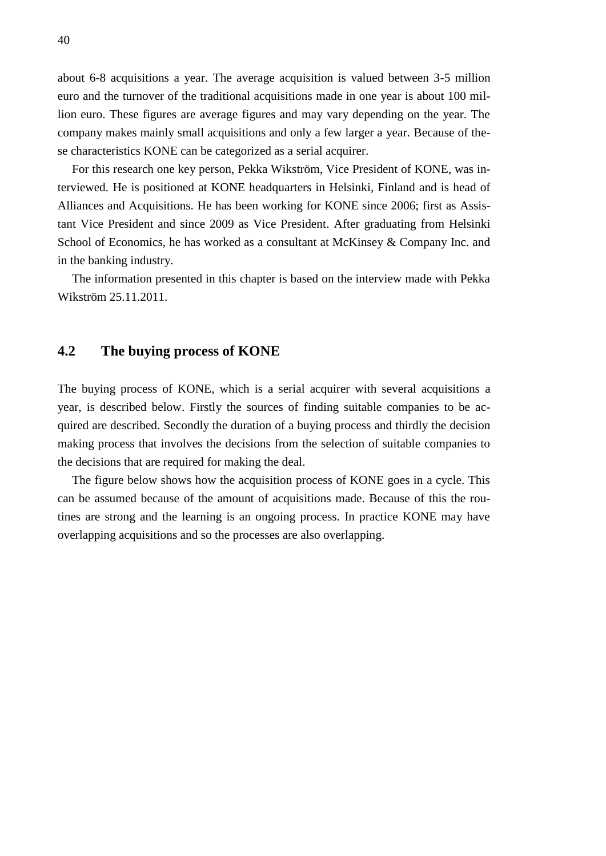about 6-8 acquisitions a year. The average acquisition is valued between 3-5 million euro and the turnover of the traditional acquisitions made in one year is about 100 million euro. These figures are average figures and may vary depending on the year. The company makes mainly small acquisitions and only a few larger a year. Because of these characteristics KONE can be categorized as a serial acquirer.

For this research one key person, Pekka Wikström, Vice President of KONE, was interviewed. He is positioned at KONE headquarters in Helsinki, Finland and is head of Alliances and Acquisitions. He has been working for KONE since 2006; first as Assistant Vice President and since 2009 as Vice President. After graduating from Helsinki School of Economics, he has worked as a consultant at McKinsey & Company Inc. and in the banking industry.

<span id="page-39-0"></span>The information presented in this chapter is based on the interview made with Pekka Wikström 25.11.2011.

### **4.2 The buying process of KONE**

The buying process of KONE, which is a serial acquirer with several acquisitions a year, is described below. Firstly the sources of finding suitable companies to be acquired are described. Secondly the duration of a buying process and thirdly the decision making process that involves the decisions from the selection of suitable companies to the decisions that are required for making the deal.

The figure below shows how the acquisition process of KONE goes in a cycle. This can be assumed because of the amount of acquisitions made. Because of this the routines are strong and the learning is an ongoing process. In practice KONE may have overlapping acquisitions and so the processes are also overlapping.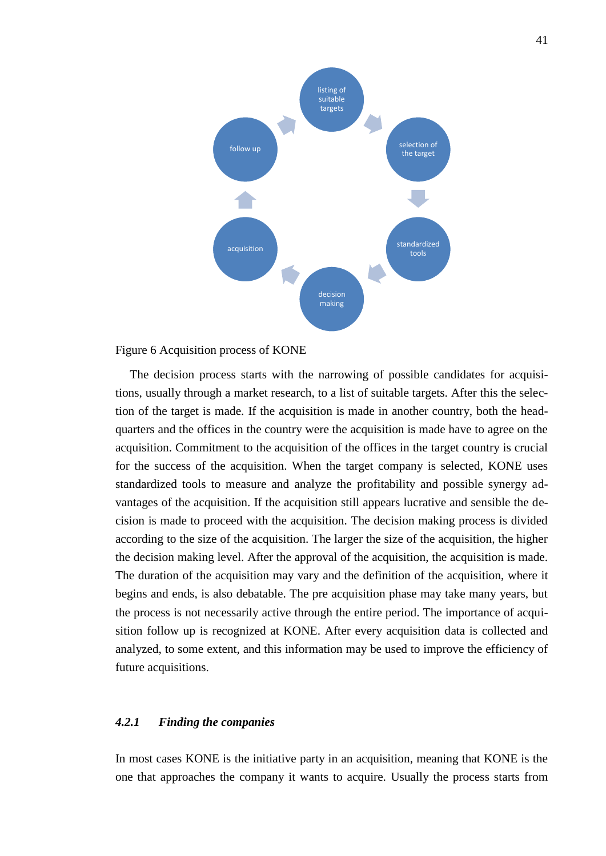

<span id="page-40-1"></span>Figure 6 Acquisition process of KONE

The decision process starts with the narrowing of possible candidates for acquisitions, usually through a market research, to a list of suitable targets. After this the selection of the target is made. If the acquisition is made in another country, both the headquarters and the offices in the country were the acquisition is made have to agree on the acquisition. Commitment to the acquisition of the offices in the target country is crucial for the success of the acquisition. When the target company is selected, KONE uses standardized tools to measure and analyze the profitability and possible synergy advantages of the acquisition. If the acquisition still appears lucrative and sensible the decision is made to proceed with the acquisition. The decision making process is divided according to the size of the acquisition. The larger the size of the acquisition, the higher the decision making level. After the approval of the acquisition, the acquisition is made. The duration of the acquisition may vary and the definition of the acquisition, where it begins and ends, is also debatable. The pre acquisition phase may take many years, but the process is not necessarily active through the entire period. The importance of acquisition follow up is recognized at KONE. After every acquisition data is collected and analyzed, to some extent, and this information may be used to improve the efficiency of future acquisitions.

#### <span id="page-40-0"></span>*4.2.1 Finding the companies*

In most cases KONE is the initiative party in an acquisition, meaning that KONE is the one that approaches the company it wants to acquire. Usually the process starts from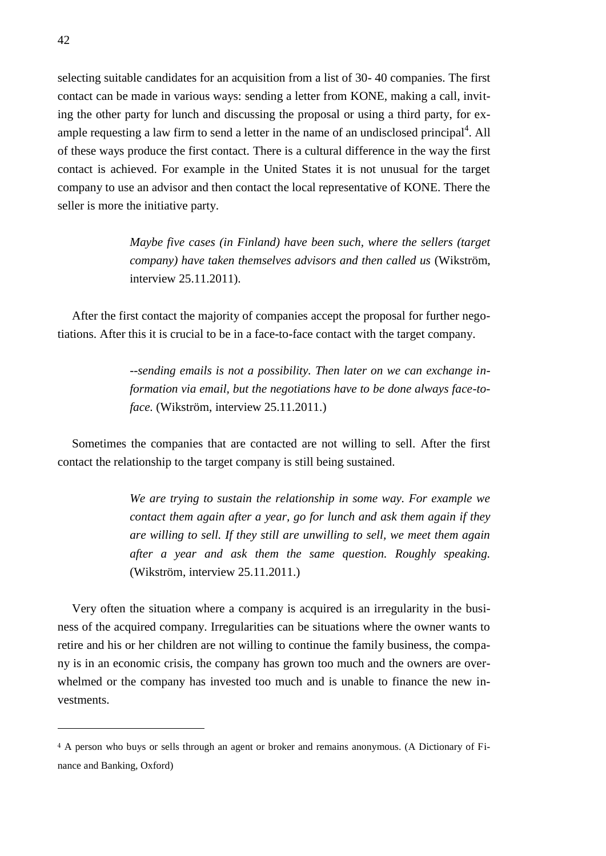selecting suitable candidates for an acquisition from a list of 30- 40 companies. The first contact can be made in various ways: sending a letter from KONE, making a call, inviting the other party for lunch and discussing the proposal or using a third party, for example requesting a law firm to send a letter in the name of an undisclosed principal<sup>4</sup>. All of these ways produce the first contact. There is a cultural difference in the way the first contact is achieved. For example in the United States it is not unusual for the target company to use an advisor and then contact the local representative of KONE. There the seller is more the initiative party.

> *Maybe five cases (in Finland) have been such, where the sellers (target company) have taken themselves advisors and then called us* (Wikström, interview 25.11.2011).

After the first contact the majority of companies accept the proposal for further negotiations. After this it is crucial to be in a face-to-face contact with the target company.

> *--sending emails is not a possibility. Then later on we can exchange information via email, but the negotiations have to be done always face-toface.* (Wikström, interview 25.11.2011.)

Sometimes the companies that are contacted are not willing to sell. After the first contact the relationship to the target company is still being sustained.

> *We are trying to sustain the relationship in some way. For example we contact them again after a year, go for lunch and ask them again if they are willing to sell. If they still are unwilling to sell, we meet them again after a year and ask them the same question. Roughly speaking.*  (Wikström, interview 25.11.2011.)

Very often the situation where a company is acquired is an irregularity in the business of the acquired company. Irregularities can be situations where the owner wants to retire and his or her children are not willing to continue the family business, the company is in an economic crisis, the company has grown too much and the owners are overwhelmed or the company has invested too much and is unable to finance the new investments.

<u>.</u>

<sup>4</sup> A person who buys or sells through an agent or broker and remains anonymous. (A Dictionary of Finance and Banking, Oxford)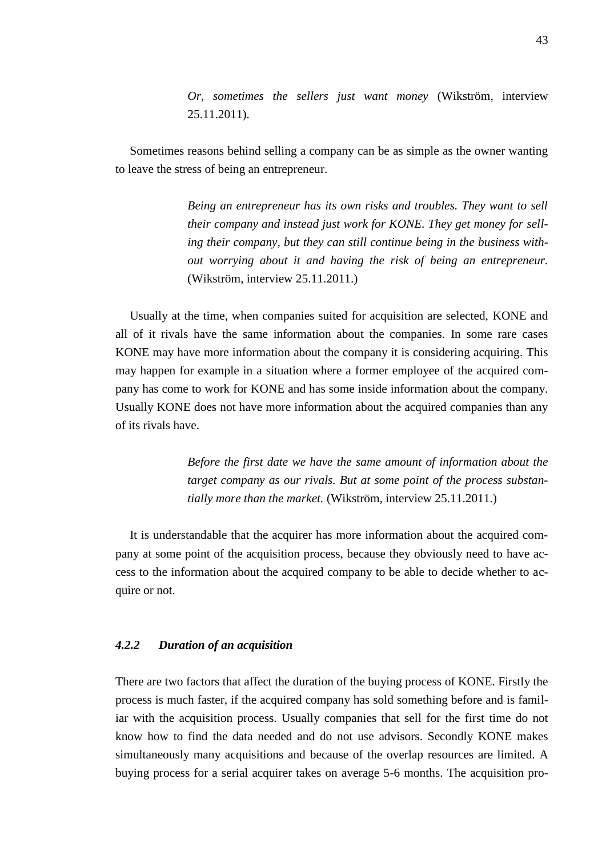*Or, sometimes the sellers just want money* (Wikström, interview 25.11.2011).

Sometimes reasons behind selling a company can be as simple as the owner wanting to leave the stress of being an entrepreneur.

> *Being an entrepreneur has its own risks and troubles. They want to sell their company and instead just work for KONE. They get money for selling their company, but they can still continue being in the business without worrying about it and having the risk of being an entrepreneur.*  (Wikström, interview 25.11.2011.)

Usually at the time, when companies suited for acquisition are selected, KONE and all of it rivals have the same information about the companies. In some rare cases KONE may have more information about the company it is considering acquiring. This may happen for example in a situation where a former employee of the acquired company has come to work for KONE and has some inside information about the company. Usually KONE does not have more information about the acquired companies than any of its rivals have.

> *Before the first date we have the same amount of information about the target company as our rivals. But at some point of the process substantially more than the market.* (Wikström, interview 25.11.2011.)

It is understandable that the acquirer has more information about the acquired company at some point of the acquisition process, because they obviously need to have access to the information about the acquired company to be able to decide whether to acquire or not.

#### <span id="page-42-0"></span>*4.2.2 Duration of an acquisition*

There are two factors that affect the duration of the buying process of KONE. Firstly the process is much faster, if the acquired company has sold something before and is familiar with the acquisition process. Usually companies that sell for the first time do not know how to find the data needed and do not use advisors. Secondly KONE makes simultaneously many acquisitions and because of the overlap resources are limited. A buying process for a serial acquirer takes on average 5-6 months. The acquisition pro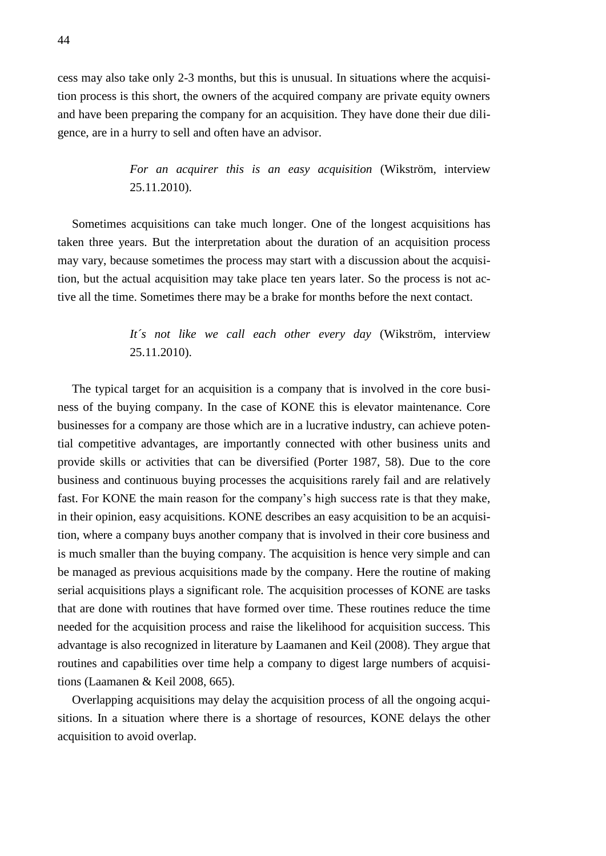cess may also take only 2-3 months, but this is unusual. In situations where the acquisition process is this short, the owners of the acquired company are private equity owners and have been preparing the company for an acquisition. They have done their due diligence, are in a hurry to sell and often have an advisor.

> *For an acquirer this is an easy acquisition* (Wikström, interview 25.11.2010).

Sometimes acquisitions can take much longer. One of the longest acquisitions has taken three years. But the interpretation about the duration of an acquisition process may vary, because sometimes the process may start with a discussion about the acquisition, but the actual acquisition may take place ten years later. So the process is not active all the time. Sometimes there may be a brake for months before the next contact.

### *It´s not like we call each other every day* (Wikström, interview 25.11.2010).

The typical target for an acquisition is a company that is involved in the core business of the buying company. In the case of KONE this is elevator maintenance. Core businesses for a company are those which are in a lucrative industry, can achieve potential competitive advantages, are importantly connected with other business units and provide skills or activities that can be diversified (Porter 1987, 58). Due to the core business and continuous buying processes the acquisitions rarely fail and are relatively fast. For KONE the main reason for the company's high success rate is that they make, in their opinion, easy acquisitions. KONE describes an easy acquisition to be an acquisition, where a company buys another company that is involved in their core business and is much smaller than the buying company. The acquisition is hence very simple and can be managed as previous acquisitions made by the company. Here the routine of making serial acquisitions plays a significant role. The acquisition processes of KONE are tasks that are done with routines that have formed over time. These routines reduce the time needed for the acquisition process and raise the likelihood for acquisition success. This advantage is also recognized in literature by Laamanen and Keil (2008). They argue that routines and capabilities over time help a company to digest large numbers of acquisitions (Laamanen & Keil 2008, 665).

Overlapping acquisitions may delay the acquisition process of all the ongoing acquisitions. In a situation where there is a shortage of resources, KONE delays the other acquisition to avoid overlap.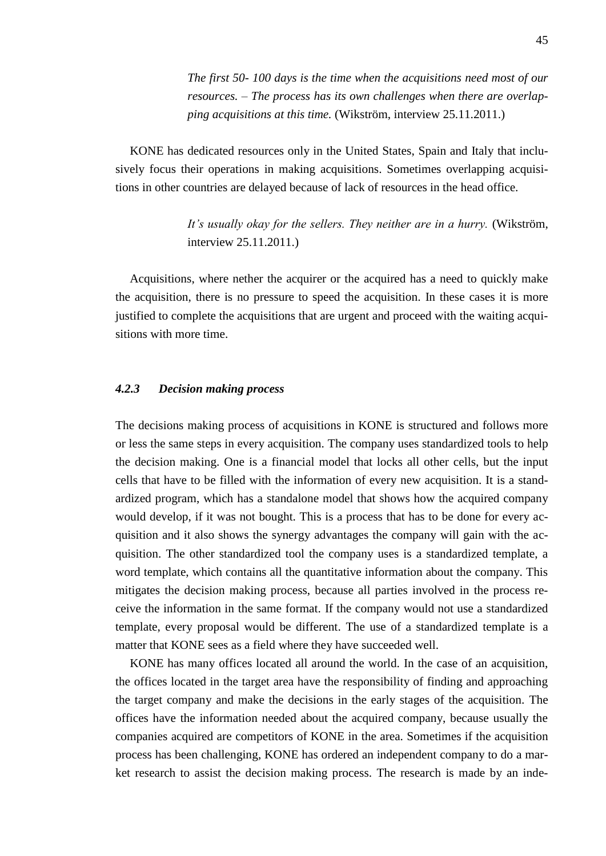*The first 50- 100 days is the time when the acquisitions need most of our resources. – The process has its own challenges when there are overlapping acquisitions at this time.* (Wikström, interview 25.11.2011.)

KONE has dedicated resources only in the United States, Spain and Italy that inclusively focus their operations in making acquisitions. Sometimes overlapping acquisitions in other countries are delayed because of lack of resources in the head office.

> *It's usually okay for the sellers. They neither are in a hurry.* (Wikström, interview 25.11.2011.)

Acquisitions, where nether the acquirer or the acquired has a need to quickly make the acquisition, there is no pressure to speed the acquisition. In these cases it is more justified to complete the acquisitions that are urgent and proceed with the waiting acquisitions with more time.

#### <span id="page-44-0"></span>*4.2.3 Decision making process*

The decisions making process of acquisitions in KONE is structured and follows more or less the same steps in every acquisition. The company uses standardized tools to help the decision making. One is a financial model that locks all other cells, but the input cells that have to be filled with the information of every new acquisition. It is a standardized program, which has a standalone model that shows how the acquired company would develop, if it was not bought. This is a process that has to be done for every acquisition and it also shows the synergy advantages the company will gain with the acquisition. The other standardized tool the company uses is a standardized template, a word template, which contains all the quantitative information about the company. This mitigates the decision making process, because all parties involved in the process receive the information in the same format. If the company would not use a standardized template, every proposal would be different. The use of a standardized template is a matter that KONE sees as a field where they have succeeded well.

KONE has many offices located all around the world. In the case of an acquisition, the offices located in the target area have the responsibility of finding and approaching the target company and make the decisions in the early stages of the acquisition. The offices have the information needed about the acquired company, because usually the companies acquired are competitors of KONE in the area. Sometimes if the acquisition process has been challenging, KONE has ordered an independent company to do a market research to assist the decision making process. The research is made by an inde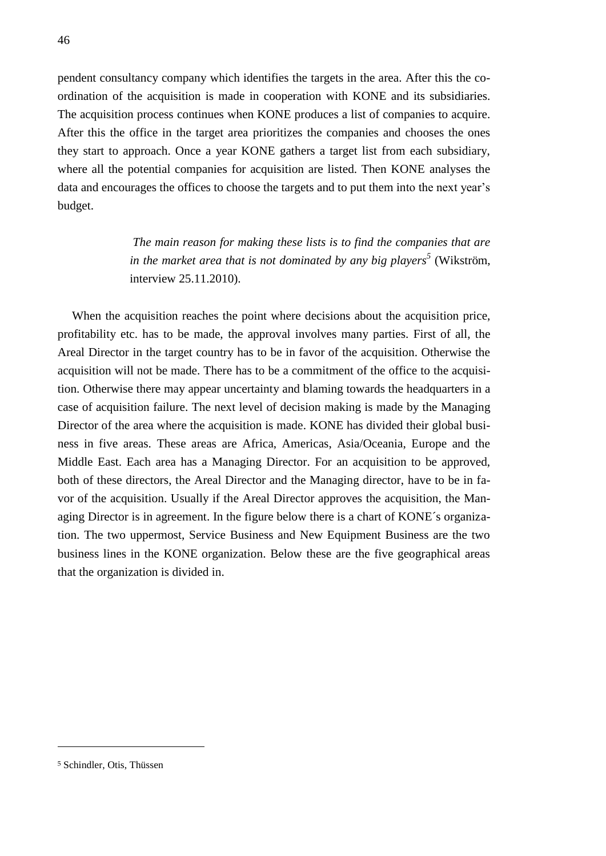pendent consultancy company which identifies the targets in the area. After this the coordination of the acquisition is made in cooperation with KONE and its subsidiaries. The acquisition process continues when KONE produces a list of companies to acquire. After this the office in the target area prioritizes the companies and chooses the ones they start to approach. Once a year KONE gathers a target list from each subsidiary, where all the potential companies for acquisition are listed. Then KONE analyses the data and encourages the offices to choose the targets and to put them into the next year's budget.

> *The main reason for making these lists is to find the companies that are in the market area that is not dominated by any big players<sup>5</sup>* (Wikström, interview 25.11.2010).

When the acquisition reaches the point where decisions about the acquisition price, profitability etc. has to be made, the approval involves many parties. First of all, the Areal Director in the target country has to be in favor of the acquisition. Otherwise the acquisition will not be made. There has to be a commitment of the office to the acquisition. Otherwise there may appear uncertainty and blaming towards the headquarters in a case of acquisition failure. The next level of decision making is made by the Managing Director of the area where the acquisition is made. KONE has divided their global business in five areas. These areas are Africa, Americas, Asia/Oceania, Europe and the Middle East. Each area has a Managing Director. For an acquisition to be approved, both of these directors, the Areal Director and the Managing director, have to be in favor of the acquisition. Usually if the Areal Director approves the acquisition, the Managing Director is in agreement. In the figure below there is a chart of KONE´s organization. The two uppermost, Service Business and New Equipment Business are the two business lines in the KONE organization. Below these are the five geographical areas that the organization is divided in.

<u>.</u>

<sup>5</sup> Schindler, Otis, Thüssen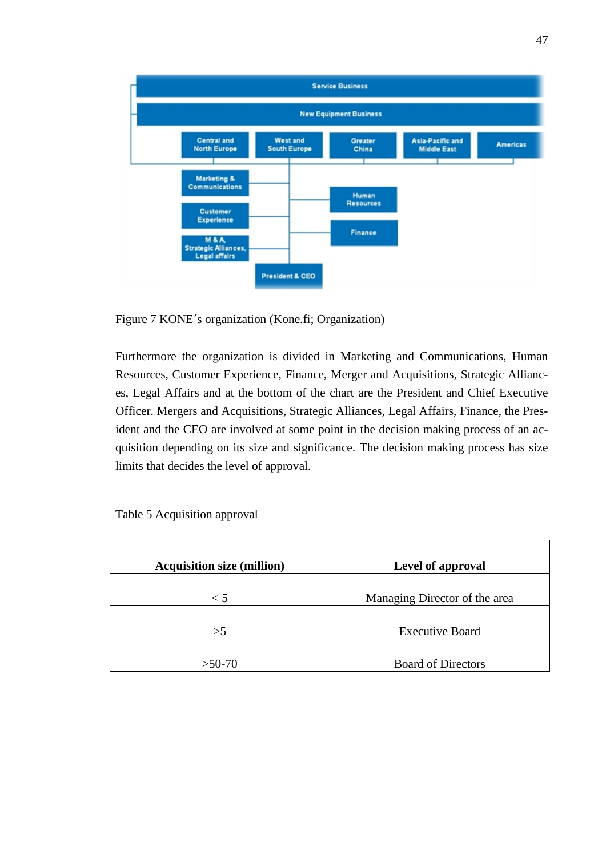

<span id="page-46-0"></span>Figure 7 KONE´s organization (Kone.fi; Organization)

Furthermore the organization is divided in Marketing and Communications, Human Resources, Customer Experience, Finance, Merger and Acquisitions, Strategic Alliances, Legal Affairs and at the bottom of the chart are the President and Chief Executive Officer. Mergers and Acquisitions, Strategic Alliances, Legal Affairs, Finance, the President and the CEO are involved at some point in the decision making process of an acquisition depending on its size and significance. The decision making process has size limits that decides the level of approval.

| <b>Acquisition size (million)</b> | Level of approval             |
|-----------------------------------|-------------------------------|
| $\leq 5$                          | Managing Director of the area |
| >5                                | <b>Executive Board</b>        |
|                                   |                               |
| $>50-70$                          | <b>Board of Directors</b>     |

<span id="page-46-1"></span>Table 5 Acquisition approval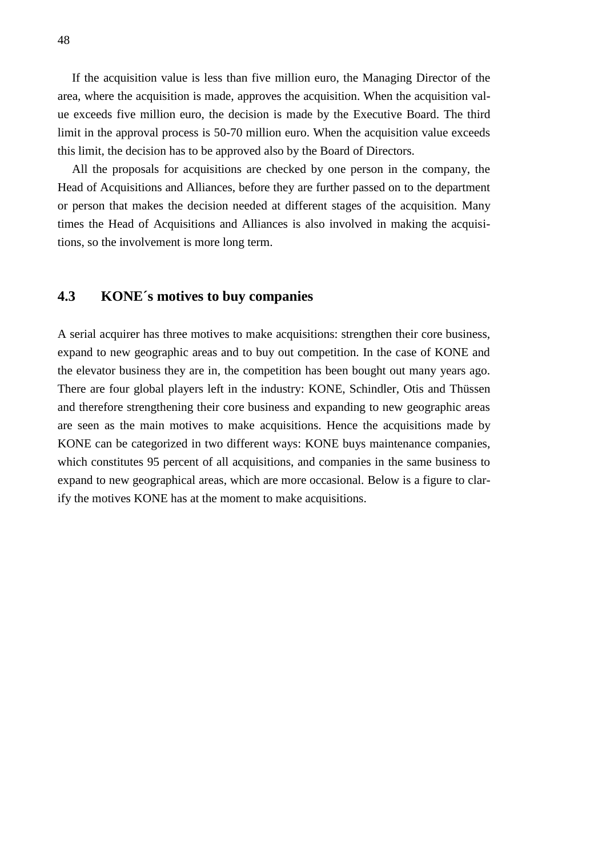If the acquisition value is less than five million euro, the Managing Director of the area, where the acquisition is made, approves the acquisition. When the acquisition value exceeds five million euro, the decision is made by the Executive Board. The third limit in the approval process is 50-70 million euro. When the acquisition value exceeds this limit, the decision has to be approved also by the Board of Directors.

All the proposals for acquisitions are checked by one person in the company, the Head of Acquisitions and Alliances, before they are further passed on to the department or person that makes the decision needed at different stages of the acquisition. Many times the Head of Acquisitions and Alliances is also involved in making the acquisitions, so the involvement is more long term.

### <span id="page-47-0"></span>**4.3 KONE´s motives to buy companies**

A serial acquirer has three motives to make acquisitions: strengthen their core business, expand to new geographic areas and to buy out competition. In the case of KONE and the elevator business they are in, the competition has been bought out many years ago. There are four global players left in the industry: KONE, Schindler, Otis and Thüssen and therefore strengthening their core business and expanding to new geographic areas are seen as the main motives to make acquisitions. Hence the acquisitions made by KONE can be categorized in two different ways: KONE buys maintenance companies, which constitutes 95 percent of all acquisitions, and companies in the same business to expand to new geographical areas, which are more occasional. Below is a figure to clarify the motives KONE has at the moment to make acquisitions.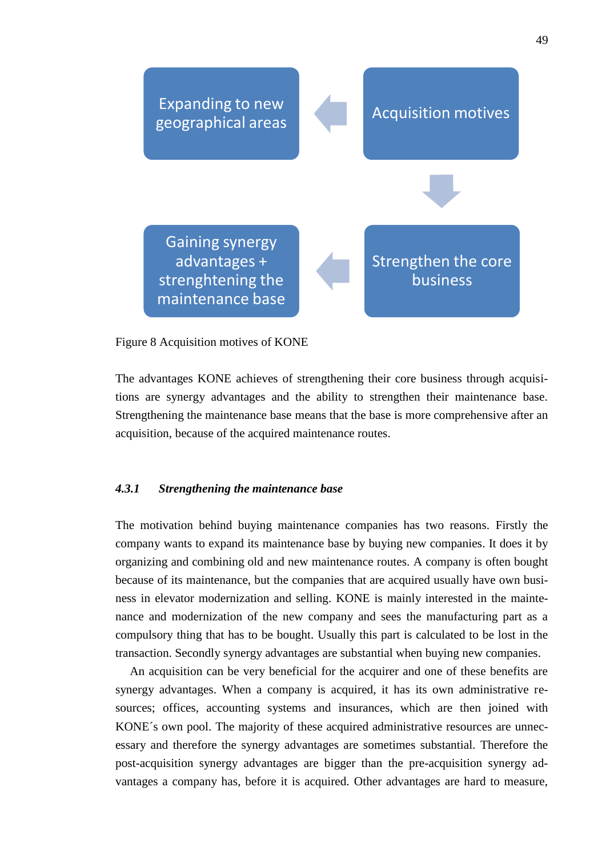

#### <span id="page-48-1"></span>Figure 8 Acquisition motives of KONE

The advantages KONE achieves of strengthening their core business through acquisitions are synergy advantages and the ability to strengthen their maintenance base. Strengthening the maintenance base means that the base is more comprehensive after an acquisition, because of the acquired maintenance routes.

### <span id="page-48-0"></span>*4.3.1 Strengthening the maintenance base*

The motivation behind buying maintenance companies has two reasons. Firstly the company wants to expand its maintenance base by buying new companies. It does it by organizing and combining old and new maintenance routes. A company is often bought because of its maintenance, but the companies that are acquired usually have own business in elevator modernization and selling. KONE is mainly interested in the maintenance and modernization of the new company and sees the manufacturing part as a compulsory thing that has to be bought. Usually this part is calculated to be lost in the transaction. Secondly synergy advantages are substantial when buying new companies.

An acquisition can be very beneficial for the acquirer and one of these benefits are synergy advantages. When a company is acquired, it has its own administrative resources; offices, accounting systems and insurances, which are then joined with KONE´s own pool. The majority of these acquired administrative resources are unnecessary and therefore the synergy advantages are sometimes substantial. Therefore the post-acquisition synergy advantages are bigger than the pre-acquisition synergy advantages a company has, before it is acquired. Other advantages are hard to measure,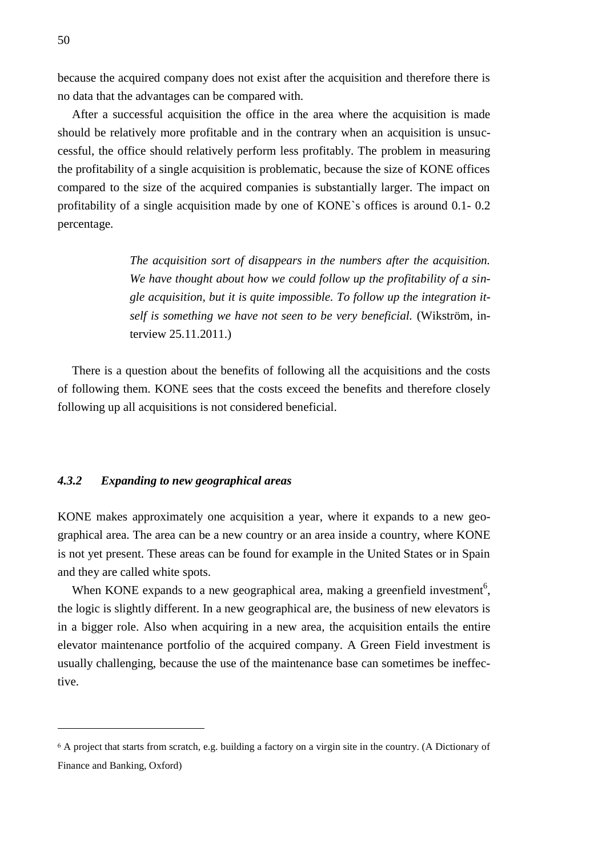because the acquired company does not exist after the acquisition and therefore there is no data that the advantages can be compared with.

After a successful acquisition the office in the area where the acquisition is made should be relatively more profitable and in the contrary when an acquisition is unsuccessful, the office should relatively perform less profitably. The problem in measuring the profitability of a single acquisition is problematic, because the size of KONE offices compared to the size of the acquired companies is substantially larger. The impact on profitability of a single acquisition made by one of KONE`s offices is around 0.1- 0.2 percentage.

> *The acquisition sort of disappears in the numbers after the acquisition. We have thought about how we could follow up the profitability of a single acquisition, but it is quite impossible. To follow up the integration itself is something we have not seen to be very beneficial.* (Wikström, interview 25.11.2011.)

There is a question about the benefits of following all the acquisitions and the costs of following them. KONE sees that the costs exceed the benefits and therefore closely following up all acquisitions is not considered beneficial.

#### <span id="page-49-0"></span>*4.3.2 Expanding to new geographical areas*

KONE makes approximately one acquisition a year, where it expands to a new geographical area. The area can be a new country or an area inside a country, where KONE is not yet present. These areas can be found for example in the United States or in Spain and they are called white spots.

When KONE expands to a new geographical area, making a greenfield investment<sup>6</sup>, the logic is slightly different. In a new geographical are, the business of new elevators is in a bigger role. Also when acquiring in a new area, the acquisition entails the entire elevator maintenance portfolio of the acquired company. A Green Field investment is usually challenging, because the use of the maintenance base can sometimes be ineffective.

<u>.</u>

<sup>6</sup> A project that starts from scratch, e.g. building a factory on a virgin site in the country. (A Dictionary of Finance and Banking, Oxford)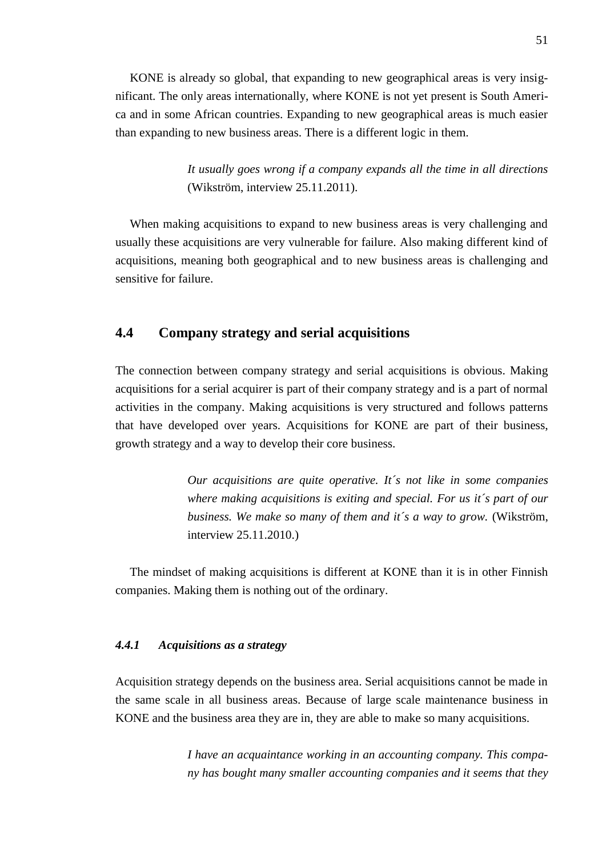KONE is already so global, that expanding to new geographical areas is very insignificant. The only areas internationally, where KONE is not yet present is South America and in some African countries. Expanding to new geographical areas is much easier than expanding to new business areas. There is a different logic in them.

> *It usually goes wrong if a company expands all the time in all directions*  (Wikström, interview 25.11.2011).

When making acquisitions to expand to new business areas is very challenging and usually these acquisitions are very vulnerable for failure. Also making different kind of acquisitions, meaning both geographical and to new business areas is challenging and sensitive for failure.

### <span id="page-50-0"></span>**4.4 Company strategy and serial acquisitions**

The connection between company strategy and serial acquisitions is obvious. Making acquisitions for a serial acquirer is part of their company strategy and is a part of normal activities in the company. Making acquisitions is very structured and follows patterns that have developed over years. Acquisitions for KONE are part of their business, growth strategy and a way to develop their core business.

> *Our acquisitions are quite operative. It´s not like in some companies where making acquisitions is exiting and special. For us it´s part of our business. We make so many of them and it´s a way to grow.* (Wikström, interview 25.11.2010.)

<span id="page-50-1"></span>The mindset of making acquisitions is different at KONE than it is in other Finnish companies. Making them is nothing out of the ordinary.

#### *4.4.1 Acquisitions as a strategy*

Acquisition strategy depends on the business area. Serial acquisitions cannot be made in the same scale in all business areas. Because of large scale maintenance business in KONE and the business area they are in, they are able to make so many acquisitions.

> *I have an acquaintance working in an accounting company. This company has bought many smaller accounting companies and it seems that they*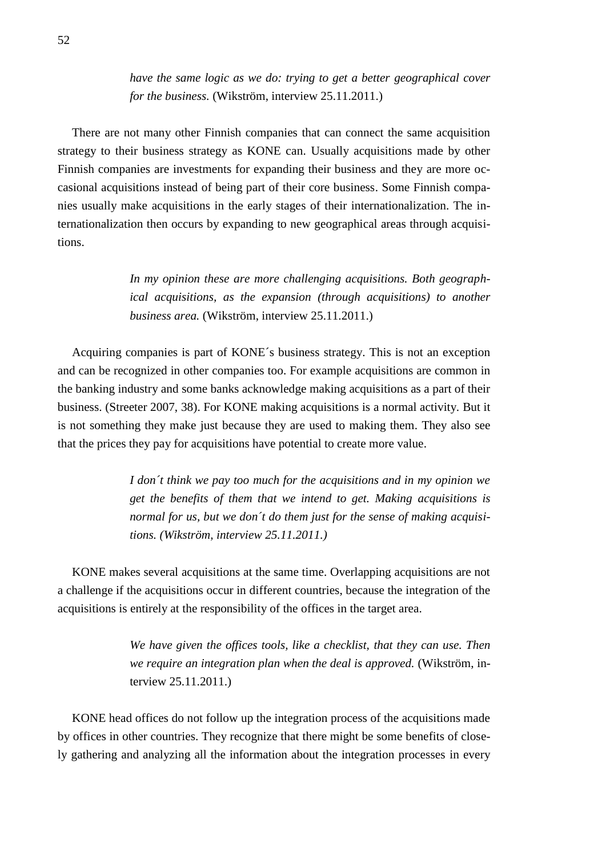*have the same logic as we do: trying to get a better geographical cover for the business.* (Wikström, interview 25.11.2011.)

There are not many other Finnish companies that can connect the same acquisition strategy to their business strategy as KONE can. Usually acquisitions made by other Finnish companies are investments for expanding their business and they are more occasional acquisitions instead of being part of their core business. Some Finnish companies usually make acquisitions in the early stages of their internationalization. The internationalization then occurs by expanding to new geographical areas through acquisitions.

> *In my opinion these are more challenging acquisitions. Both geographical acquisitions, as the expansion (through acquisitions) to another business area.* (Wikström, interview 25.11.2011.)

Acquiring companies is part of KONE´s business strategy. This is not an exception and can be recognized in other companies too. For example acquisitions are common in the banking industry and some banks acknowledge making acquisitions as a part of their business. (Streeter 2007, 38). For KONE making acquisitions is a normal activity. But it is not something they make just because they are used to making them. They also see that the prices they pay for acquisitions have potential to create more value.

> *I don´t think we pay too much for the acquisitions and in my opinion we get the benefits of them that we intend to get. Making acquisitions is normal for us, but we don´t do them just for the sense of making acquisitions. (Wikström, interview 25.11.2011.)*

KONE makes several acquisitions at the same time. Overlapping acquisitions are not a challenge if the acquisitions occur in different countries, because the integration of the acquisitions is entirely at the responsibility of the offices in the target area.

> *We have given the offices tools, like a checklist, that they can use. Then we require an integration plan when the deal is approved.* (Wikström, interview 25.11.2011.)

KONE head offices do not follow up the integration process of the acquisitions made by offices in other countries. They recognize that there might be some benefits of closely gathering and analyzing all the information about the integration processes in every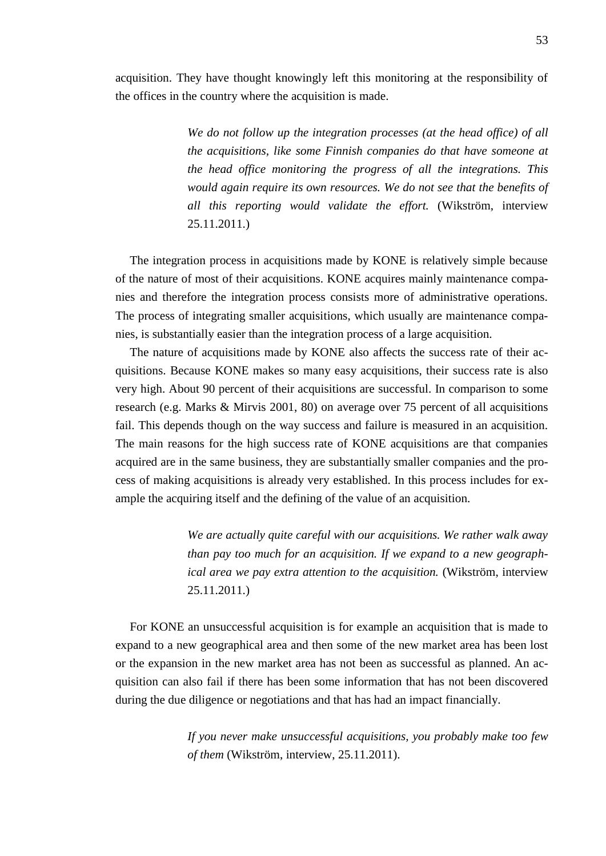acquisition. They have thought knowingly left this monitoring at the responsibility of the offices in the country where the acquisition is made.

> *We do not follow up the integration processes (at the head office) of all the acquisitions, like some Finnish companies do that have someone at the head office monitoring the progress of all the integrations. This would again require its own resources. We do not see that the benefits of all this reporting would validate the effort.* (Wikström, interview 25.11.2011.)

The integration process in acquisitions made by KONE is relatively simple because of the nature of most of their acquisitions. KONE acquires mainly maintenance companies and therefore the integration process consists more of administrative operations. The process of integrating smaller acquisitions, which usually are maintenance companies, is substantially easier than the integration process of a large acquisition.

The nature of acquisitions made by KONE also affects the success rate of their acquisitions. Because KONE makes so many easy acquisitions, their success rate is also very high. About 90 percent of their acquisitions are successful. In comparison to some research (e.g. Marks & Mirvis 2001, 80) on average over 75 percent of all acquisitions fail. This depends though on the way success and failure is measured in an acquisition. The main reasons for the high success rate of KONE acquisitions are that companies acquired are in the same business, they are substantially smaller companies and the process of making acquisitions is already very established. In this process includes for example the acquiring itself and the defining of the value of an acquisition.

> *We are actually quite careful with our acquisitions. We rather walk away than pay too much for an acquisition. If we expand to a new geographical area we pay extra attention to the acquisition.* (Wikström, interview 25.11.2011.)

For KONE an unsuccessful acquisition is for example an acquisition that is made to expand to a new geographical area and then some of the new market area has been lost or the expansion in the new market area has not been as successful as planned. An acquisition can also fail if there has been some information that has not been discovered during the due diligence or negotiations and that has had an impact financially.

> *If you never make unsuccessful acquisitions, you probably make too few of them* (Wikström, interview, 25.11.2011).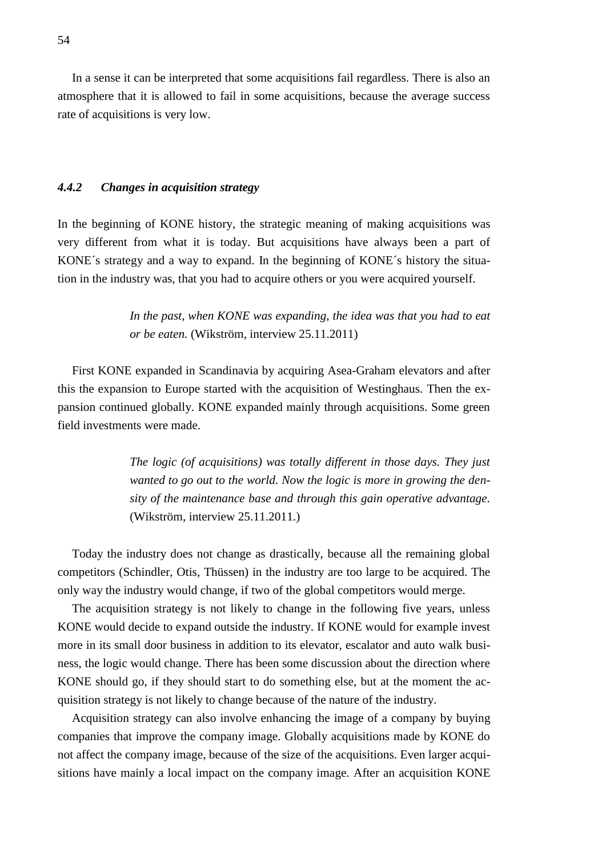In a sense it can be interpreted that some acquisitions fail regardless. There is also an atmosphere that it is allowed to fail in some acquisitions, because the average success rate of acquisitions is very low.

#### <span id="page-53-0"></span>*4.4.2 Changes in acquisition strategy*

In the beginning of KONE history, the strategic meaning of making acquisitions was very different from what it is today. But acquisitions have always been a part of KONE´s strategy and a way to expand. In the beginning of KONE´s history the situation in the industry was, that you had to acquire others or you were acquired yourself.

> *In the past, when KONE was expanding, the idea was that you had to eat or be eaten.* (Wikström, interview 25.11.2011)

First KONE expanded in Scandinavia by acquiring Asea-Graham elevators and after this the expansion to Europe started with the acquisition of Westinghaus. Then the expansion continued globally. KONE expanded mainly through acquisitions. Some green field investments were made.

> *The logic (of acquisitions) was totally different in those days. They just wanted to go out to the world. Now the logic is more in growing the density of the maintenance base and through this gain operative advantage.*  (Wikström, interview 25.11.2011.)

Today the industry does not change as drastically, because all the remaining global competitors (Schindler, Otis, Thüssen) in the industry are too large to be acquired. The only way the industry would change, if two of the global competitors would merge.

The acquisition strategy is not likely to change in the following five years, unless KONE would decide to expand outside the industry. If KONE would for example invest more in its small door business in addition to its elevator, escalator and auto walk business, the logic would change. There has been some discussion about the direction where KONE should go, if they should start to do something else, but at the moment the acquisition strategy is not likely to change because of the nature of the industry.

Acquisition strategy can also involve enhancing the image of a company by buying companies that improve the company image. Globally acquisitions made by KONE do not affect the company image, because of the size of the acquisitions. Even larger acquisitions have mainly a local impact on the company image. After an acquisition KONE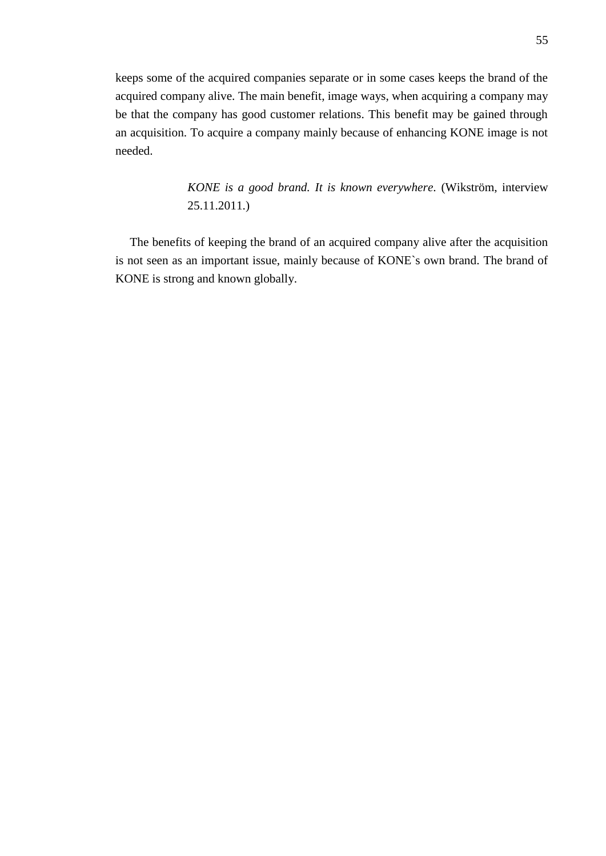keeps some of the acquired companies separate or in some cases keeps the brand of the acquired company alive. The main benefit, image ways, when acquiring a company may be that the company has good customer relations. This benefit may be gained through an acquisition. To acquire a company mainly because of enhancing KONE image is not needed.

> *KONE is a good brand. It is known everywhere.* (Wikström, interview 25.11.2011.)

The benefits of keeping the brand of an acquired company alive after the acquisition is not seen as an important issue, mainly because of KONE`s own brand. The brand of KONE is strong and known globally.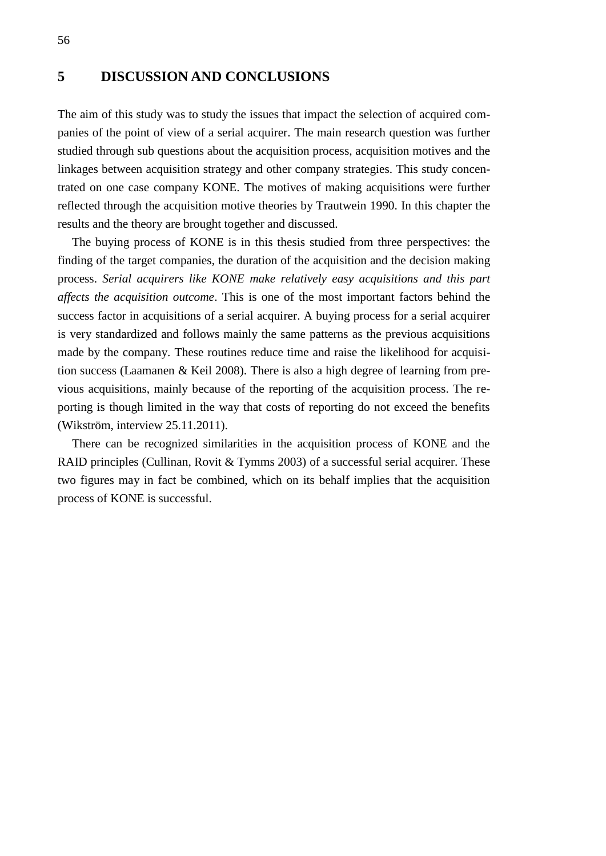### <span id="page-55-0"></span>**5 DISCUSSION AND CONCLUSIONS**

The aim of this study was to study the issues that impact the selection of acquired companies of the point of view of a serial acquirer. The main research question was further studied through sub questions about the acquisition process, acquisition motives and the linkages between acquisition strategy and other company strategies. This study concentrated on one case company KONE. The motives of making acquisitions were further reflected through the acquisition motive theories by Trautwein 1990. In this chapter the results and the theory are brought together and discussed.

The buying process of KONE is in this thesis studied from three perspectives: the finding of the target companies, the duration of the acquisition and the decision making process. *Serial acquirers like KONE make relatively easy acquisitions and this part affects the acquisition outcome*. This is one of the most important factors behind the success factor in acquisitions of a serial acquirer. A buying process for a serial acquirer is very standardized and follows mainly the same patterns as the previous acquisitions made by the company. These routines reduce time and raise the likelihood for acquisition success (Laamanen & Keil 2008). There is also a high degree of learning from previous acquisitions, mainly because of the reporting of the acquisition process. The reporting is though limited in the way that costs of reporting do not exceed the benefits (Wikström, interview 25.11.2011).

There can be recognized similarities in the acquisition process of KONE and the RAID principles (Cullinan, Rovit & Tymms 2003) of a successful serial acquirer. These two figures may in fact be combined, which on its behalf implies that the acquisition process of KONE is successful.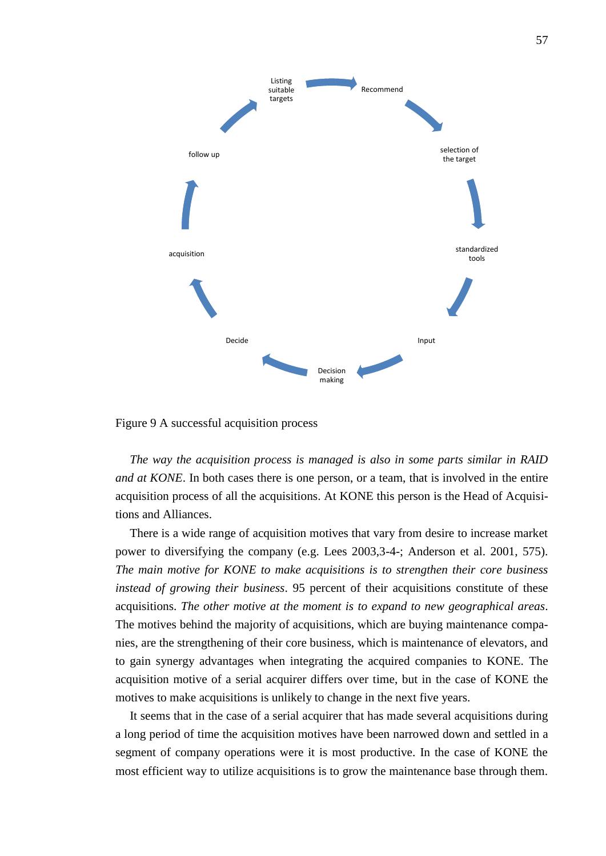

<span id="page-56-0"></span>Figure 9 A successful acquisition process

*The way the acquisition process is managed is also in some parts similar in RAID and at KONE*. In both cases there is one person, or a team, that is involved in the entire acquisition process of all the acquisitions. At KONE this person is the Head of Acquisitions and Alliances.

There is a wide range of acquisition motives that vary from desire to increase market power to diversifying the company (e.g. Lees 2003,3-4-; Anderson et al. 2001, 575). *The main motive for KONE to make acquisitions is to strengthen their core business instead of growing their business*. 95 percent of their acquisitions constitute of these acquisitions. *The other motive at the moment is to expand to new geographical areas*. The motives behind the majority of acquisitions, which are buying maintenance companies, are the strengthening of their core business, which is maintenance of elevators, and to gain synergy advantages when integrating the acquired companies to KONE. The acquisition motive of a serial acquirer differs over time, but in the case of KONE the motives to make acquisitions is unlikely to change in the next five years.

It seems that in the case of a serial acquirer that has made several acquisitions during a long period of time the acquisition motives have been narrowed down and settled in a segment of company operations were it is most productive. In the case of KONE the most efficient way to utilize acquisitions is to grow the maintenance base through them.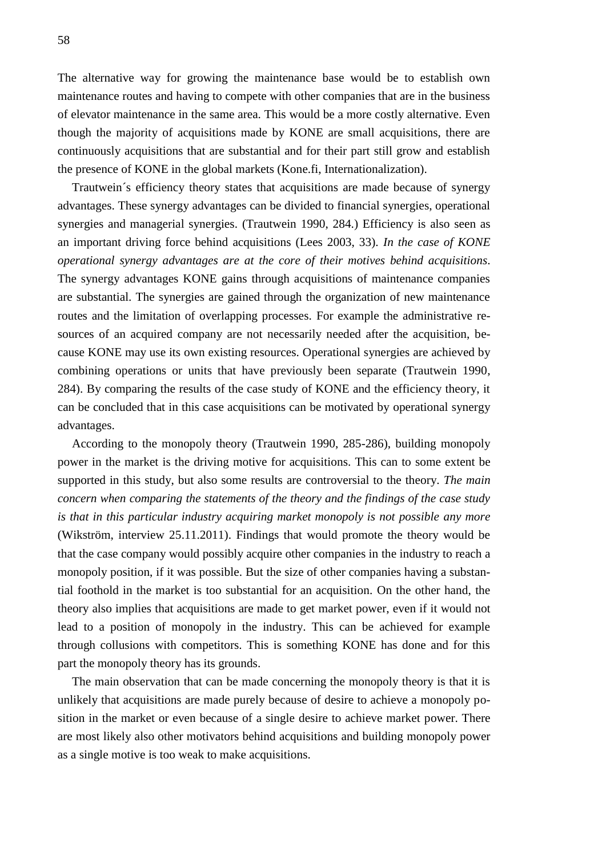The alternative way for growing the maintenance base would be to establish own maintenance routes and having to compete with other companies that are in the business of elevator maintenance in the same area. This would be a more costly alternative. Even though the majority of acquisitions made by KONE are small acquisitions, there are continuously acquisitions that are substantial and for their part still grow and establish the presence of KONE in the global markets (Kone.fi, Internationalization).

Trautwein´s efficiency theory states that acquisitions are made because of synergy advantages. These synergy advantages can be divided to financial synergies, operational synergies and managerial synergies. (Trautwein 1990, 284.) Efficiency is also seen as an important driving force behind acquisitions (Lees 2003, 33). *In the case of KONE operational synergy advantages are at the core of their motives behind acquisitions*. The synergy advantages KONE gains through acquisitions of maintenance companies are substantial. The synergies are gained through the organization of new maintenance routes and the limitation of overlapping processes. For example the administrative resources of an acquired company are not necessarily needed after the acquisition, because KONE may use its own existing resources. Operational synergies are achieved by combining operations or units that have previously been separate (Trautwein 1990, 284). By comparing the results of the case study of KONE and the efficiency theory, it can be concluded that in this case acquisitions can be motivated by operational synergy advantages.

According to the monopoly theory (Trautwein 1990, 285-286), building monopoly power in the market is the driving motive for acquisitions. This can to some extent be supported in this study, but also some results are controversial to the theory. *The main concern when comparing the statements of the theory and the findings of the case study is that in this particular industry acquiring market monopoly is not possible any more* (Wikström, interview 25.11.2011). Findings that would promote the theory would be that the case company would possibly acquire other companies in the industry to reach a monopoly position, if it was possible. But the size of other companies having a substantial foothold in the market is too substantial for an acquisition. On the other hand, the theory also implies that acquisitions are made to get market power, even if it would not lead to a position of monopoly in the industry. This can be achieved for example through collusions with competitors. This is something KONE has done and for this part the monopoly theory has its grounds.

The main observation that can be made concerning the monopoly theory is that it is unlikely that acquisitions are made purely because of desire to achieve a monopoly position in the market or even because of a single desire to achieve market power. There are most likely also other motivators behind acquisitions and building monopoly power as a single motive is too weak to make acquisitions.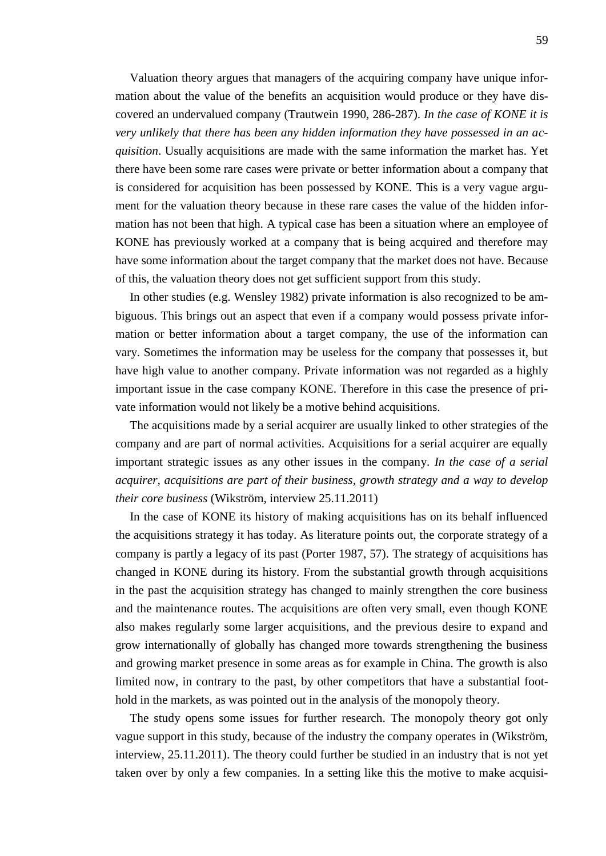Valuation theory argues that managers of the acquiring company have unique information about the value of the benefits an acquisition would produce or they have discovered an undervalued company (Trautwein 1990, 286-287). *In the case of KONE it is very unlikely that there has been any hidden information they have possessed in an acquisition*. Usually acquisitions are made with the same information the market has. Yet there have been some rare cases were private or better information about a company that is considered for acquisition has been possessed by KONE. This is a very vague argument for the valuation theory because in these rare cases the value of the hidden information has not been that high. A typical case has been a situation where an employee of KONE has previously worked at a company that is being acquired and therefore may have some information about the target company that the market does not have. Because of this, the valuation theory does not get sufficient support from this study.

In other studies (e.g. Wensley 1982) private information is also recognized to be ambiguous. This brings out an aspect that even if a company would possess private information or better information about a target company, the use of the information can vary. Sometimes the information may be useless for the company that possesses it, but have high value to another company. Private information was not regarded as a highly important issue in the case company KONE. Therefore in this case the presence of private information would not likely be a motive behind acquisitions.

The acquisitions made by a serial acquirer are usually linked to other strategies of the company and are part of normal activities. Acquisitions for a serial acquirer are equally important strategic issues as any other issues in the company. *In the case of a serial acquirer, acquisitions are part of their business, growth strategy and a way to develop their core business* (Wikström, interview 25.11.2011)

In the case of KONE its history of making acquisitions has on its behalf influenced the acquisitions strategy it has today. As literature points out, the corporate strategy of a company is partly a legacy of its past (Porter 1987, 57). The strategy of acquisitions has changed in KONE during its history. From the substantial growth through acquisitions in the past the acquisition strategy has changed to mainly strengthen the core business and the maintenance routes. The acquisitions are often very small, even though KONE also makes regularly some larger acquisitions, and the previous desire to expand and grow internationally of globally has changed more towards strengthening the business and growing market presence in some areas as for example in China. The growth is also limited now, in contrary to the past, by other competitors that have a substantial foothold in the markets, as was pointed out in the analysis of the monopoly theory.

The study opens some issues for further research. The monopoly theory got only vague support in this study, because of the industry the company operates in (Wikström, interview, 25.11.2011). The theory could further be studied in an industry that is not yet taken over by only a few companies. In a setting like this the motive to make acquisi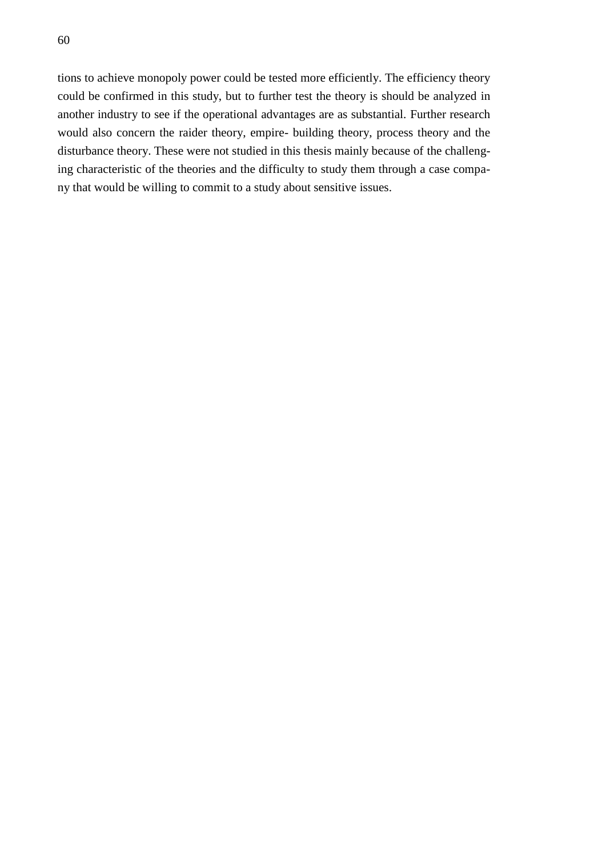tions to achieve monopoly power could be tested more efficiently. The efficiency theory could be confirmed in this study, but to further test the theory is should be analyzed in another industry to see if the operational advantages are as substantial. Further research would also concern the raider theory, empire- building theory, process theory and the disturbance theory. These were not studied in this thesis mainly because of the challenging characteristic of the theories and the difficulty to study them through a case company that would be willing to commit to a study about sensitive issues.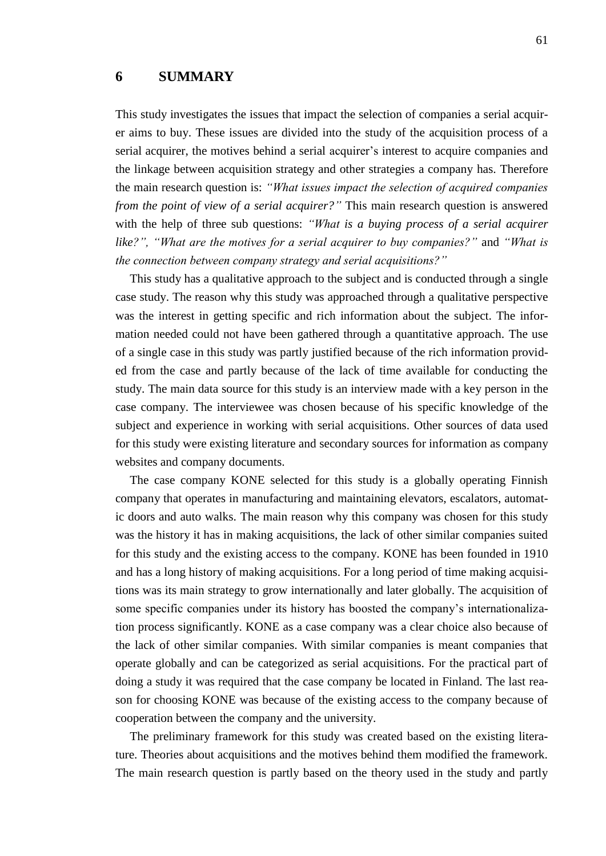### <span id="page-60-0"></span>**6 SUMMARY**

This study investigates the issues that impact the selection of companies a serial acquirer aims to buy. These issues are divided into the study of the acquisition process of a serial acquirer, the motives behind a serial acquirer's interest to acquire companies and the linkage between acquisition strategy and other strategies a company has. Therefore the main research question is: *"What issues impact the selection of acquired companies from the point of view of a serial acquirer?"* This main research question is answered with the help of three sub questions: *"What is a buying process of a serial acquirer like?", "What are the motives for a serial acquirer to buy companies?"* and *"What is the connection between company strategy and serial acquisitions?"*

This study has a qualitative approach to the subject and is conducted through a single case study. The reason why this study was approached through a qualitative perspective was the interest in getting specific and rich information about the subject. The information needed could not have been gathered through a quantitative approach. The use of a single case in this study was partly justified because of the rich information provided from the case and partly because of the lack of time available for conducting the study. The main data source for this study is an interview made with a key person in the case company. The interviewee was chosen because of his specific knowledge of the subject and experience in working with serial acquisitions. Other sources of data used for this study were existing literature and secondary sources for information as company websites and company documents.

The case company KONE selected for this study is a globally operating Finnish company that operates in manufacturing and maintaining elevators, escalators, automatic doors and auto walks. The main reason why this company was chosen for this study was the history it has in making acquisitions, the lack of other similar companies suited for this study and the existing access to the company. KONE has been founded in 1910 and has a long history of making acquisitions. For a long period of time making acquisitions was its main strategy to grow internationally and later globally. The acquisition of some specific companies under its history has boosted the company's internationalization process significantly. KONE as a case company was a clear choice also because of the lack of other similar companies. With similar companies is meant companies that operate globally and can be categorized as serial acquisitions. For the practical part of doing a study it was required that the case company be located in Finland. The last reason for choosing KONE was because of the existing access to the company because of cooperation between the company and the university.

The preliminary framework for this study was created based on the existing literature. Theories about acquisitions and the motives behind them modified the framework. The main research question is partly based on the theory used in the study and partly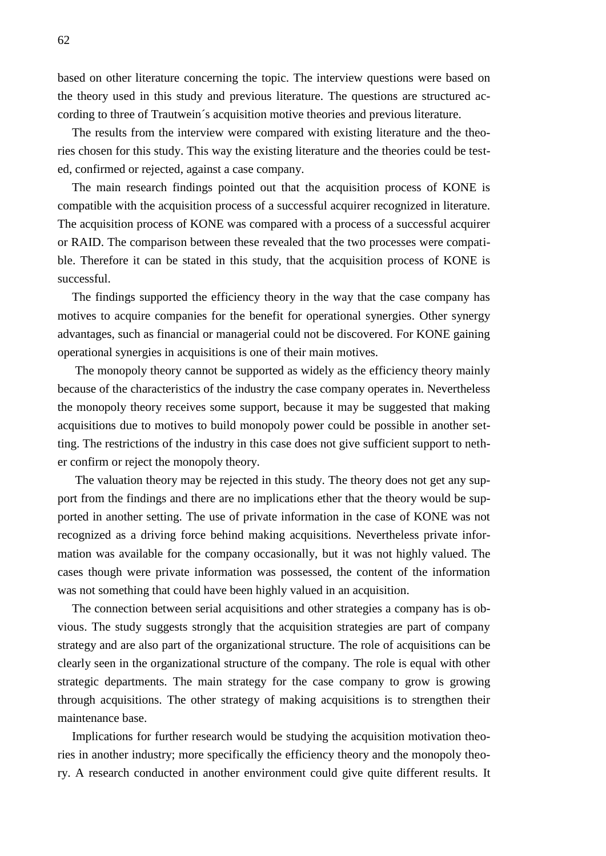based on other literature concerning the topic. The interview questions were based on the theory used in this study and previous literature. The questions are structured according to three of Trautwein´s acquisition motive theories and previous literature.

The results from the interview were compared with existing literature and the theories chosen for this study. This way the existing literature and the theories could be tested, confirmed or rejected, against a case company.

The main research findings pointed out that the acquisition process of KONE is compatible with the acquisition process of a successful acquirer recognized in literature. The acquisition process of KONE was compared with a process of a successful acquirer or RAID. The comparison between these revealed that the two processes were compatible. Therefore it can be stated in this study, that the acquisition process of KONE is successful.

The findings supported the efficiency theory in the way that the case company has motives to acquire companies for the benefit for operational synergies. Other synergy advantages, such as financial or managerial could not be discovered. For KONE gaining operational synergies in acquisitions is one of their main motives.

The monopoly theory cannot be supported as widely as the efficiency theory mainly because of the characteristics of the industry the case company operates in. Nevertheless the monopoly theory receives some support, because it may be suggested that making acquisitions due to motives to build monopoly power could be possible in another setting. The restrictions of the industry in this case does not give sufficient support to nether confirm or reject the monopoly theory.

The valuation theory may be rejected in this study. The theory does not get any support from the findings and there are no implications ether that the theory would be supported in another setting. The use of private information in the case of KONE was not recognized as a driving force behind making acquisitions. Nevertheless private information was available for the company occasionally, but it was not highly valued. The cases though were private information was possessed, the content of the information was not something that could have been highly valued in an acquisition.

The connection between serial acquisitions and other strategies a company has is obvious. The study suggests strongly that the acquisition strategies are part of company strategy and are also part of the organizational structure. The role of acquisitions can be clearly seen in the organizational structure of the company. The role is equal with other strategic departments. The main strategy for the case company to grow is growing through acquisitions. The other strategy of making acquisitions is to strengthen their maintenance base.

Implications for further research would be studying the acquisition motivation theories in another industry; more specifically the efficiency theory and the monopoly theory. A research conducted in another environment could give quite different results. It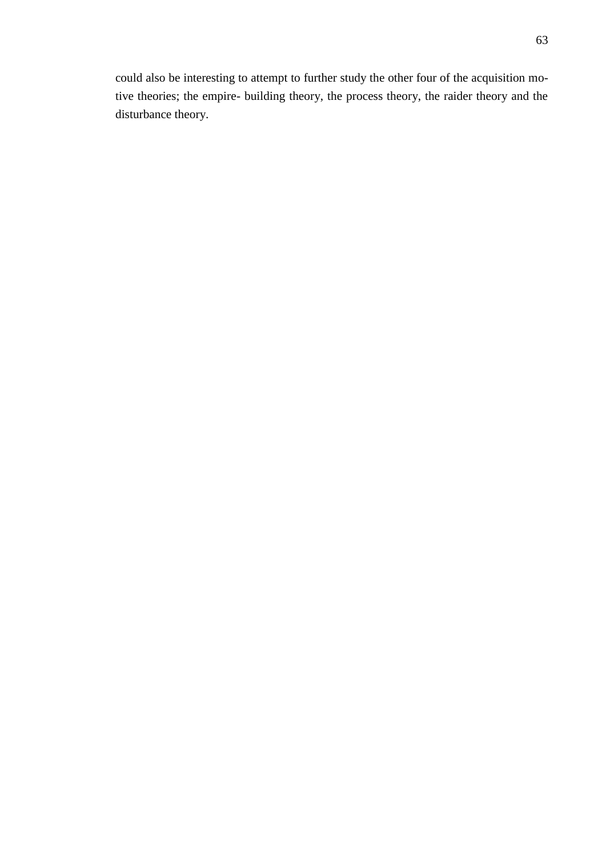could also be interesting to attempt to further study the other four of the acquisition motive theories; the empire- building theory, the process theory, the raider theory and the disturbance theory.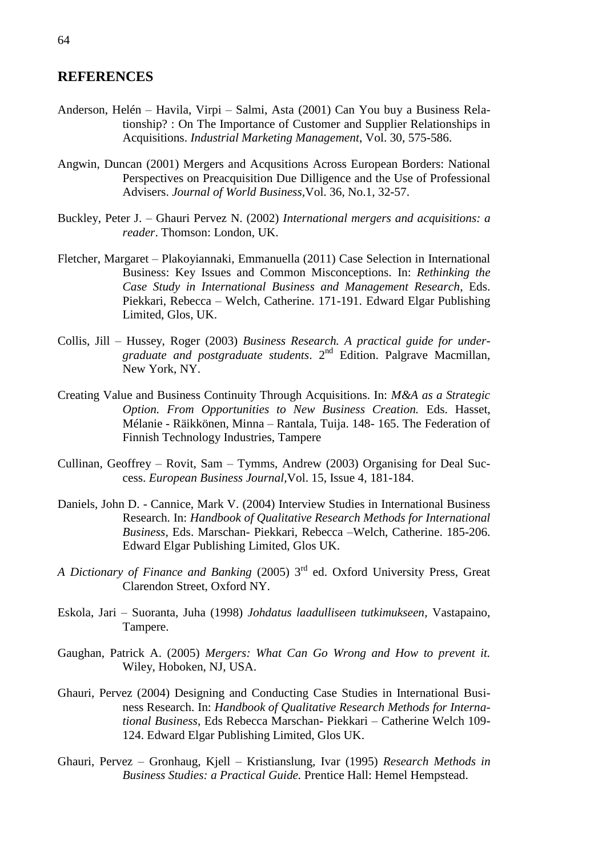### <span id="page-63-0"></span>**REFERENCES**

- Anderson, Helén Havila, Virpi Salmi, Asta (2001) Can You buy a Business Relationship? : On The Importance of Customer and Supplier Relationships in Acquisitions. *Industrial Marketing Management*, Vol. 30, 575-586.
- Angwin, Duncan (2001) Mergers and Acqusitions Across European Borders: National Perspectives on Preacquisition Due Dilligence and the Use of Professional Advisers. *Journal of World Business,*Vol. 36, No.1, 32-57.
- Buckley, Peter J. Ghauri Pervez N. (2002) *International mergers and acquisitions: a reader*. Thomson: London, UK.
- Fletcher, Margaret Plakoyiannaki, Emmanuella (2011) Case Selection in International Business: Key Issues and Common Misconceptions. In: *Rethinking the Case Study in International Business and Management Research*, Eds. Piekkari, Rebecca – Welch, Catherine. 171-191. Edward Elgar Publishing Limited, Glos, UK.
- Collis, Jill Hussey, Roger (2003) *Business Research. A practical guide for undergraduate and postgraduate students*. 2nd Edition. Palgrave Macmillan, New York, NY.
- Creating Value and Business Continuity Through Acquisitions. In: *M&A as a Strategic Option. From Opportunities to New Business Creation.* Eds. Hasset, Mélanie - Räikkönen, Minna – Rantala, Tuija. 148- 165. The Federation of Finnish Technology Industries, Tampere
- Cullinan, Geoffrey Rovit, Sam Tymms, Andrew (2003) Organising for Deal Success. *European Business Journal,*Vol. 15, Issue 4, 181-184.
- Daniels, John D. Cannice, Mark V. (2004) Interview Studies in International Business Research. In: *Handbook of Qualitative Research Methods for International Business,* Eds. Marschan- Piekkari, Rebecca –Welch, Catherine. 185-206. Edward Elgar Publishing Limited, Glos UK.
- A Dictionary of Finance and Banking (2005) 3<sup>rd</sup> ed. Oxford University Press, Great Clarendon Street, Oxford NY.
- Eskola, Jari Suoranta, Juha (1998) *Johdatus laadulliseen tutkimukseen,* Vastapaino, Tampere.
- Gaughan, Patrick A. (2005) *Mergers: What Can Go Wrong and How to prevent it.*  Wiley, Hoboken, NJ, USA.
- Ghauri, Pervez (2004) Designing and Conducting Case Studies in International Business Research. In: *Handbook of Qualitative Research Methods for International Business*, Eds Rebecca Marschan- Piekkari – Catherine Welch 109- 124. Edward Elgar Publishing Limited, Glos UK.
- Ghauri, Pervez Gronhaug, Kjell Kristianslung, Ivar (1995) *Research Methods in Business Studies: a Practical Guide.* Prentice Hall: Hemel Hempstead.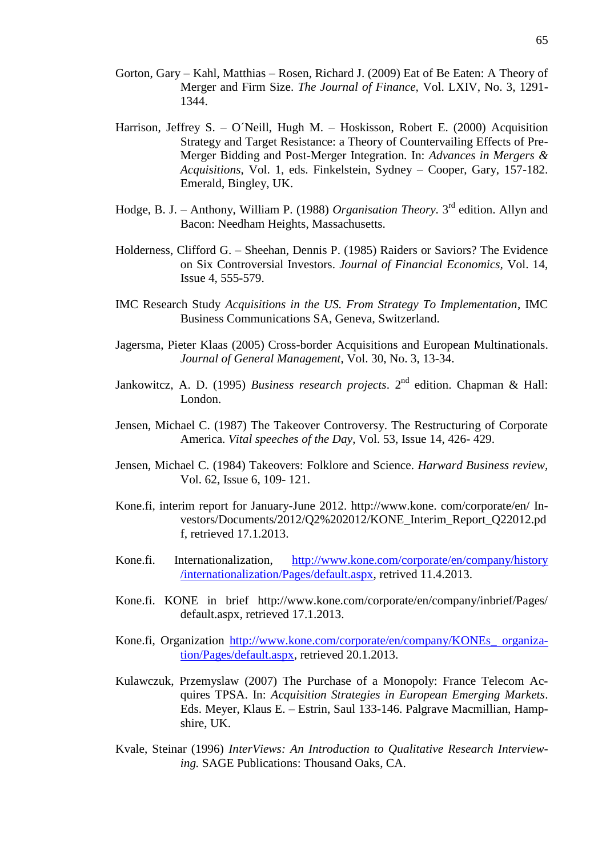- Gorton, Gary Kahl, Matthias Rosen, Richard J. (2009) Eat of Be Eaten: A Theory of Merger and Firm Size. *The Journal of Finance,* Vol. LXIV, No. 3, 1291- 1344.
- Harrison, Jeffrey S. O´Neill, Hugh M. Hoskisson, Robert E. (2000) Acquisition Strategy and Target Resistance: a Theory of Countervailing Effects of Pre-Merger Bidding and Post-Merger Integration*.* In: *Advances in Mergers & Acquisitions*, Vol. 1, eds. Finkelstein, Sydney – Cooper, Gary, 157-182. Emerald, Bingley, UK.
- Hodge, B. J. Anthony, William P. (1988) *Organisation Theory*. 3<sup>rd</sup> edition. Allyn and Bacon: Needham Heights, Massachusetts.
- Holderness, Clifford G. Sheehan, Dennis P. (1985) Raiders or Saviors? The Evidence on Six Controversial Investors. *Journal of Financial Economics,* Vol. 14, Issue 4, 555-579.
- IMC Research Study *Acquisitions in the US. From Strategy To Implementation*, IMC Business Communications SA, Geneva, Switzerland.
- Jagersma, Pieter Klaas (2005) Cross-border Acquisitions and European Multinationals. *Journal of General Management*, Vol. 30, No. 3, 13-34.
- Jankowitcz, A. D. (1995) *Business research projects*. 2<sup>nd</sup> edition. Chapman & Hall: London.
- Jensen, Michael C. (1987) The Takeover Controversy. The Restructuring of Corporate America. *Vital speeches of the Day*, Vol. 53, Issue 14, 426- 429.
- Jensen, Michael C. (1984) Takeovers: Folklore and Science. *Harward Business review,*  Vol. 62, Issue 6, 109- 121.
- Kone.fi, interim report for January-June 2012. http://www.kone. com/corporate/en/ Investors/Documents/2012/Q2%202012/KONE\_Interim\_Report\_Q22012.pd f, retrieved 17.1.2013.
- Kone.fi. Internationalization, [http://www.kone.com/corporate/en/company/history](http://www.kone.com/corporate/en/company/history%20/internationalization/Pages/default.aspx)  [/internationalization/Pages/default.aspx,](http://www.kone.com/corporate/en/company/history%20/internationalization/Pages/default.aspx) retrived 11.4.2013.
- Kone.fi. KONE in brief http://www.kone.com/corporate/en/company/inbrief/Pages/ default.aspx, retrieved 17.1.2013.
- Kone.fi, Organization [http://www.kone.com/corporate/en/company/KONEs\\_ organiza](http://www.kone.com/corporate/en/company/KONEs_%20organization/Pages/default.aspx)[tion/Pages/default.aspx,](http://www.kone.com/corporate/en/company/KONEs_%20organization/Pages/default.aspx) retrieved 20.1.2013.
- Kulawczuk, Przemyslaw (2007) The Purchase of a Monopoly: France Telecom Acquires TPSA. In: *Acquisition Strategies in European Emerging Markets*. Eds. Meyer, Klaus E. – Estrin, Saul 133-146. Palgrave Macmillian, Hampshire, UK.
- Kvale, Steinar (1996) *InterViews: An Introduction to Qualitative Research Interviewing.* SAGE Publications: Thousand Oaks, CA.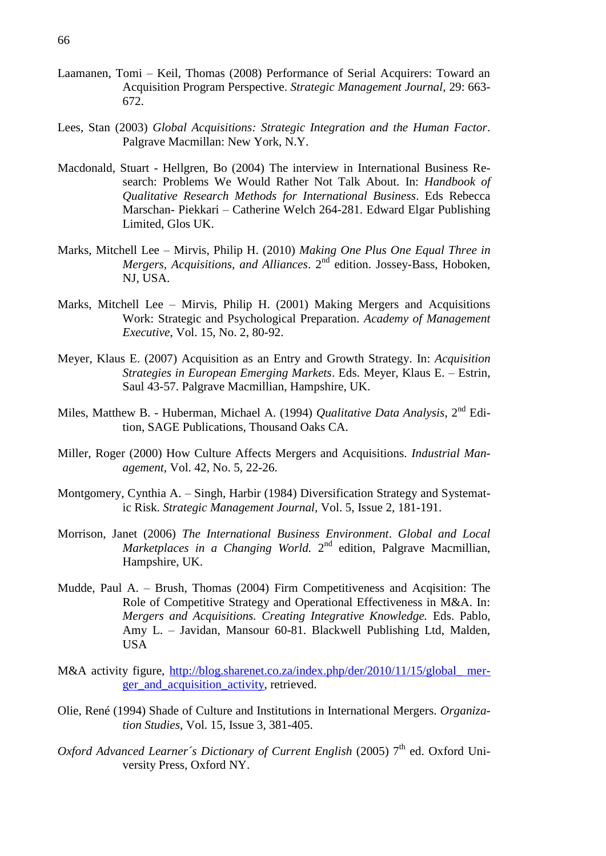- Laamanen, Tomi Keil, Thomas (2008) Performance of Serial Acquirers: Toward an Acquisition Program Perspective. *Strategic Management Journal,* 29: 663- 672.
- Lees, Stan (2003) *Global Acquisitions: Strategic Integration and the Human Factor*. Palgrave Macmillan: New York, N.Y.
- Macdonald, Stuart Hellgren, Bo (2004) The interview in International Business Research: Problems We Would Rather Not Talk About. In: *Handbook of Qualitative Research Methods for International Business*. Eds Rebecca Marschan- Piekkari – Catherine Welch 264-281. Edward Elgar Publishing Limited, Glos UK.
- Marks, Mitchell Lee Mirvis, Philip H. (2010) *Making One Plus One Equal Three in Mergers, Acquisitions, and Alliances.* 2<sup>nd</sup> edition. Jossey-Bass, Hoboken, NJ, USA.
- Marks, Mitchell Lee Mirvis, Philip H. (2001) Making Mergers and Acquisitions Work: Strategic and Psychological Preparation. *Academy of Management Executive*, Vol. 15, No. 2, 80-92.
- Meyer, Klaus E. (2007) Acquisition as an Entry and Growth Strategy. In: *Acquisition Strategies in European Emerging Markets*. Eds. Meyer, Klaus E. – Estrin, Saul 43-57. Palgrave Macmillian, Hampshire, UK.
- Miles, Matthew B. Huberman, Michael A. (1994) *Qualitative Data Analysis*, 2nd Edition, SAGE Publications, Thousand Oaks CA.
- Miller, Roger (2000) How Culture Affects Mergers and Acquisitions. *Industrial Management*, Vol. 42, No. 5, 22-26.
- Montgomery, Cynthia A. Singh, Harbir (1984) Diversification Strategy and Systematic Risk. *Strategic Management Journal,* Vol. 5, Issue 2, 181-191.
- Morrison, Janet (2006) *The International Business Environment*. *Global and Local*  Marketplaces in a Changing World. 2<sup>nd</sup> edition, Palgrave Macmillian, Hampshire, UK.
- Mudde, Paul A. Brush, Thomas (2004) Firm Competitiveness and Acqisition: The Role of Competitive Strategy and Operational Effectiveness in M&A. In: *Mergers and Acquisitions. Creating Integrative Knowledge.* Eds. Pablo, Amy L. – Javidan, Mansour 60-81. Blackwell Publishing Ltd, Malden, USA
- M&A activity figure, http://blog.sharenet.co.za/index.php/der/2010/11/15/global mer[ger\\_and\\_acquisition\\_activity,](http://blog.sharenet.co.za/index.php/der/2010/11/15/global_%20merger_and_acquisition_activity) retrieved.
- Olie, René (1994) Shade of Culture and Institutions in International Mergers. *Organization Studies*, Vol. 15, Issue 3, 381-405.
- Oxford Advanced Learner's Dictionary of Current English (2005) 7<sup>th</sup> ed. Oxford University Press, Oxford NY.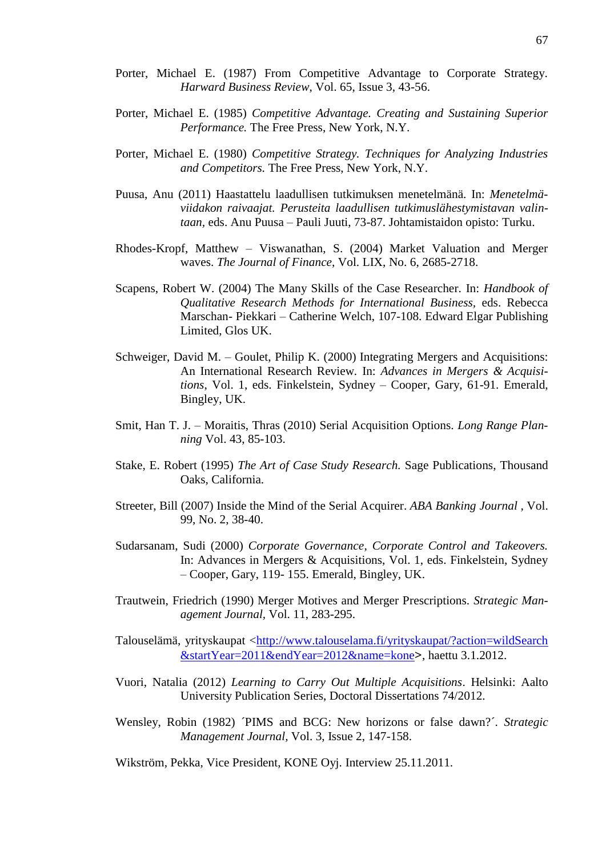- Porter, Michael E. (1987) From Competitive Advantage to Corporate Strategy. *Harward Business Review*, Vol. 65, Issue 3, 43-56.
- Porter, Michael E. (1985) *Competitive Advantage. Creating and Sustaining Superior Performance.* The Free Press, New York, N.Y.
- Porter, Michael E. (1980) *Competitive Strategy. Techniques for Analyzing Industries and Competitors.* The Free Press, New York, N.Y.
- Puusa, Anu (2011) Haastattelu laadullisen tutkimuksen menetelmänä. In: *Menetelmäviidakon raivaajat. Perusteita laadullisen tutkimuslähestymistavan valintaan,* eds. Anu Puusa – Pauli Juuti, 73-87. Johtamistaidon opisto: Turku.
- Rhodes-Kropf, Matthew Viswanathan, S. (2004) Market Valuation and Merger waves. *The Journal of Finance,* Vol. LIX, No. 6, 2685-2718.
- Scapens, Robert W. (2004) The Many Skills of the Case Researcher. In: *Handbook of Qualitative Research Methods for International Business,* eds. Rebecca Marschan- Piekkari – Catherine Welch, 107-108. Edward Elgar Publishing Limited, Glos UK.
- Schweiger, David M. Goulet, Philip K. (2000) Integrating Mergers and Acquisitions: An International Research Review*.* In: *Advances in Mergers & Acquisitions*, Vol. 1, eds. Finkelstein, Sydney – Cooper, Gary, 61-91. Emerald, Bingley, UK.
- Smit, Han T. J. Moraitis, Thras (2010) Serial Acquisition Options. *Long Range Planning* Vol. 43, 85-103.
- Stake, E. Robert (1995) *The Art of Case Study Research.* Sage Publications, Thousand Oaks, California.
- Streeter, Bill (2007) Inside the Mind of the Serial Acquirer. *ABA Banking Journal ,* Vol. 99, No. 2, 38-40.
- Sudarsanam, Sudi (2000) *Corporate Governance, Corporate Control and Takeovers.* In: Advances in Mergers & Acquisitions, Vol. 1, eds. Finkelstein, Sydney – Cooper, Gary, 119- 155. Emerald, Bingley, UK.
- Trautwein, Friedrich (1990) Merger Motives and Merger Prescriptions. *Strategic Management Journal,* Vol. 11, 283-295.
- Talouselämä, yrityskaupat <http://www.talouselama.fi/yrityskaupat/?action=wildSearch [&startYear=2011&endYear=2012&name=kone](http://www.talouselama.fi/yrityskaupat/?action=wildSearch%20&startYear=2011&endYear=2012&name=kone)>, haettu 3.1.2012.
- Vuori, Natalia (2012) *Learning to Carry Out Multiple Acquisitions*. Helsinki: Aalto University Publication Series, Doctoral Dissertations 74/2012.
- Wensley, Robin (1982) ´PIMS and BCG: New horizons or false dawn?´. *Strategic Management Journal,* Vol. 3, Issue 2, 147-158.
- Wikström, Pekka, Vice President, KONE Oyj. Interview 25.11.2011.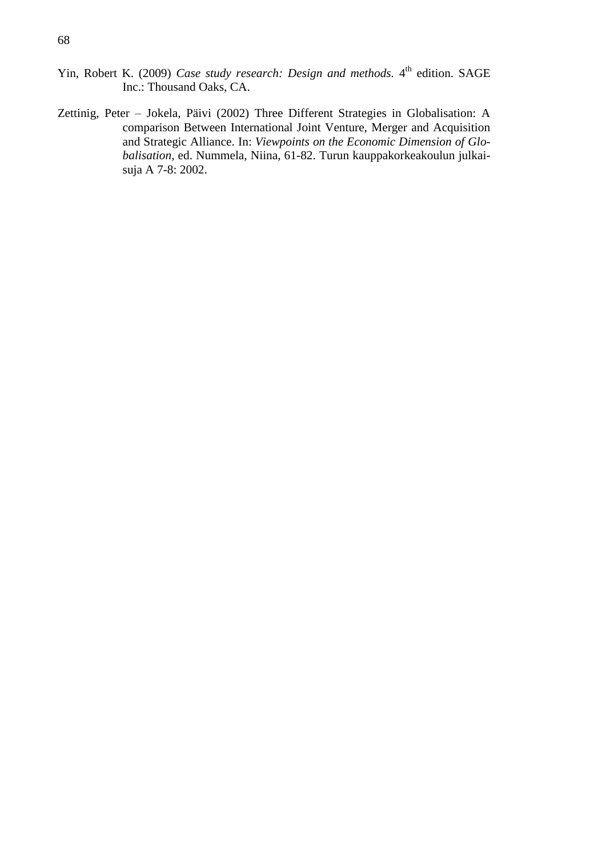- Yin, Robert K. (2009) *Case study research: Design and methods*. 4<sup>th</sup> edition. SAGE Inc.: Thousand Oaks, CA.
- Zettinig, Peter Jokela, Päivi (2002) Three Different Strategies in Globalisation: A comparison Between International Joint Venture, Merger and Acquisition and Strategic Alliance. In: *Viewpoints on the Economic Dimension of Globalisation*, ed. Nummela, Niina, 61-82. Turun kauppakorkeakoulun julkaisuja A 7-8: 2002.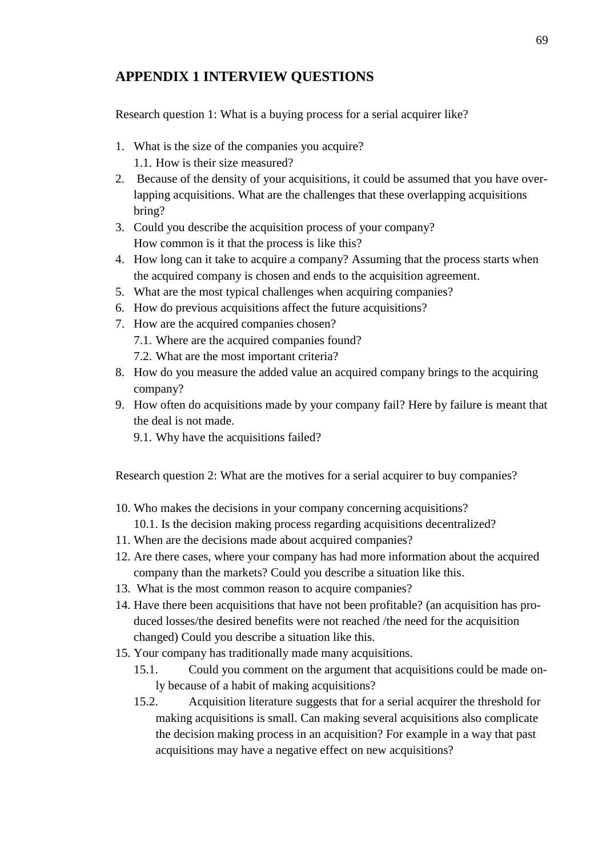### <span id="page-68-0"></span>**APPENDIX 1 INTERVIEW QUESTIONS**

Research question 1: What is a buying process for a serial acquirer like?

- 1. What is the size of the companies you acquire? 1.1. How is their size measured?
- 2. Because of the density of your acquisitions, it could be assumed that you have overlapping acquisitions. What are the challenges that these overlapping acquisitions bring?
- 3. Could you describe the acquisition process of your company? How common is it that the process is like this?
- 4. How long can it take to acquire a company? Assuming that the process starts when the acquired company is chosen and ends to the acquisition agreement.
- 5. What are the most typical challenges when acquiring companies?
- 6. How do previous acquisitions affect the future acquisitions?
- 7. How are the acquired companies chosen?
	- 7.1. Where are the acquired companies found?
	- 7.2. What are the most important criteria?
- 8. How do you measure the added value an acquired company brings to the acquiring company?
- 9. How often do acquisitions made by your company fail? Here by failure is meant that the deal is not made.
	- 9.1. Why have the acquisitions failed?

Research question 2: What are the motives for a serial acquirer to buy companies?

- 10. Who makes the decisions in your company concerning acquisitions?
	- 10.1. Is the decision making process regarding acquisitions decentralized?
- 11. When are the decisions made about acquired companies?
- 12. Are there cases, where your company has had more information about the acquired company than the markets? Could you describe a situation like this.
- 13. What is the most common reason to acquire companies?
- 14. Have there been acquisitions that have not been profitable? (an acquisition has produced losses/the desired benefits were not reached /the need for the acquisition changed) Could you describe a situation like this.
- 15. Your company has traditionally made many acquisitions.
	- 15.1. Could you comment on the argument that acquisitions could be made only because of a habit of making acquisitions?
	- 15.2. Acquisition literature suggests that for a serial acquirer the threshold for making acquisitions is small. Can making several acquisitions also complicate the decision making process in an acquisition? For example in a way that past acquisitions may have a negative effect on new acquisitions?